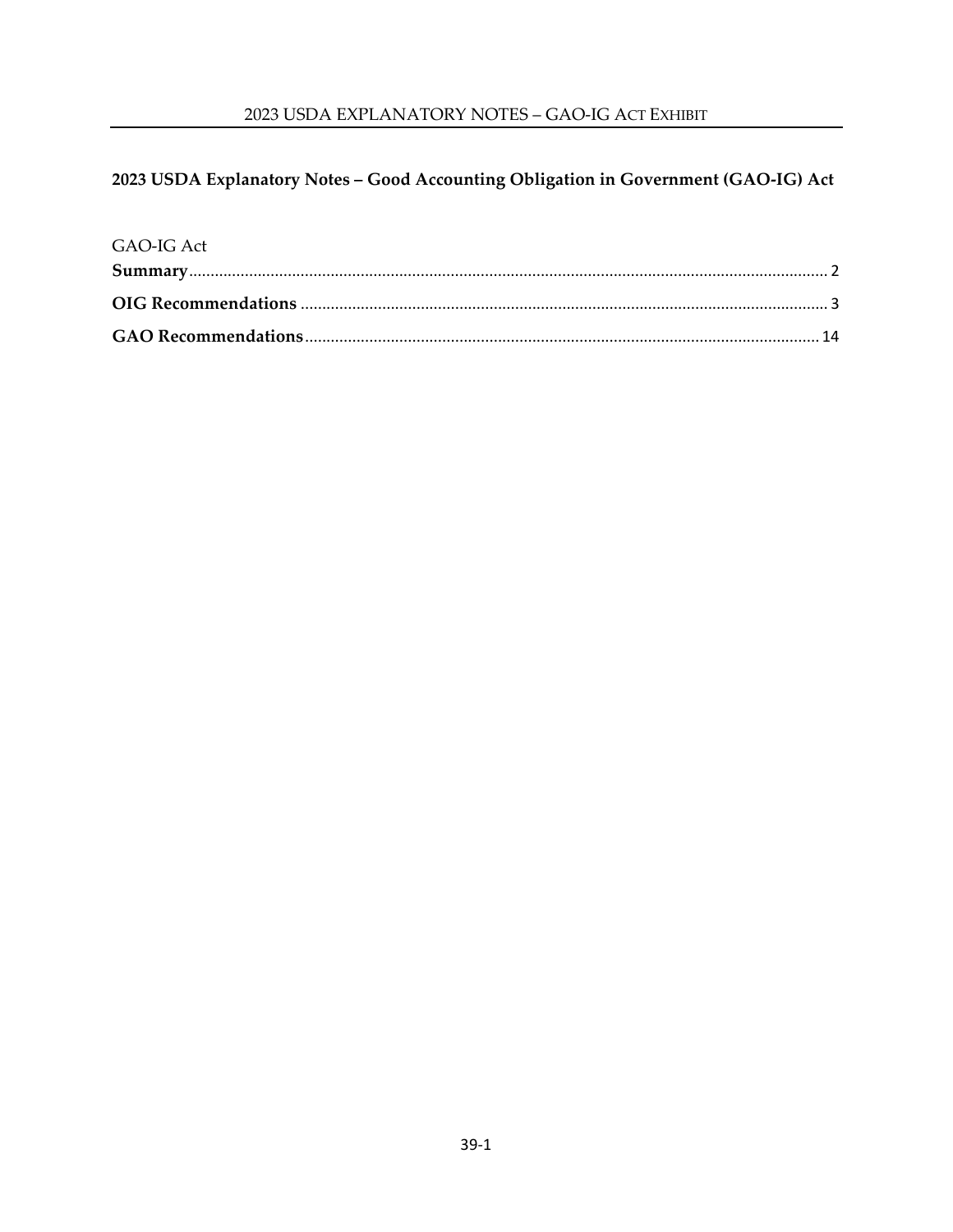# 2023 USDA Explanatory Notes - Good Accounting Obligation in Government (GAO-IG) Act

| GAO-IG Act |  |
|------------|--|
|            |  |
|            |  |
|            |  |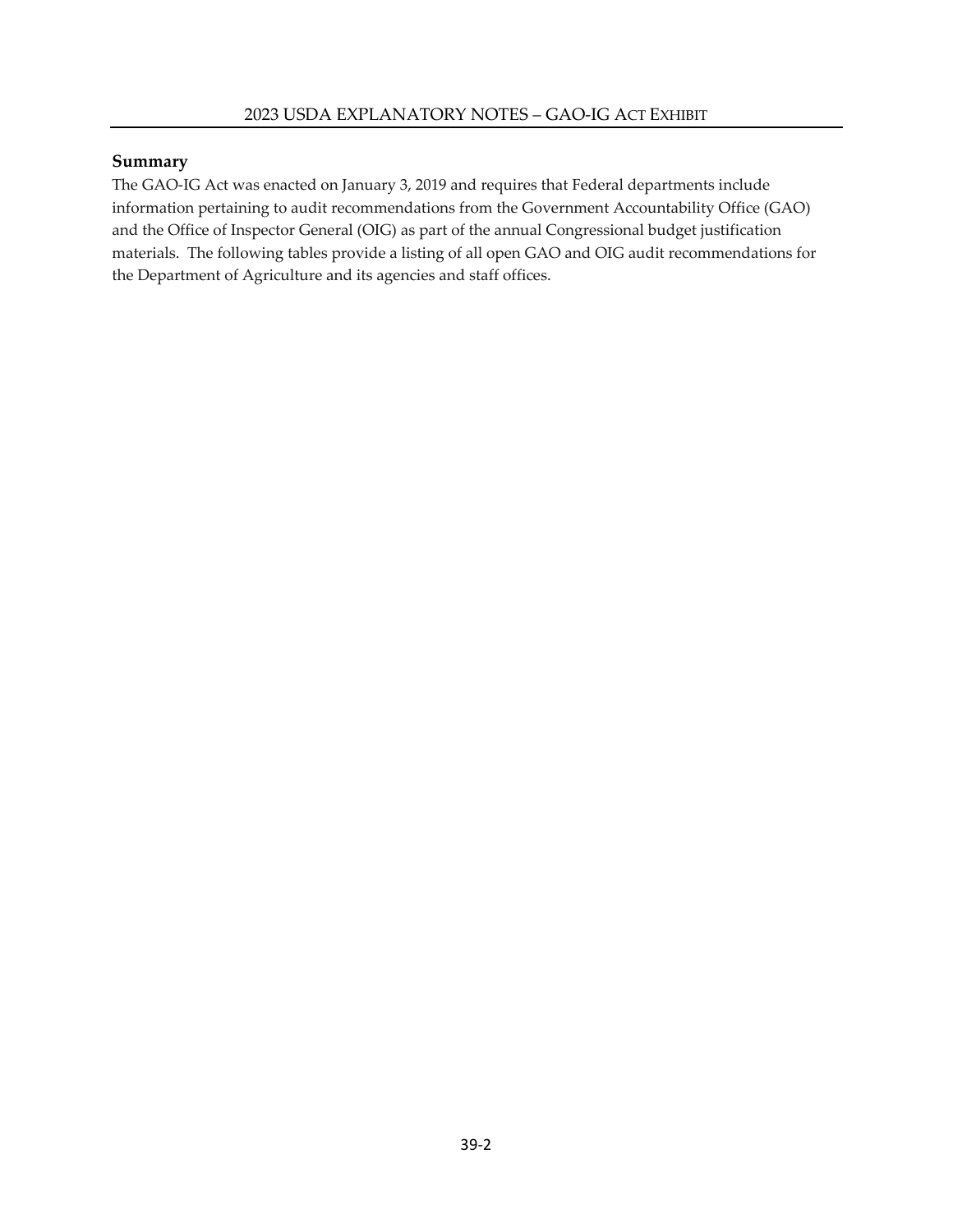#### <span id="page-1-0"></span>**Summary**

The GAO-IG Act was enacted on January 3, 2019 and requires that Federal departments include information pertaining to audit recommendations from the Government Accountability Office (GAO) and the Office of Inspector General (OIG) as part of the annual Congressional budget justification materials. The following tables provide a listing of all open GAO and OIG audit recommendations for the Department of Agriculture and its agencies and staff offices.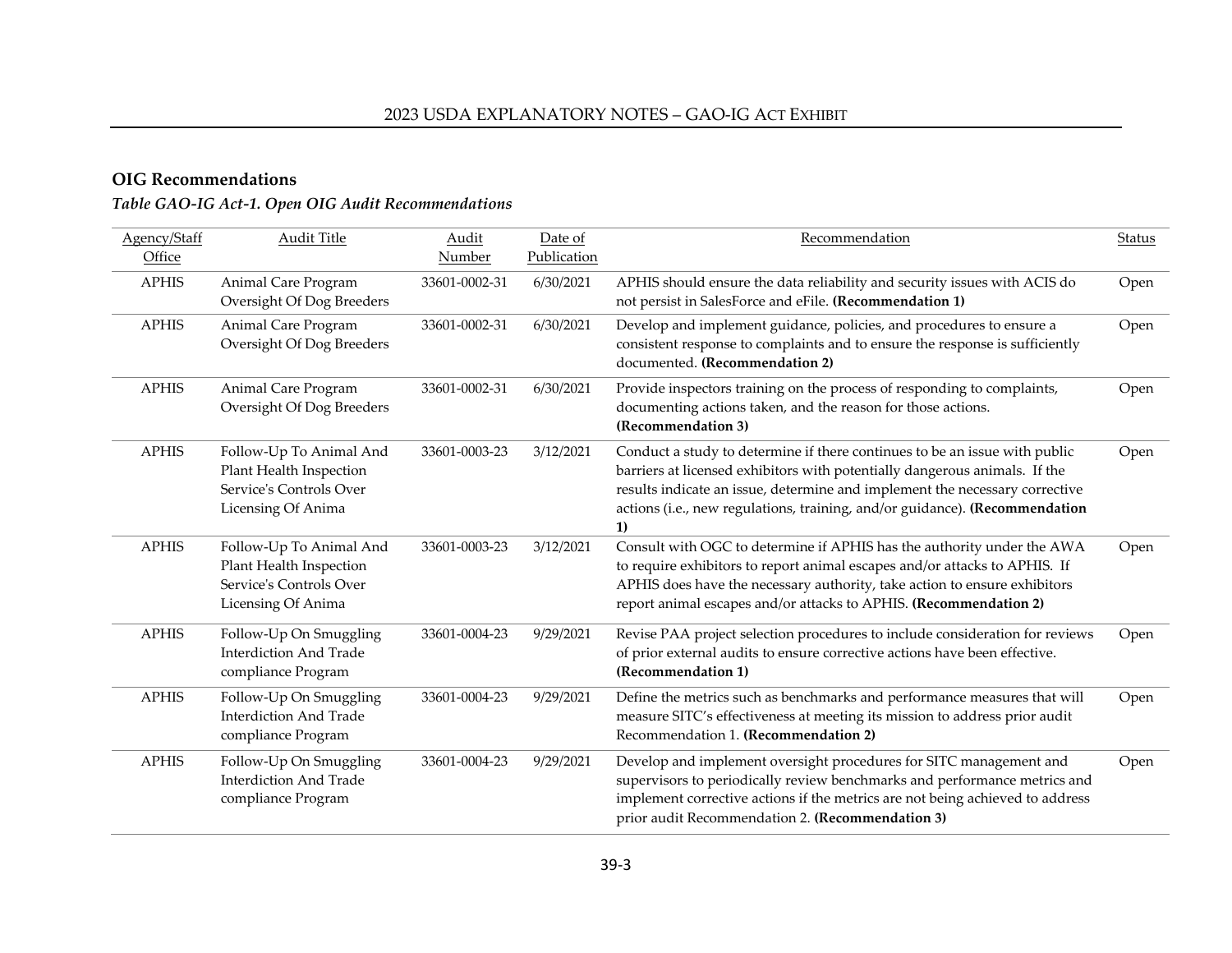# **OIG Recommendations**

# *Table GAO-IG Act-1. Open OIG Audit Recommendations*

<span id="page-2-0"></span>

| Agency/Staff<br>Office | <b>Audit Title</b>                                                                                  | Audit<br><b>Number</b> | Date of<br>Publication | Recommendation                                                                                                                                                                                                                                                                                                               | Status |
|------------------------|-----------------------------------------------------------------------------------------------------|------------------------|------------------------|------------------------------------------------------------------------------------------------------------------------------------------------------------------------------------------------------------------------------------------------------------------------------------------------------------------------------|--------|
| <b>APHIS</b>           | Animal Care Program<br>Oversight Of Dog Breeders                                                    | 33601-0002-31          | 6/30/2021              | APHIS should ensure the data reliability and security issues with ACIS do<br>not persist in SalesForce and eFile. (Recommendation 1)                                                                                                                                                                                         | Open   |
| <b>APHIS</b>           | Animal Care Program<br>Oversight Of Dog Breeders                                                    | 33601-0002-31          | 6/30/2021              | Develop and implement guidance, policies, and procedures to ensure a<br>consistent response to complaints and to ensure the response is sufficiently<br>documented. (Recommendation 2)                                                                                                                                       | Open   |
| <b>APHIS</b>           | Animal Care Program<br>Oversight Of Dog Breeders                                                    | 33601-0002-31          | 6/30/2021              | Provide inspectors training on the process of responding to complaints,<br>documenting actions taken, and the reason for those actions.<br>(Recommendation 3)                                                                                                                                                                | Open   |
| <b>APHIS</b>           | Follow-Up To Animal And<br>Plant Health Inspection<br>Service's Controls Over<br>Licensing Of Anima | 33601-0003-23          | 3/12/2021              | Conduct a study to determine if there continues to be an issue with public<br>barriers at licensed exhibitors with potentially dangerous animals. If the<br>results indicate an issue, determine and implement the necessary corrective<br>actions (i.e., new regulations, training, and/or guidance). (Recommendation<br>1) | Open   |
| <b>APHIS</b>           | Follow-Up To Animal And<br>Plant Health Inspection<br>Service's Controls Over<br>Licensing Of Anima | 33601-0003-23          | 3/12/2021              | Consult with OGC to determine if APHIS has the authority under the AWA<br>to require exhibitors to report animal escapes and/or attacks to APHIS. If<br>APHIS does have the necessary authority, take action to ensure exhibitors<br>report animal escapes and/or attacks to APHIS. (Recommendation 2)                       | Open   |
| <b>APHIS</b>           | Follow-Up On Smuggling<br><b>Interdiction And Trade</b><br>compliance Program                       | 33601-0004-23          | 9/29/2021              | Revise PAA project selection procedures to include consideration for reviews<br>of prior external audits to ensure corrective actions have been effective.<br>(Recommendation 1)                                                                                                                                             | Open   |
| <b>APHIS</b>           | Follow-Up On Smuggling<br><b>Interdiction And Trade</b><br>compliance Program                       | 33601-0004-23          | 9/29/2021              | Define the metrics such as benchmarks and performance measures that will<br>measure SITC's effectiveness at meeting its mission to address prior audit<br>Recommendation 1. (Recommendation 2)                                                                                                                               | Open   |
| <b>APHIS</b>           | Follow-Up On Smuggling<br><b>Interdiction And Trade</b><br>compliance Program                       | 33601-0004-23          | 9/29/2021              | Develop and implement oversight procedures for SITC management and<br>supervisors to periodically review benchmarks and performance metrics and<br>implement corrective actions if the metrics are not being achieved to address<br>prior audit Recommendation 2. (Recommendation 3)                                         | Open   |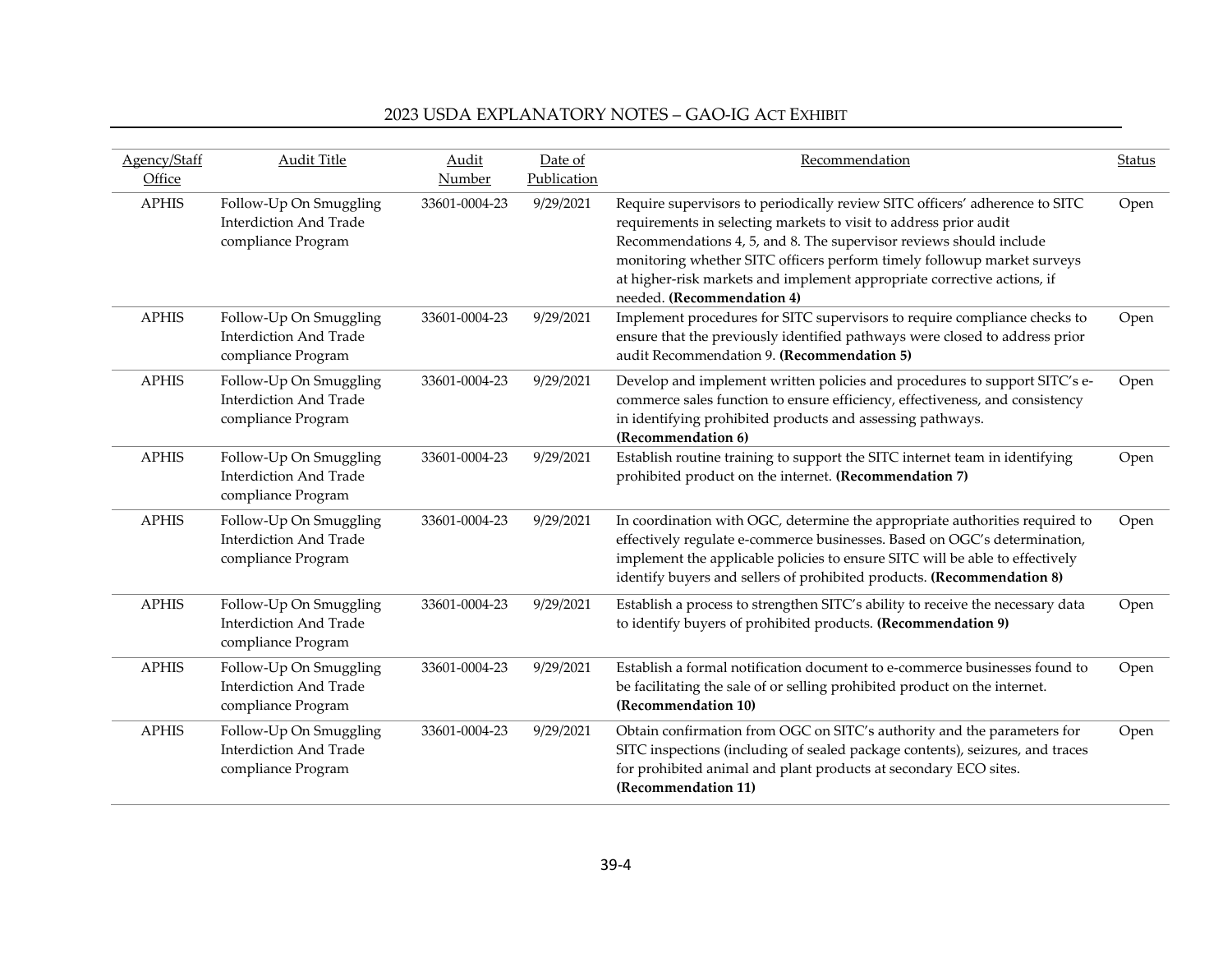| Agency/Staff<br>Office | <b>Audit Title</b>                                                            | Audit<br>Number | Date of<br>Publication | Recommendation                                                                                                                                                                                                                                                                                                                                                                                             | <b>Status</b> |
|------------------------|-------------------------------------------------------------------------------|-----------------|------------------------|------------------------------------------------------------------------------------------------------------------------------------------------------------------------------------------------------------------------------------------------------------------------------------------------------------------------------------------------------------------------------------------------------------|---------------|
| <b>APHIS</b>           | Follow-Up On Smuggling<br><b>Interdiction And Trade</b><br>compliance Program | 33601-0004-23   | 9/29/2021              | Require supervisors to periodically review SITC officers' adherence to SITC<br>requirements in selecting markets to visit to address prior audit<br>Recommendations 4, 5, and 8. The supervisor reviews should include<br>monitoring whether SITC officers perform timely followup market surveys<br>at higher-risk markets and implement appropriate corrective actions, if<br>needed. (Recommendation 4) | Open          |
| <b>APHIS</b>           | Follow-Up On Smuggling<br><b>Interdiction And Trade</b><br>compliance Program | 33601-0004-23   | 9/29/2021              | Implement procedures for SITC supervisors to require compliance checks to<br>ensure that the previously identified pathways were closed to address prior<br>audit Recommendation 9. (Recommendation 5)                                                                                                                                                                                                     | Open          |
| <b>APHIS</b>           | Follow-Up On Smuggling<br><b>Interdiction And Trade</b><br>compliance Program | 33601-0004-23   | 9/29/2021              | Develop and implement written policies and procedures to support SITC's e-<br>commerce sales function to ensure efficiency, effectiveness, and consistency<br>in identifying prohibited products and assessing pathways.<br>(Recommendation 6)                                                                                                                                                             | Open          |
| <b>APHIS</b>           | Follow-Up On Smuggling<br><b>Interdiction And Trade</b><br>compliance Program | 33601-0004-23   | 9/29/2021              | Establish routine training to support the SITC internet team in identifying<br>prohibited product on the internet. (Recommendation 7)                                                                                                                                                                                                                                                                      | Open          |
| <b>APHIS</b>           | Follow-Up On Smuggling<br><b>Interdiction And Trade</b><br>compliance Program | 33601-0004-23   | 9/29/2021              | In coordination with OGC, determine the appropriate authorities required to<br>effectively regulate e-commerce businesses. Based on OGC's determination,<br>implement the applicable policies to ensure SITC will be able to effectively<br>identify buyers and sellers of prohibited products. (Recommendation 8)                                                                                         | Open          |
| <b>APHIS</b>           | Follow-Up On Smuggling<br><b>Interdiction And Trade</b><br>compliance Program | 33601-0004-23   | 9/29/2021              | Establish a process to strengthen SITC's ability to receive the necessary data<br>to identify buyers of prohibited products. (Recommendation 9)                                                                                                                                                                                                                                                            | Open          |
| <b>APHIS</b>           | Follow-Up On Smuggling<br><b>Interdiction And Trade</b><br>compliance Program | 33601-0004-23   | 9/29/2021              | Establish a formal notification document to e-commerce businesses found to<br>be facilitating the sale of or selling prohibited product on the internet.<br>(Recommendation 10)                                                                                                                                                                                                                            | Open          |
| <b>APHIS</b>           | Follow-Up On Smuggling<br><b>Interdiction And Trade</b><br>compliance Program | 33601-0004-23   | 9/29/2021              | Obtain confirmation from OGC on SITC's authority and the parameters for<br>SITC inspections (including of sealed package contents), seizures, and traces<br>for prohibited animal and plant products at secondary ECO sites.<br>(Recommendation 11)                                                                                                                                                        | Open          |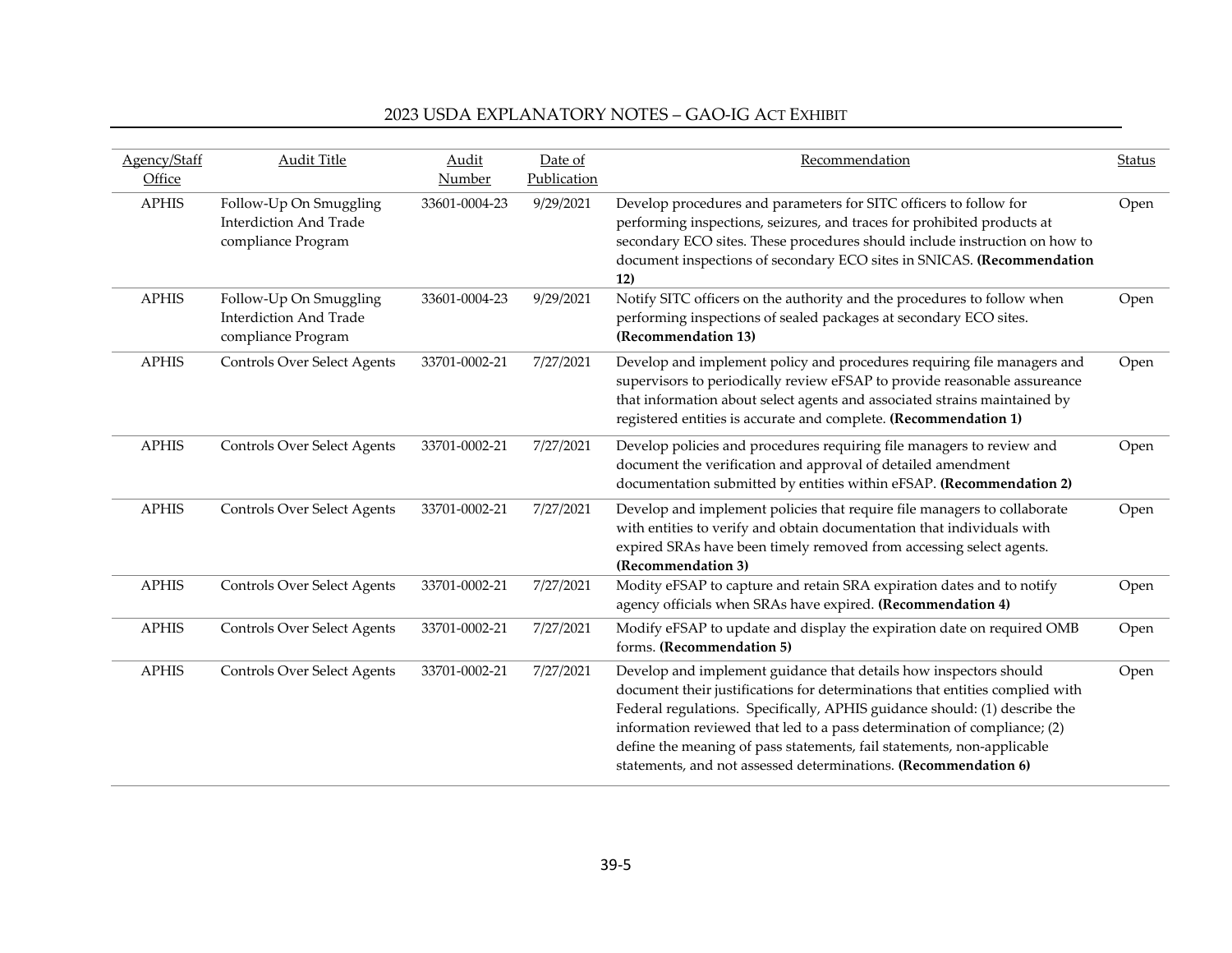| Agency/Staff<br>Office | Audit Title                                                                   | Audit<br>Number | Date of<br>Publication | Recommendation                                                                                                                                                                                                                                                                                                                                                                                                                                           | <b>Status</b> |
|------------------------|-------------------------------------------------------------------------------|-----------------|------------------------|----------------------------------------------------------------------------------------------------------------------------------------------------------------------------------------------------------------------------------------------------------------------------------------------------------------------------------------------------------------------------------------------------------------------------------------------------------|---------------|
| <b>APHIS</b>           | Follow-Up On Smuggling<br><b>Interdiction And Trade</b><br>compliance Program | 33601-0004-23   | 9/29/2021              | Develop procedures and parameters for SITC officers to follow for<br>performing inspections, seizures, and traces for prohibited products at<br>secondary ECO sites. These procedures should include instruction on how to<br>document inspections of secondary ECO sites in SNICAS. (Recommendation<br>12)                                                                                                                                              | Open          |
| <b>APHIS</b>           | Follow-Up On Smuggling<br><b>Interdiction And Trade</b><br>compliance Program | 33601-0004-23   | 9/29/2021              | Notify SITC officers on the authority and the procedures to follow when<br>performing inspections of sealed packages at secondary ECO sites.<br>(Recommendation 13)                                                                                                                                                                                                                                                                                      | Open          |
| <b>APHIS</b>           | <b>Controls Over Select Agents</b>                                            | 33701-0002-21   | 7/27/2021              | Develop and implement policy and procedures requiring file managers and<br>supervisors to periodically review eFSAP to provide reasonable assureance<br>that information about select agents and associated strains maintained by<br>registered entities is accurate and complete. (Recommendation 1)                                                                                                                                                    | Open          |
| <b>APHIS</b>           | <b>Controls Over Select Agents</b>                                            | 33701-0002-21   | 7/27/2021              | Develop policies and procedures requiring file managers to review and<br>document the verification and approval of detailed amendment<br>documentation submitted by entities within eFSAP. (Recommendation 2)                                                                                                                                                                                                                                            | Open          |
| <b>APHIS</b>           | <b>Controls Over Select Agents</b>                                            | 33701-0002-21   | 7/27/2021              | Develop and implement policies that require file managers to collaborate<br>with entities to verify and obtain documentation that individuals with<br>expired SRAs have been timely removed from accessing select agents.<br>(Recommendation 3)                                                                                                                                                                                                          | Open          |
| <b>APHIS</b>           | <b>Controls Over Select Agents</b>                                            | 33701-0002-21   | 7/27/2021              | Modity eFSAP to capture and retain SRA expiration dates and to notify<br>agency officials when SRAs have expired. (Recommendation 4)                                                                                                                                                                                                                                                                                                                     | Open          |
| <b>APHIS</b>           | <b>Controls Over Select Agents</b>                                            | 33701-0002-21   | 7/27/2021              | Modify eFSAP to update and display the expiration date on required OMB<br>forms. (Recommendation 5)                                                                                                                                                                                                                                                                                                                                                      | Open          |
| <b>APHIS</b>           | <b>Controls Over Select Agents</b>                                            | 33701-0002-21   | 7/27/2021              | Develop and implement guidance that details how inspectors should<br>document their justifications for determinations that entities complied with<br>Federal regulations. Specifically, APHIS guidance should: (1) describe the<br>information reviewed that led to a pass determination of compliance; (2)<br>define the meaning of pass statements, fail statements, non-applicable<br>statements, and not assessed determinations. (Recommendation 6) | Open          |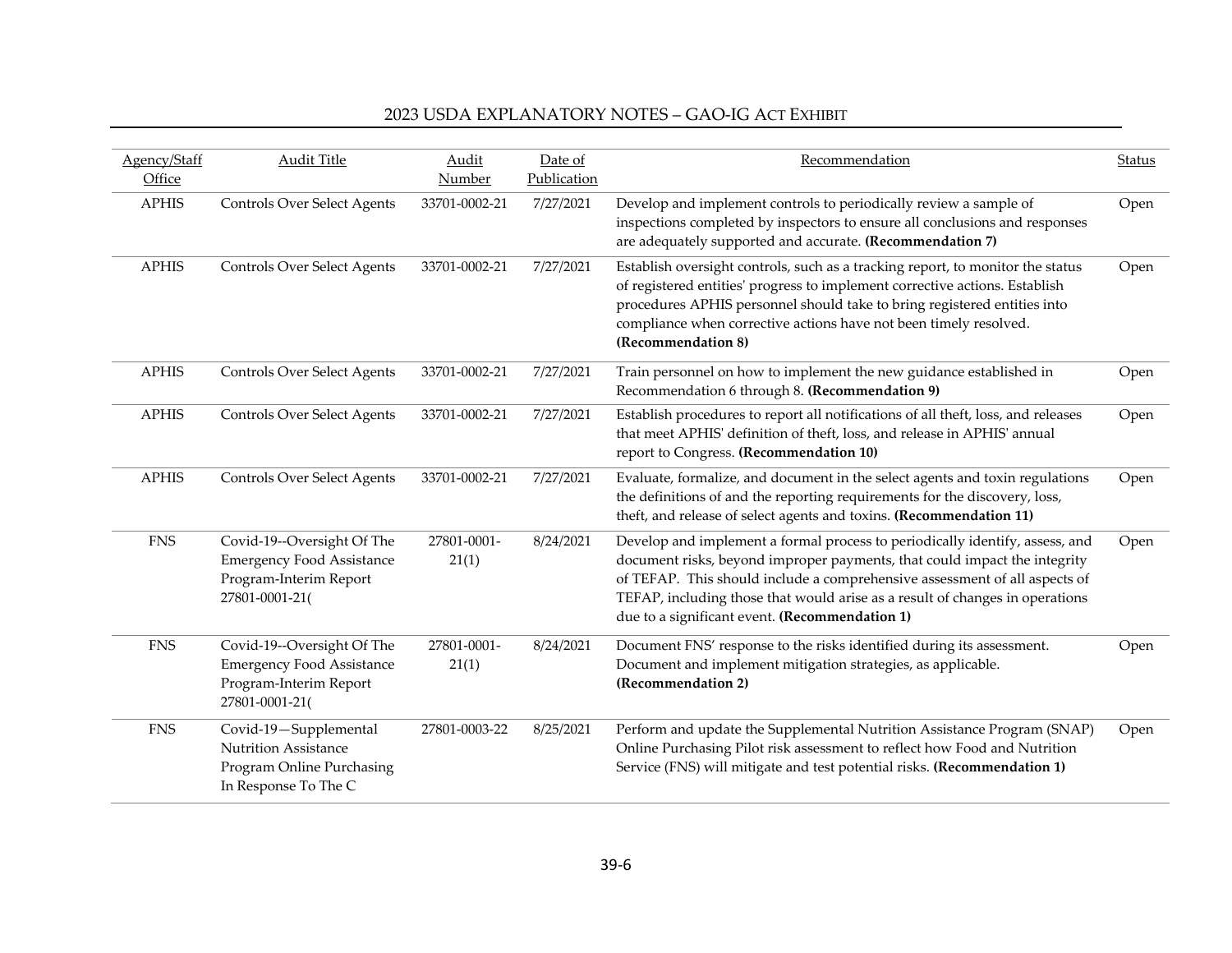| Agency/Staff<br>Office | <b>Audit Title</b>                                                                                         | Audit<br>Number      | Date of<br>Publication | Recommendation                                                                                                                                                                                                                                                                                                                                                            | <b>Status</b> |
|------------------------|------------------------------------------------------------------------------------------------------------|----------------------|------------------------|---------------------------------------------------------------------------------------------------------------------------------------------------------------------------------------------------------------------------------------------------------------------------------------------------------------------------------------------------------------------------|---------------|
| <b>APHIS</b>           | <b>Controls Over Select Agents</b>                                                                         | 33701-0002-21        | 7/27/2021              | Develop and implement controls to periodically review a sample of<br>inspections completed by inspectors to ensure all conclusions and responses<br>are adequately supported and accurate. (Recommendation 7)                                                                                                                                                             | Open          |
| <b>APHIS</b>           | <b>Controls Over Select Agents</b>                                                                         | 33701-0002-21        | 7/27/2021              | Establish oversight controls, such as a tracking report, to monitor the status<br>of registered entities' progress to implement corrective actions. Establish<br>procedures APHIS personnel should take to bring registered entities into<br>compliance when corrective actions have not been timely resolved.<br>(Recommendation 8)                                      | Open          |
| <b>APHIS</b>           | <b>Controls Over Select Agents</b>                                                                         | 33701-0002-21        | 7/27/2021              | Train personnel on how to implement the new guidance established in<br>Recommendation 6 through 8. (Recommendation 9)                                                                                                                                                                                                                                                     | Open          |
| <b>APHIS</b>           | Controls Over Select Agents                                                                                | 33701-0002-21        | 7/27/2021              | Establish procedures to report all notifications of all theft, loss, and releases<br>that meet APHIS' definition of theft, loss, and release in APHIS' annual<br>report to Congress. (Recommendation 10)                                                                                                                                                                  | Open          |
| <b>APHIS</b>           | <b>Controls Over Select Agents</b>                                                                         | 33701-0002-21        | 7/27/2021              | Evaluate, formalize, and document in the select agents and toxin regulations<br>the definitions of and the reporting requirements for the discovery, loss,<br>theft, and release of select agents and toxins. (Recommendation 11)                                                                                                                                         | Open          |
| <b>FNS</b>             | Covid-19--Oversight Of The<br><b>Emergency Food Assistance</b><br>Program-Interim Report<br>27801-0001-21( | 27801-0001-<br>21(1) | 8/24/2021              | Develop and implement a formal process to periodically identify, assess, and<br>document risks, beyond improper payments, that could impact the integrity<br>of TEFAP. This should include a comprehensive assessment of all aspects of<br>TEFAP, including those that would arise as a result of changes in operations<br>due to a significant event. (Recommendation 1) | Open          |
| <b>FNS</b>             | Covid-19--Oversight Of The<br><b>Emergency Food Assistance</b><br>Program-Interim Report<br>27801-0001-21( | 27801-0001-<br>21(1) | 8/24/2021              | Document FNS' response to the risks identified during its assessment.<br>Document and implement mitigation strategies, as applicable.<br>(Recommendation 2)                                                                                                                                                                                                               | Open          |
| <b>FNS</b>             | Covid-19-Supplemental<br><b>Nutrition Assistance</b><br>Program Online Purchasing<br>In Response To The C  | 27801-0003-22        | 8/25/2021              | Perform and update the Supplemental Nutrition Assistance Program (SNAP)<br>Online Purchasing Pilot risk assessment to reflect how Food and Nutrition<br>Service (FNS) will mitigate and test potential risks. (Recommendation 1)                                                                                                                                          | Open          |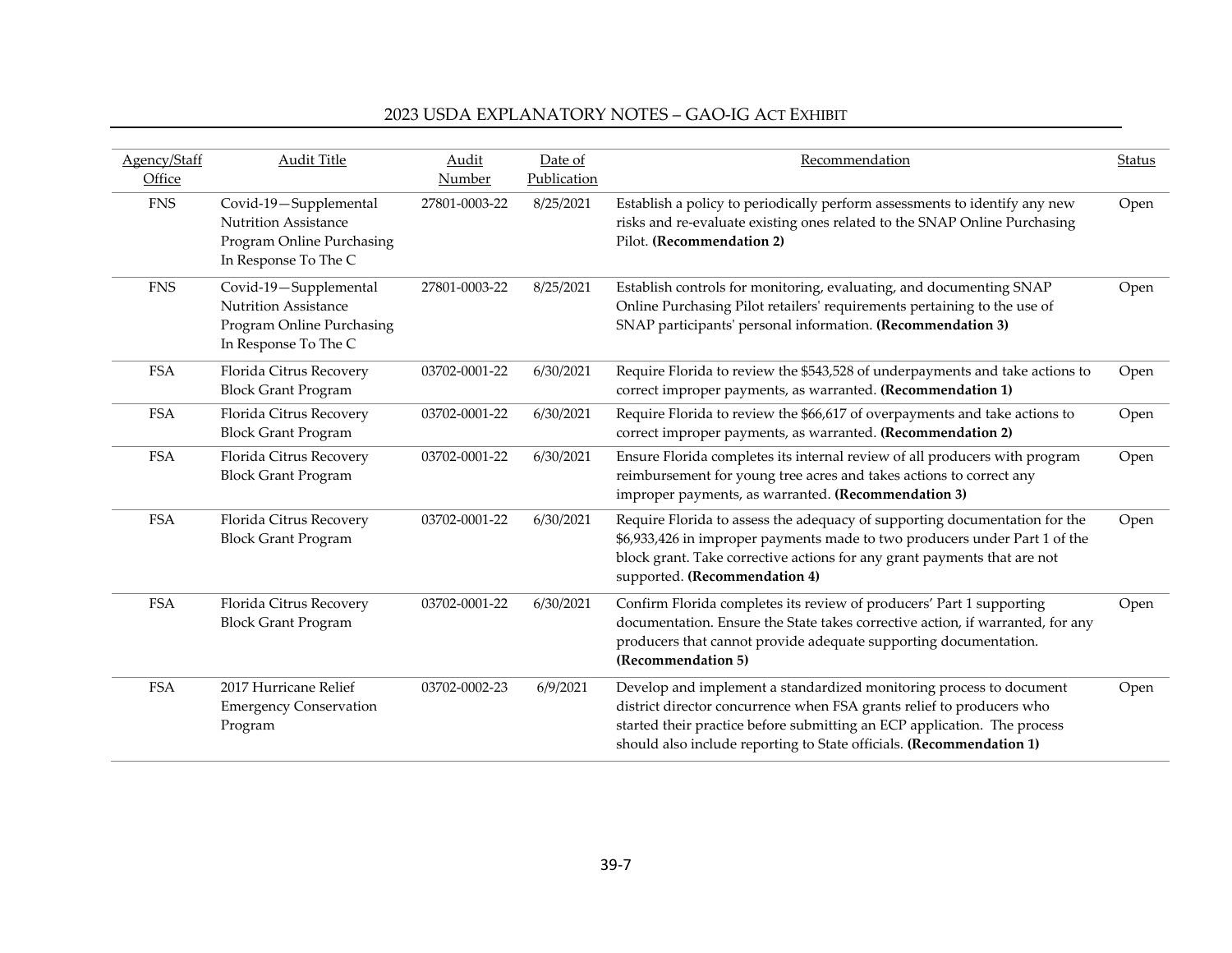| Agency/Staff<br>Office | <b>Audit Title</b>                                                                                        | Audit<br>Number | Date of<br>Publication | Recommendation                                                                                                                                                                                                                                                                                   | Status |
|------------------------|-----------------------------------------------------------------------------------------------------------|-----------------|------------------------|--------------------------------------------------------------------------------------------------------------------------------------------------------------------------------------------------------------------------------------------------------------------------------------------------|--------|
| <b>FNS</b>             | Covid-19-Supplemental<br><b>Nutrition Assistance</b><br>Program Online Purchasing<br>In Response To The C | 27801-0003-22   | 8/25/2021              | Establish a policy to periodically perform assessments to identify any new<br>risks and re-evaluate existing ones related to the SNAP Online Purchasing<br>Pilot. (Recommendation 2)                                                                                                             | Open   |
| <b>FNS</b>             | Covid-19-Supplemental<br><b>Nutrition Assistance</b><br>Program Online Purchasing<br>In Response To The C | 27801-0003-22   | 8/25/2021              | Establish controls for monitoring, evaluating, and documenting SNAP<br>Online Purchasing Pilot retailers' requirements pertaining to the use of<br>SNAP participants' personal information. (Recommendation 3)                                                                                   | Open   |
| <b>FSA</b>             | Florida Citrus Recovery<br><b>Block Grant Program</b>                                                     | 03702-0001-22   | 6/30/2021              | Require Florida to review the \$543,528 of underpayments and take actions to<br>correct improper payments, as warranted. (Recommendation 1)                                                                                                                                                      | Open   |
| <b>FSA</b>             | Florida Citrus Recovery<br><b>Block Grant Program</b>                                                     | 03702-0001-22   | 6/30/2021              | Require Florida to review the \$66,617 of overpayments and take actions to<br>correct improper payments, as warranted. (Recommendation 2)                                                                                                                                                        | Open   |
| <b>FSA</b>             | Florida Citrus Recovery<br><b>Block Grant Program</b>                                                     | 03702-0001-22   | 6/30/2021              | Ensure Florida completes its internal review of all producers with program<br>reimbursement for young tree acres and takes actions to correct any<br>improper payments, as warranted. (Recommendation 3)                                                                                         | Open   |
| <b>FSA</b>             | Florida Citrus Recovery<br><b>Block Grant Program</b>                                                     | 03702-0001-22   | 6/30/2021              | Require Florida to assess the adequacy of supporting documentation for the<br>\$6,933,426 in improper payments made to two producers under Part 1 of the<br>block grant. Take corrective actions for any grant payments that are not<br>supported. (Recommendation 4)                            | Open   |
| <b>FSA</b>             | Florida Citrus Recovery<br><b>Block Grant Program</b>                                                     | 03702-0001-22   | 6/30/2021              | Confirm Florida completes its review of producers' Part 1 supporting<br>documentation. Ensure the State takes corrective action, if warranted, for any<br>producers that cannot provide adequate supporting documentation.<br>(Recommendation 5)                                                 | Open   |
| <b>FSA</b>             | 2017 Hurricane Relief<br><b>Emergency Conservation</b><br>Program                                         | 03702-0002-23   | 6/9/2021               | Develop and implement a standardized monitoring process to document<br>district director concurrence when FSA grants relief to producers who<br>started their practice before submitting an ECP application. The process<br>should also include reporting to State officials. (Recommendation 1) | Open   |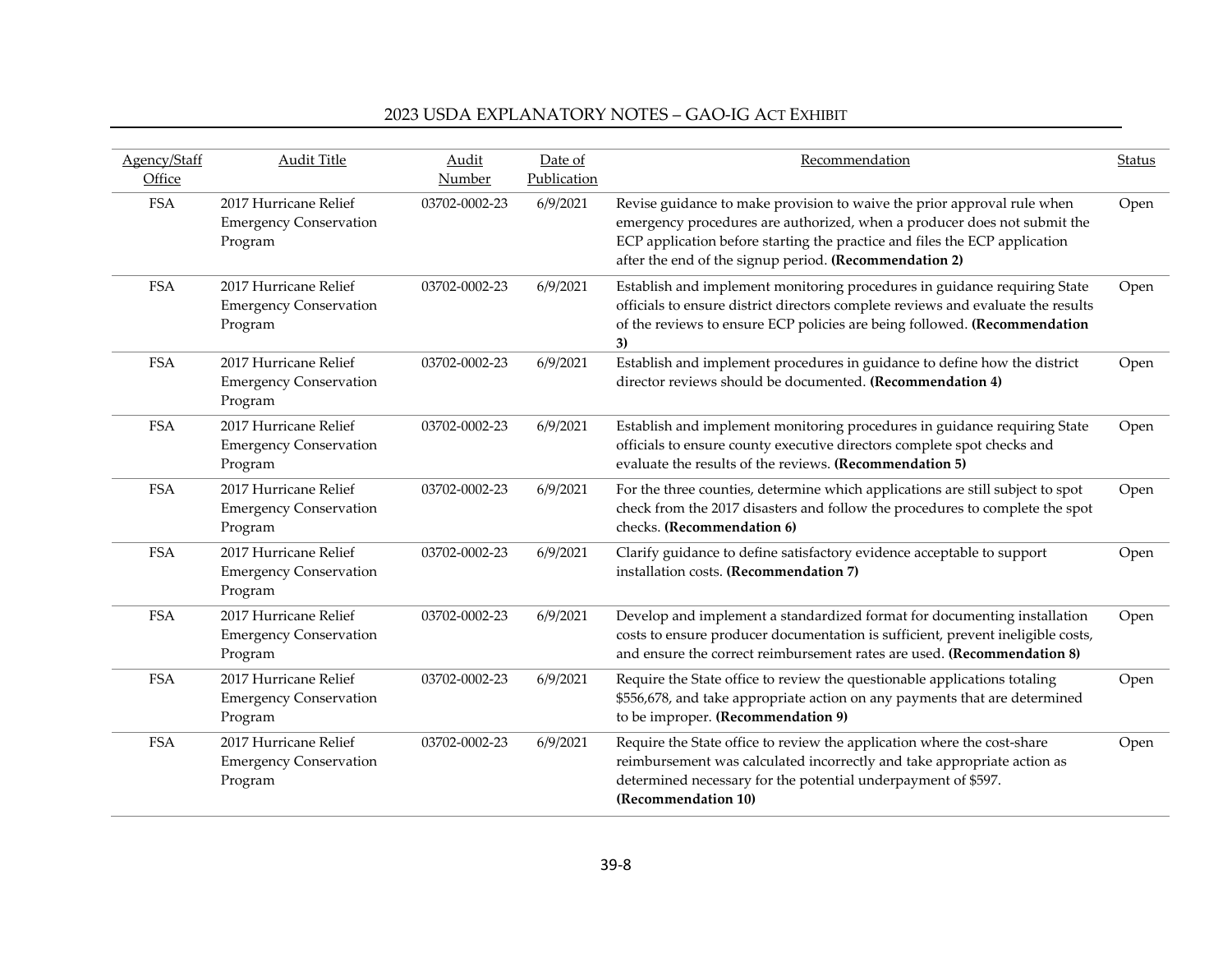| Agency/Staff<br>Office | <b>Audit Title</b>                                                | Audit<br>Number | Date of<br>Publication | Recommendation                                                                                                                                                                                                                                                                              | <b>Status</b> |
|------------------------|-------------------------------------------------------------------|-----------------|------------------------|---------------------------------------------------------------------------------------------------------------------------------------------------------------------------------------------------------------------------------------------------------------------------------------------|---------------|
| <b>FSA</b>             | 2017 Hurricane Relief<br><b>Emergency Conservation</b><br>Program | 03702-0002-23   | 6/9/2021               | Revise guidance to make provision to waive the prior approval rule when<br>emergency procedures are authorized, when a producer does not submit the<br>ECP application before starting the practice and files the ECP application<br>after the end of the signup period. (Recommendation 2) | Open          |
| <b>FSA</b>             | 2017 Hurricane Relief<br><b>Emergency Conservation</b><br>Program | 03702-0002-23   | 6/9/2021               | Establish and implement monitoring procedures in guidance requiring State<br>officials to ensure district directors complete reviews and evaluate the results<br>of the reviews to ensure ECP policies are being followed. (Recommendation<br>3)                                            | Open          |
| <b>FSA</b>             | 2017 Hurricane Relief<br><b>Emergency Conservation</b><br>Program | 03702-0002-23   | 6/9/2021               | Establish and implement procedures in guidance to define how the district<br>director reviews should be documented. (Recommendation 4)                                                                                                                                                      | Open          |
| <b>FSA</b>             | 2017 Hurricane Relief<br><b>Emergency Conservation</b><br>Program | 03702-0002-23   | 6/9/2021               | Establish and implement monitoring procedures in guidance requiring State<br>officials to ensure county executive directors complete spot checks and<br>evaluate the results of the reviews. (Recommendation 5)                                                                             | Open          |
| <b>FSA</b>             | 2017 Hurricane Relief<br><b>Emergency Conservation</b><br>Program | 03702-0002-23   | 6/9/2021               | For the three counties, determine which applications are still subject to spot<br>check from the 2017 disasters and follow the procedures to complete the spot<br>checks. (Recommendation 6)                                                                                                | Open          |
| <b>FSA</b>             | 2017 Hurricane Relief<br><b>Emergency Conservation</b><br>Program | 03702-0002-23   | 6/9/2021               | Clarify guidance to define satisfactory evidence acceptable to support<br>installation costs. (Recommendation 7)                                                                                                                                                                            | Open          |
| <b>FSA</b>             | 2017 Hurricane Relief<br><b>Emergency Conservation</b><br>Program | 03702-0002-23   | 6/9/2021               | Develop and implement a standardized format for documenting installation<br>costs to ensure producer documentation is sufficient, prevent ineligible costs,<br>and ensure the correct reimbursement rates are used. (Recommendation 8)                                                      | Open          |
| <b>FSA</b>             | 2017 Hurricane Relief<br><b>Emergency Conservation</b><br>Program | 03702-0002-23   | 6/9/2021               | Require the State office to review the questionable applications totaling<br>\$556,678, and take appropriate action on any payments that are determined<br>to be improper. (Recommendation 9)                                                                                               | Open          |
| <b>FSA</b>             | 2017 Hurricane Relief<br><b>Emergency Conservation</b><br>Program | 03702-0002-23   | 6/9/2021               | Require the State office to review the application where the cost-share<br>reimbursement was calculated incorrectly and take appropriate action as<br>determined necessary for the potential underpayment of \$597.<br>(Recommendation 10)                                                  | Open          |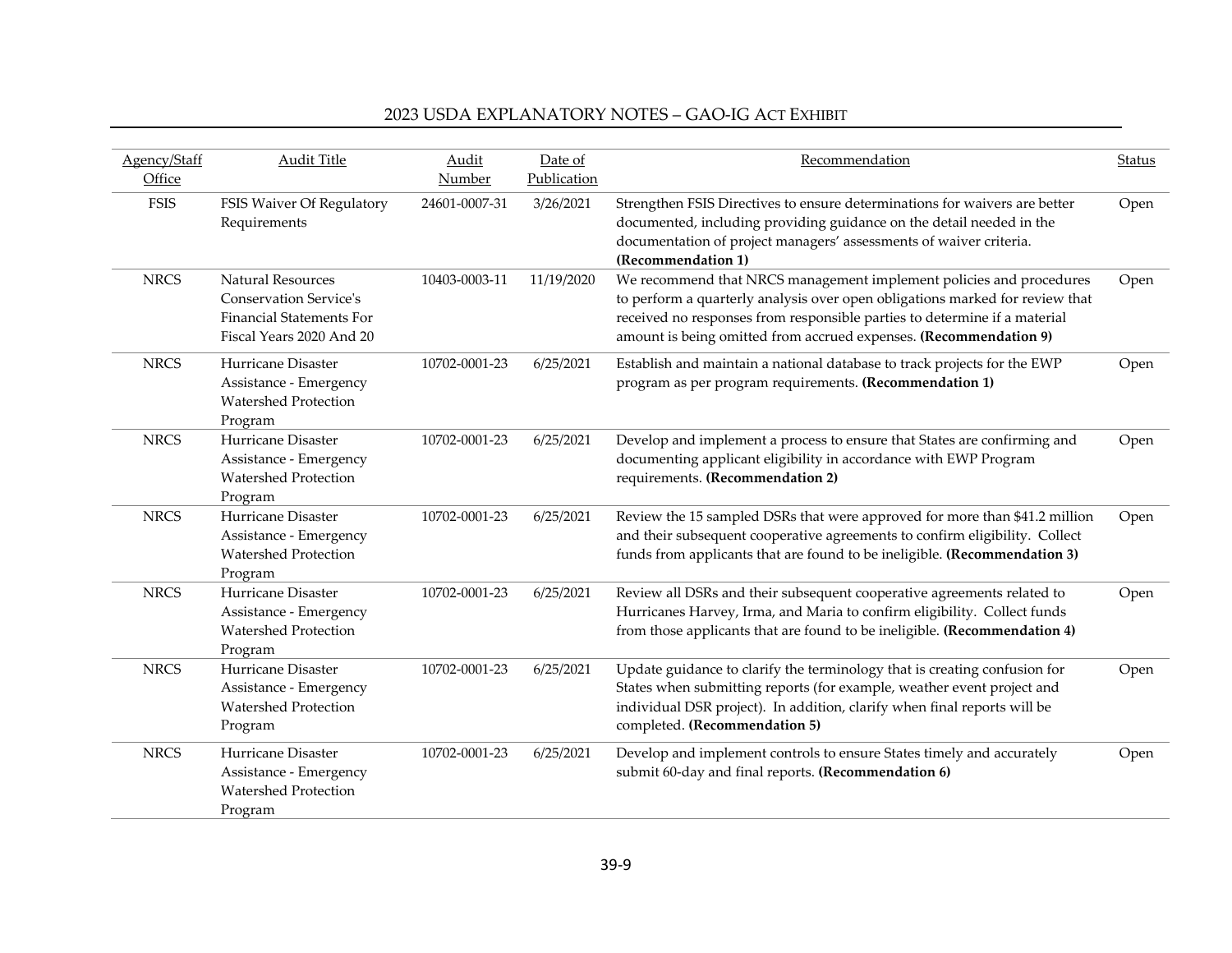| Agency/Staff<br>Office | <b>Audit Title</b>                                                                                                       | Audit<br>Number | Date of<br>Publication | Recommendation                                                                                                                                                                                                                                                                                        | <b>Status</b> |
|------------------------|--------------------------------------------------------------------------------------------------------------------------|-----------------|------------------------|-------------------------------------------------------------------------------------------------------------------------------------------------------------------------------------------------------------------------------------------------------------------------------------------------------|---------------|
| <b>FSIS</b>            | FSIS Waiver Of Regulatory<br>Requirements                                                                                | 24601-0007-31   | 3/26/2021              | Strengthen FSIS Directives to ensure determinations for waivers are better<br>documented, including providing guidance on the detail needed in the<br>documentation of project managers' assessments of waiver criteria.<br>(Recommendation 1)                                                        | Open          |
| <b>NRCS</b>            | <b>Natural Resources</b><br><b>Conservation Service's</b><br><b>Financial Statements For</b><br>Fiscal Years 2020 And 20 | 10403-0003-11   | 11/19/2020             | We recommend that NRCS management implement policies and procedures<br>to perform a quarterly analysis over open obligations marked for review that<br>received no responses from responsible parties to determine if a material<br>amount is being omitted from accrued expenses. (Recommendation 9) | Open          |
| <b>NRCS</b>            | Hurricane Disaster<br>Assistance - Emergency<br><b>Watershed Protection</b><br>Program                                   | 10702-0001-23   | 6/25/2021              | Establish and maintain a national database to track projects for the EWP<br>program as per program requirements. (Recommendation 1)                                                                                                                                                                   | Open          |
| <b>NRCS</b>            | Hurricane Disaster<br>Assistance - Emergency<br><b>Watershed Protection</b><br>Program                                   | 10702-0001-23   | 6/25/2021              | Develop and implement a process to ensure that States are confirming and<br>documenting applicant eligibility in accordance with EWP Program<br>requirements. (Recommendation 2)                                                                                                                      | Open          |
| <b>NRCS</b>            | Hurricane Disaster<br>Assistance - Emergency<br><b>Watershed Protection</b><br>Program                                   | 10702-0001-23   | 6/25/2021              | Review the 15 sampled DSRs that were approved for more than \$41.2 million<br>and their subsequent cooperative agreements to confirm eligibility. Collect<br>funds from applicants that are found to be ineligible. (Recommendation 3)                                                                | Open          |
| <b>NRCS</b>            | Hurricane Disaster<br>Assistance - Emergency<br><b>Watershed Protection</b><br>Program                                   | 10702-0001-23   | 6/25/2021              | Review all DSRs and their subsequent cooperative agreements related to<br>Hurricanes Harvey, Irma, and Maria to confirm eligibility. Collect funds<br>from those applicants that are found to be ineligible. (Recommendation 4)                                                                       | Open          |
| <b>NRCS</b>            | Hurricane Disaster<br>Assistance - Emergency<br><b>Watershed Protection</b><br>Program                                   | 10702-0001-23   | 6/25/2021              | Update guidance to clarify the terminology that is creating confusion for<br>States when submitting reports (for example, weather event project and<br>individual DSR project). In addition, clarify when final reports will be<br>completed. (Recommendation 5)                                      | Open          |
| <b>NRCS</b>            | Hurricane Disaster<br>Assistance - Emergency<br><b>Watershed Protection</b><br>Program                                   | 10702-0001-23   | 6/25/2021              | Develop and implement controls to ensure States timely and accurately<br>submit 60-day and final reports. (Recommendation 6)                                                                                                                                                                          | Open          |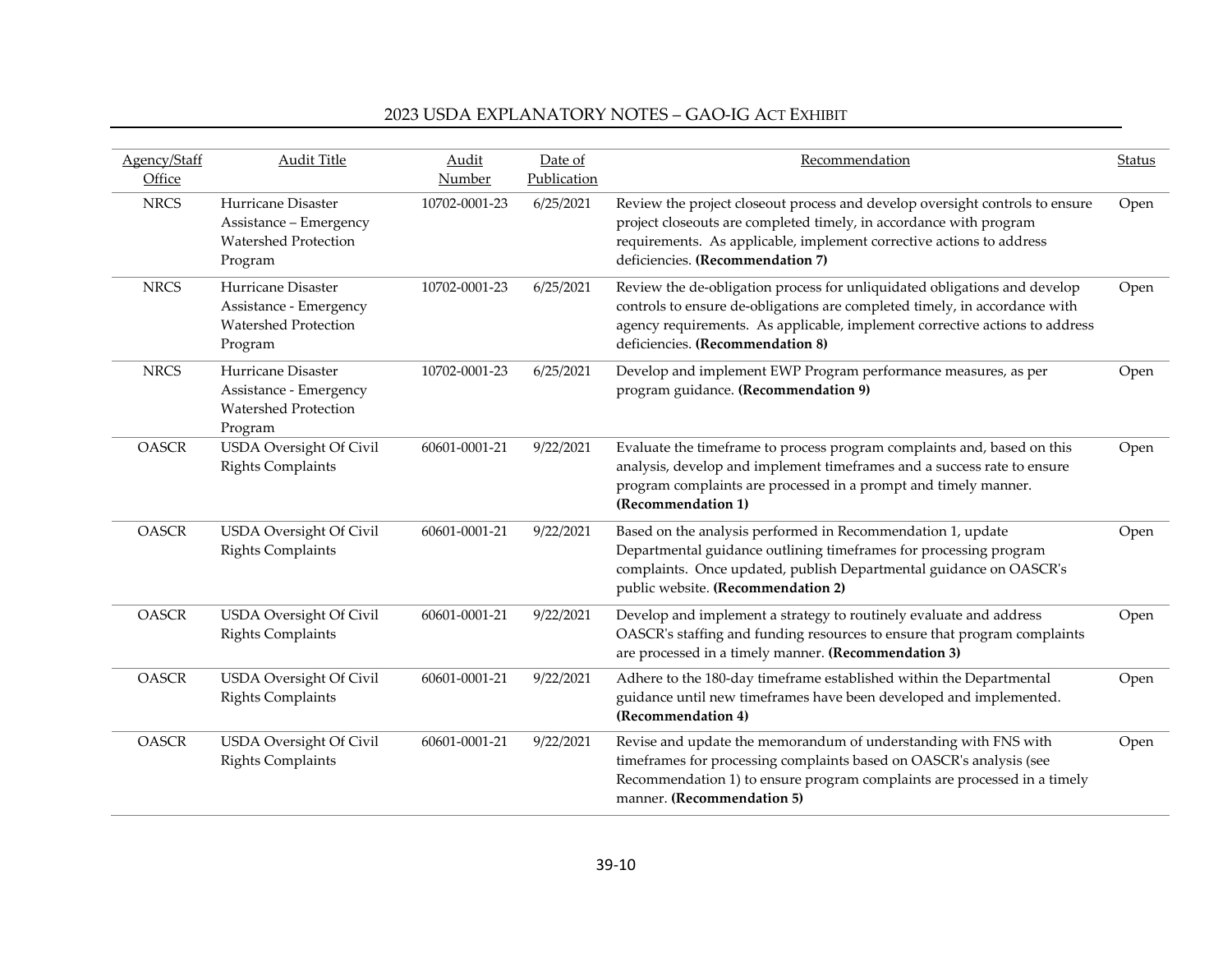| Agency/Staff<br>Office | <b>Audit Title</b>                                                                     | Audit<br><b>Number</b> | Date of<br>Publication | Recommendation                                                                                                                                                                                                                                                             | <b>Status</b> |
|------------------------|----------------------------------------------------------------------------------------|------------------------|------------------------|----------------------------------------------------------------------------------------------------------------------------------------------------------------------------------------------------------------------------------------------------------------------------|---------------|
| <b>NRCS</b>            | Hurricane Disaster<br>Assistance - Emergency<br><b>Watershed Protection</b><br>Program | 10702-0001-23          | 6/25/2021              | Review the project closeout process and develop oversight controls to ensure<br>project closeouts are completed timely, in accordance with program<br>requirements. As applicable, implement corrective actions to address<br>deficiencies. (Recommendation 7)             | Open          |
| <b>NRCS</b>            | Hurricane Disaster<br>Assistance - Emergency<br><b>Watershed Protection</b><br>Program | 10702-0001-23          | 6/25/2021              | Review the de-obligation process for unliquidated obligations and develop<br>controls to ensure de-obligations are completed timely, in accordance with<br>agency requirements. As applicable, implement corrective actions to address<br>deficiencies. (Recommendation 8) | Open          |
| <b>NRCS</b>            | Hurricane Disaster<br>Assistance - Emergency<br><b>Watershed Protection</b><br>Program | 10702-0001-23          | 6/25/2021              | Develop and implement EWP Program performance measures, as per<br>program guidance. (Recommendation 9)                                                                                                                                                                     | Open          |
| <b>OASCR</b>           | <b>USDA</b> Oversight Of Civil<br><b>Rights Complaints</b>                             | 60601-0001-21          | 9/22/2021              | Evaluate the timeframe to process program complaints and, based on this<br>analysis, develop and implement timeframes and a success rate to ensure<br>program complaints are processed in a prompt and timely manner.<br>(Recommendation 1)                                | Open          |
| <b>OASCR</b>           | USDA Oversight Of Civil<br><b>Rights Complaints</b>                                    | 60601-0001-21          | 9/22/2021              | Based on the analysis performed in Recommendation 1, update<br>Departmental guidance outlining timeframes for processing program<br>complaints. Once updated, publish Departmental guidance on OASCR's<br>public website. (Recommendation 2)                               | Open          |
| <b>OASCR</b>           | USDA Oversight Of Civil<br><b>Rights Complaints</b>                                    | 60601-0001-21          | 9/22/2021              | Develop and implement a strategy to routinely evaluate and address<br>OASCR's staffing and funding resources to ensure that program complaints<br>are processed in a timely manner. (Recommendation 3)                                                                     | Open          |
| <b>OASCR</b>           | <b>USDA</b> Oversight Of Civil<br><b>Rights Complaints</b>                             | 60601-0001-21          | 9/22/2021              | Adhere to the 180-day timeframe established within the Departmental<br>guidance until new timeframes have been developed and implemented.<br>(Recommendation 4)                                                                                                            | Open          |
| <b>OASCR</b>           | <b>USDA</b> Oversight Of Civil<br><b>Rights Complaints</b>                             | 60601-0001-21          | 9/22/2021              | Revise and update the memorandum of understanding with FNS with<br>timeframes for processing complaints based on OASCR's analysis (see<br>Recommendation 1) to ensure program complaints are processed in a timely<br>manner. (Recommendation 5)                           | Open          |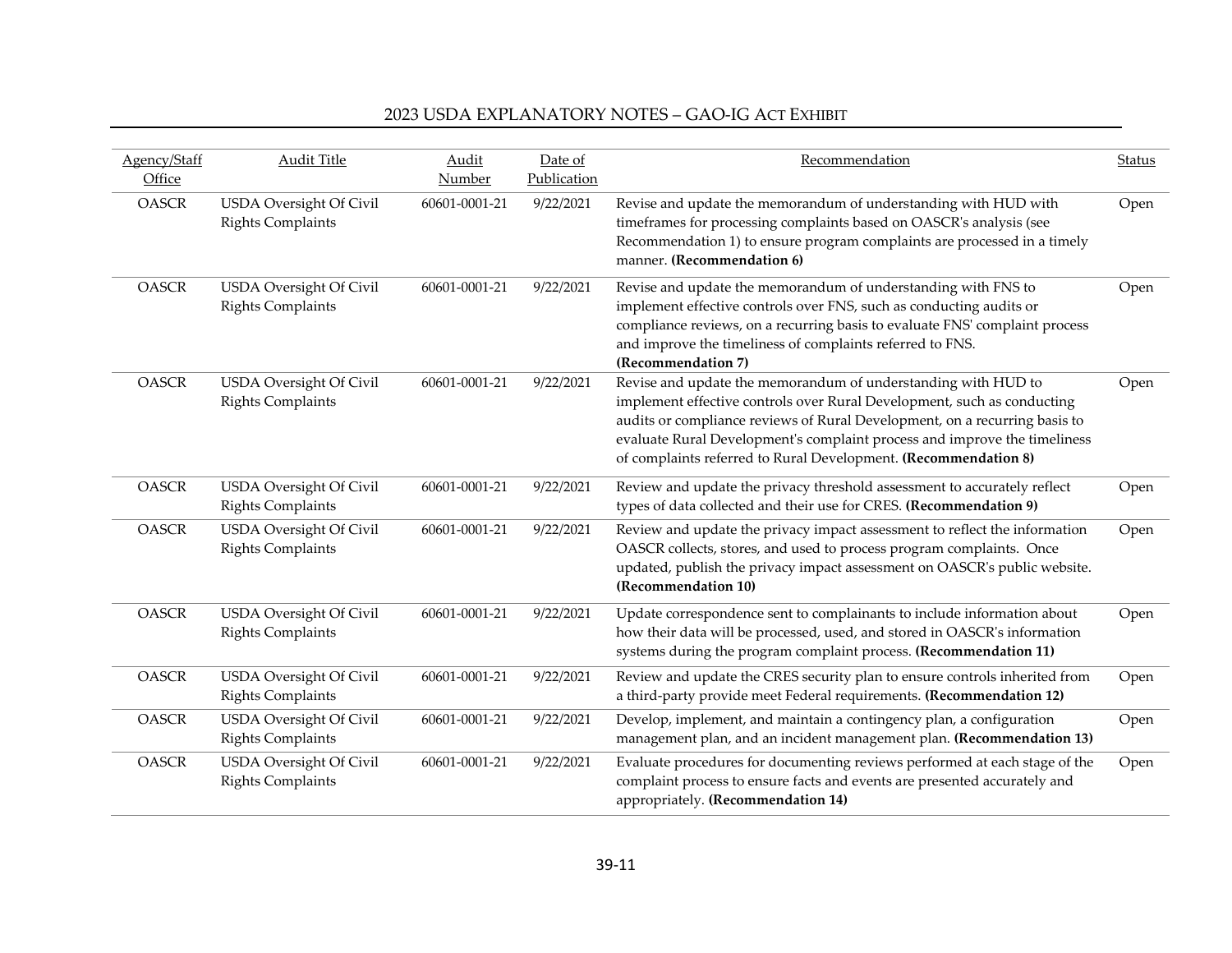| Agency/Staff<br>Office | <b>Audit Title</b>                                         | Audit<br>Number | Date of<br>Publication | Recommendation                                                                                                                                                                                                                                                                                                                                                         | <b>Status</b> |
|------------------------|------------------------------------------------------------|-----------------|------------------------|------------------------------------------------------------------------------------------------------------------------------------------------------------------------------------------------------------------------------------------------------------------------------------------------------------------------------------------------------------------------|---------------|
| <b>OASCR</b>           | <b>USDA</b> Oversight Of Civil<br><b>Rights Complaints</b> | 60601-0001-21   | 9/22/2021              | Revise and update the memorandum of understanding with HUD with<br>timeframes for processing complaints based on OASCR's analysis (see<br>Recommendation 1) to ensure program complaints are processed in a timely<br>manner. (Recommendation 6)                                                                                                                       | Open          |
| <b>OASCR</b>           | USDA Oversight Of Civil<br><b>Rights Complaints</b>        | 60601-0001-21   | 9/22/2021              | Revise and update the memorandum of understanding with FNS to<br>implement effective controls over FNS, such as conducting audits or<br>compliance reviews, on a recurring basis to evaluate FNS' complaint process<br>and improve the timeliness of complaints referred to FNS.<br>(Recommendation 7)                                                                 | Open          |
| <b>OASCR</b>           | <b>USDA</b> Oversight Of Civil<br><b>Rights Complaints</b> | 60601-0001-21   | 9/22/2021              | Revise and update the memorandum of understanding with HUD to<br>implement effective controls over Rural Development, such as conducting<br>audits or compliance reviews of Rural Development, on a recurring basis to<br>evaluate Rural Development's complaint process and improve the timeliness<br>of complaints referred to Rural Development. (Recommendation 8) | Open          |
| <b>OASCR</b>           | USDA Oversight Of Civil<br><b>Rights Complaints</b>        | 60601-0001-21   | 9/22/2021              | Review and update the privacy threshold assessment to accurately reflect<br>types of data collected and their use for CRES. (Recommendation 9)                                                                                                                                                                                                                         | Open          |
| <b>OASCR</b>           | <b>USDA</b> Oversight Of Civil<br><b>Rights Complaints</b> | 60601-0001-21   | 9/22/2021              | Review and update the privacy impact assessment to reflect the information<br>OASCR collects, stores, and used to process program complaints. Once<br>updated, publish the privacy impact assessment on OASCR's public website.<br>(Recommendation 10)                                                                                                                 | Open          |
| <b>OASCR</b>           | <b>USDA</b> Oversight Of Civil<br><b>Rights Complaints</b> | 60601-0001-21   | 9/22/2021              | Update correspondence sent to complainants to include information about<br>how their data will be processed, used, and stored in OASCR's information<br>systems during the program complaint process. (Recommendation 11)                                                                                                                                              | Open          |
| <b>OASCR</b>           | <b>USDA</b> Oversight Of Civil<br><b>Rights Complaints</b> | 60601-0001-21   | 9/22/2021              | Review and update the CRES security plan to ensure controls inherited from<br>a third-party provide meet Federal requirements. (Recommendation 12)                                                                                                                                                                                                                     | Open          |
| <b>OASCR</b>           | <b>USDA</b> Oversight Of Civil<br><b>Rights Complaints</b> | 60601-0001-21   | 9/22/2021              | Develop, implement, and maintain a contingency plan, a configuration<br>management plan, and an incident management plan. (Recommendation 13)                                                                                                                                                                                                                          | Open          |
| <b>OASCR</b>           | <b>USDA</b> Oversight Of Civil<br><b>Rights Complaints</b> | 60601-0001-21   | 9/22/2021              | Evaluate procedures for documenting reviews performed at each stage of the<br>complaint process to ensure facts and events are presented accurately and<br>appropriately. (Recommendation 14)                                                                                                                                                                          | Open          |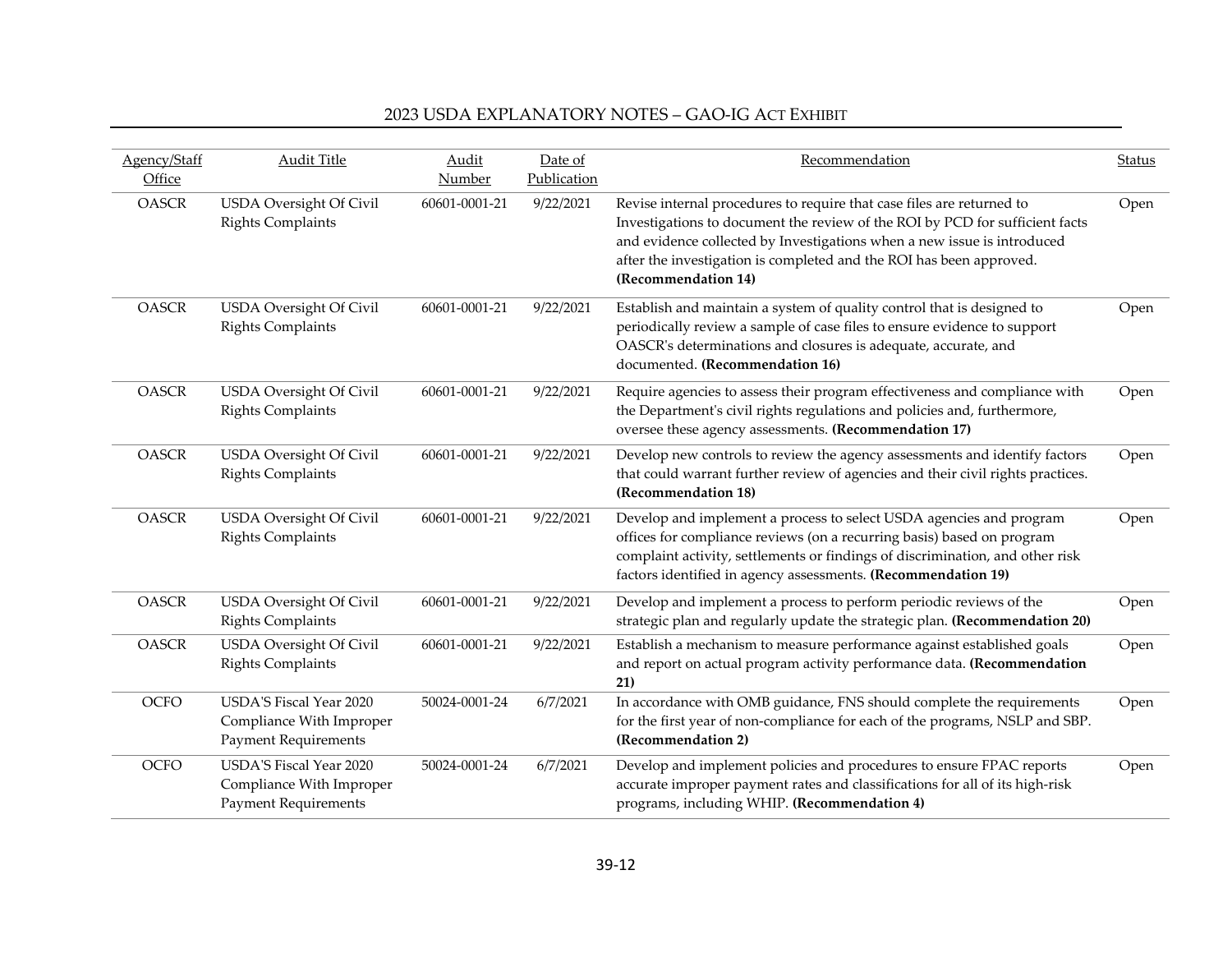| Agency/Staff | <b>Audit Title</b>                                                                 | Audit         | Date of     | Recommendation                                                                                                                                                                                                                                                                                                                 | <b>Status</b> |
|--------------|------------------------------------------------------------------------------------|---------------|-------------|--------------------------------------------------------------------------------------------------------------------------------------------------------------------------------------------------------------------------------------------------------------------------------------------------------------------------------|---------------|
| Office       |                                                                                    | Number        | Publication |                                                                                                                                                                                                                                                                                                                                |               |
| <b>OASCR</b> | <b>USDA</b> Oversight Of Civil<br><b>Rights Complaints</b>                         | 60601-0001-21 | 9/22/2021   | Revise internal procedures to require that case files are returned to<br>Investigations to document the review of the ROI by PCD for sufficient facts<br>and evidence collected by Investigations when a new issue is introduced<br>after the investigation is completed and the ROI has been approved.<br>(Recommendation 14) | Open          |
| <b>OASCR</b> | USDA Oversight Of Civil<br><b>Rights Complaints</b>                                | 60601-0001-21 | 9/22/2021   | Establish and maintain a system of quality control that is designed to<br>periodically review a sample of case files to ensure evidence to support<br>OASCR's determinations and closures is adequate, accurate, and<br>documented. (Recommendation 16)                                                                        | Open          |
| <b>OASCR</b> | <b>USDA</b> Oversight Of Civil<br><b>Rights Complaints</b>                         | 60601-0001-21 | 9/22/2021   | Require agencies to assess their program effectiveness and compliance with<br>the Department's civil rights regulations and policies and, furthermore,<br>oversee these agency assessments. (Recommendation 17)                                                                                                                | Open          |
| <b>OASCR</b> | <b>USDA</b> Oversight Of Civil<br><b>Rights Complaints</b>                         | 60601-0001-21 | 9/22/2021   | Develop new controls to review the agency assessments and identify factors<br>that could warrant further review of agencies and their civil rights practices.<br>(Recommendation 18)                                                                                                                                           | Open          |
| <b>OASCR</b> | <b>USDA</b> Oversight Of Civil<br><b>Rights Complaints</b>                         | 60601-0001-21 | 9/22/2021   | Develop and implement a process to select USDA agencies and program<br>offices for compliance reviews (on a recurring basis) based on program<br>complaint activity, settlements or findings of discrimination, and other risk<br>factors identified in agency assessments. (Recommendation 19)                                | Open          |
| <b>OASCR</b> | USDA Oversight Of Civil<br><b>Rights Complaints</b>                                | 60601-0001-21 | 9/22/2021   | Develop and implement a process to perform periodic reviews of the<br>strategic plan and regularly update the strategic plan. (Recommendation 20)                                                                                                                                                                              | Open          |
| <b>OASCR</b> | <b>USDA</b> Oversight Of Civil<br><b>Rights Complaints</b>                         | 60601-0001-21 | 9/22/2021   | Establish a mechanism to measure performance against established goals<br>and report on actual program activity performance data. (Recommendation<br>21)                                                                                                                                                                       | Open          |
| OCFO         | USDA'S Fiscal Year 2020<br>Compliance With Improper<br><b>Payment Requirements</b> | 50024-0001-24 | 6/7/2021    | In accordance with OMB guidance, FNS should complete the requirements<br>for the first year of non-compliance for each of the programs, NSLP and SBP.<br>(Recommendation 2)                                                                                                                                                    | Open          |
| <b>OCFO</b>  | USDA'S Fiscal Year 2020<br>Compliance With Improper<br><b>Payment Requirements</b> | 50024-0001-24 | 6/7/2021    | Develop and implement policies and procedures to ensure FPAC reports<br>accurate improper payment rates and classifications for all of its high-risk<br>programs, including WHIP. (Recommendation 4)                                                                                                                           | Open          |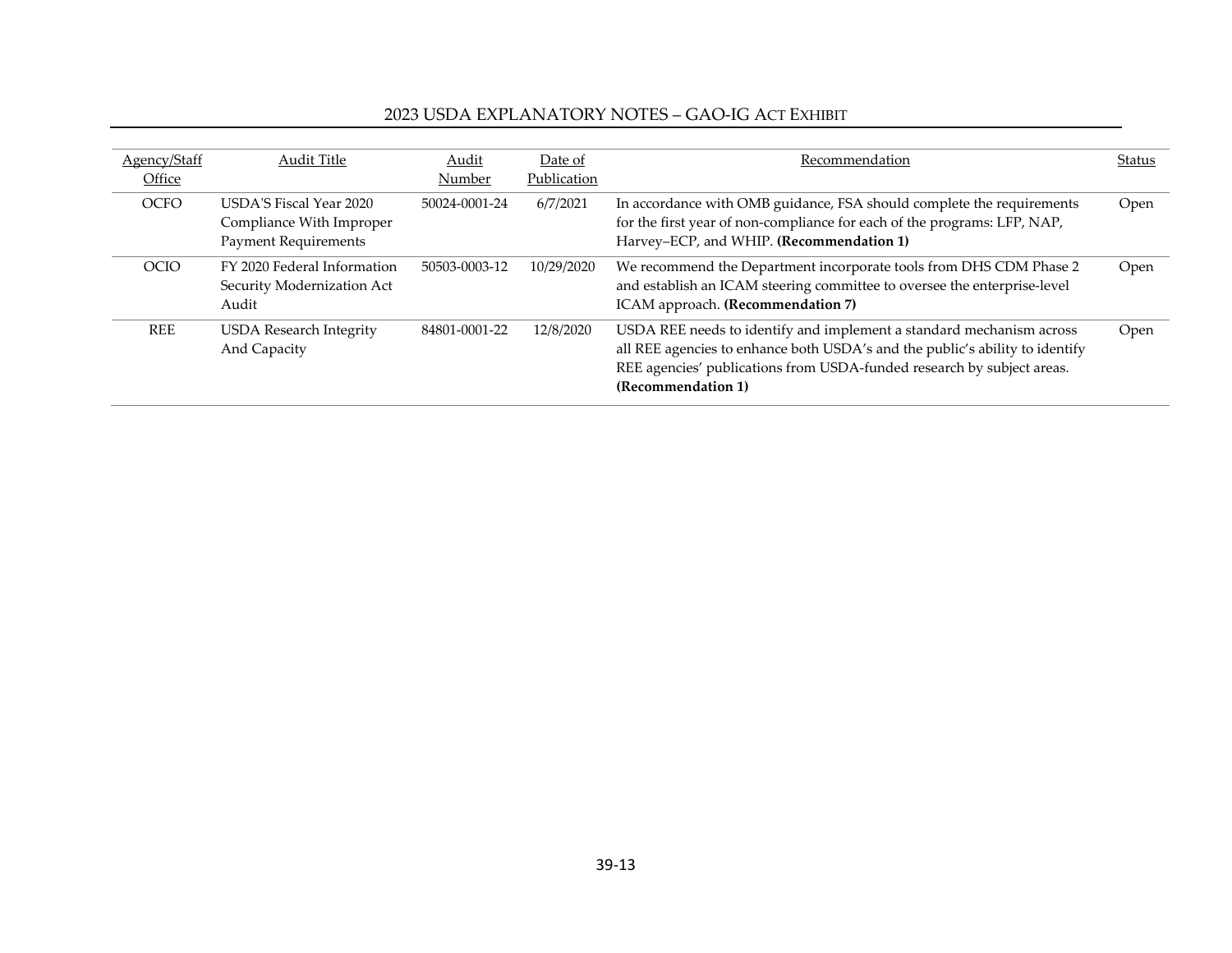| Agency/Staff | Audit Title                                                                               | Audit         | Date of     | Recommendation                                                                                                                                                                                                                                       | Status |
|--------------|-------------------------------------------------------------------------------------------|---------------|-------------|------------------------------------------------------------------------------------------------------------------------------------------------------------------------------------------------------------------------------------------------------|--------|
| Office       |                                                                                           | Number        | Publication |                                                                                                                                                                                                                                                      |        |
| <b>OCFO</b>  | <b>USDA'S Fiscal Year 2020</b><br>Compliance With Improper<br><b>Payment Requirements</b> | 50024-0001-24 | 6/7/2021    | In accordance with OMB guidance, FSA should complete the requirements<br>for the first year of non-compliance for each of the programs: LFP, NAP,<br>Harvey-ECP, and WHIP. (Recommendation 1)                                                        | Open   |
| OCIO         | FY 2020 Federal Information<br>Security Modernization Act<br>Audit                        | 50503-0003-12 | 10/29/2020  | We recommend the Department incorporate tools from DHS CDM Phase 2<br>and establish an ICAM steering committee to oversee the enterprise-level<br>ICAM approach. (Recommendation 7)                                                                  | Open   |
| <b>REE</b>   | <b>USDA Research Integrity</b><br>And Capacity                                            | 84801-0001-22 | 12/8/2020   | USDA REE needs to identify and implement a standard mechanism across<br>all REE agencies to enhance both USDA's and the public's ability to identify<br>REE agencies' publications from USDA-funded research by subject areas.<br>(Recommendation 1) | Open   |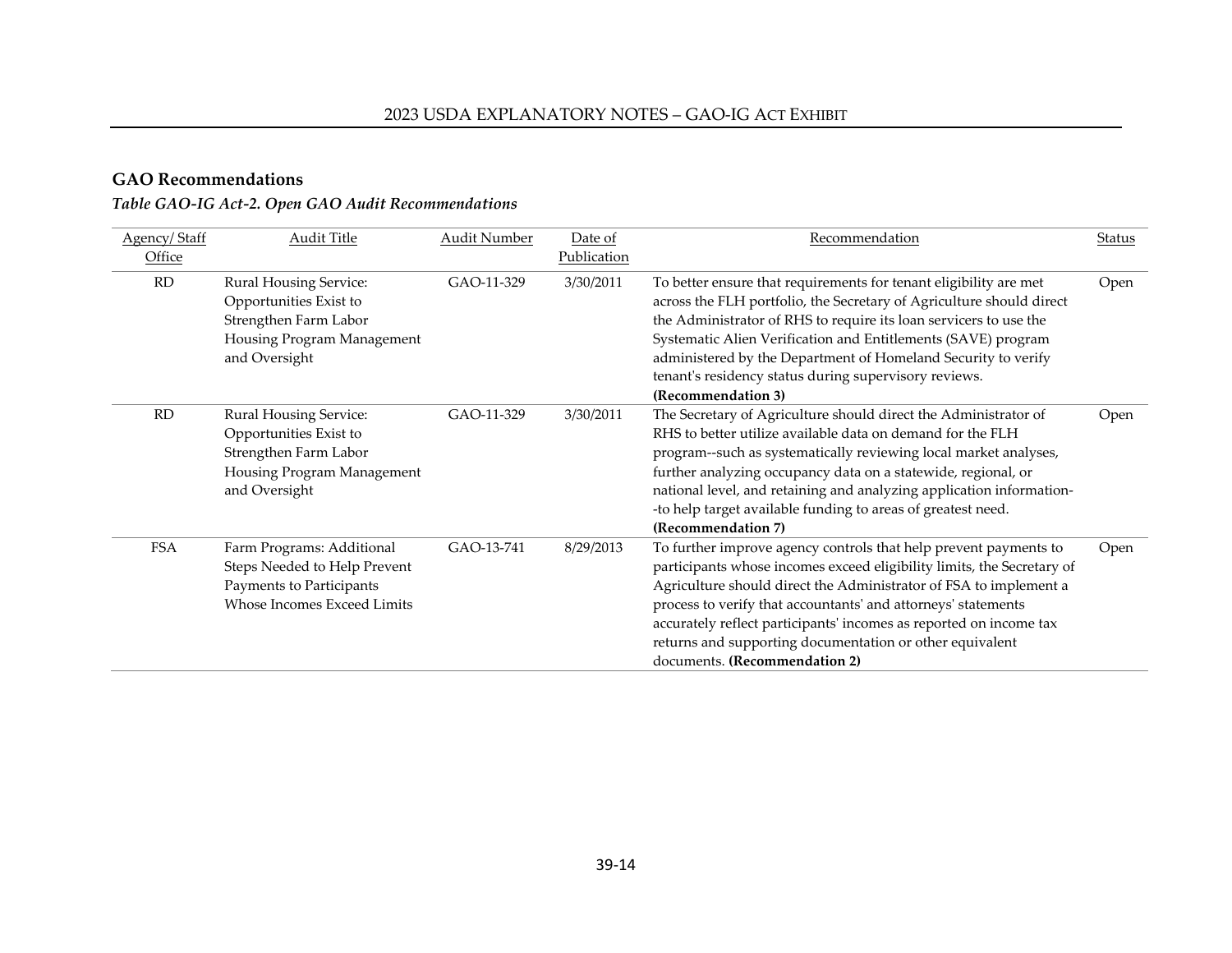#### **GAO Recommendations**

# *Table GAO-IG Act-2. Open GAO Audit Recommendations*

<span id="page-13-0"></span>

| Agency/Staff<br>Office | <b>Audit Title</b>                                                                                                              | <b>Audit Number</b> | Date of<br>Publication | Recommendation                                                                                                                                                                                                                                                                                                                                                                                                                                      | Status |
|------------------------|---------------------------------------------------------------------------------------------------------------------------------|---------------------|------------------------|-----------------------------------------------------------------------------------------------------------------------------------------------------------------------------------------------------------------------------------------------------------------------------------------------------------------------------------------------------------------------------------------------------------------------------------------------------|--------|
| RD                     | Rural Housing Service:<br>Opportunities Exist to<br>Strengthen Farm Labor<br>Housing Program Management<br>and Oversight        | GAO-11-329          | 3/30/2011              | To better ensure that requirements for tenant eligibility are met<br>across the FLH portfolio, the Secretary of Agriculture should direct<br>the Administrator of RHS to require its loan servicers to use the<br>Systematic Alien Verification and Entitlements (SAVE) program<br>administered by the Department of Homeland Security to verify<br>tenant's residency status during supervisory reviews.<br>(Recommendation 3)                     | Open   |
| RD                     | <b>Rural Housing Service:</b><br>Opportunities Exist to<br>Strengthen Farm Labor<br>Housing Program Management<br>and Oversight | GAO-11-329          | 3/30/2011              | The Secretary of Agriculture should direct the Administrator of<br>RHS to better utilize available data on demand for the FLH<br>program--such as systematically reviewing local market analyses,<br>further analyzing occupancy data on a statewide, regional, or<br>national level, and retaining and analyzing application information-<br>-to help target available funding to areas of greatest need.<br>(Recommendation 7)                    | Open   |
| <b>FSA</b>             | Farm Programs: Additional<br>Steps Needed to Help Prevent<br>Payments to Participants<br>Whose Incomes Exceed Limits            | GAO-13-741          | 8/29/2013              | To further improve agency controls that help prevent payments to<br>participants whose incomes exceed eligibility limits, the Secretary of<br>Agriculture should direct the Administrator of FSA to implement a<br>process to verify that accountants' and attorneys' statements<br>accurately reflect participants' incomes as reported on income tax<br>returns and supporting documentation or other equivalent<br>documents. (Recommendation 2) | Open   |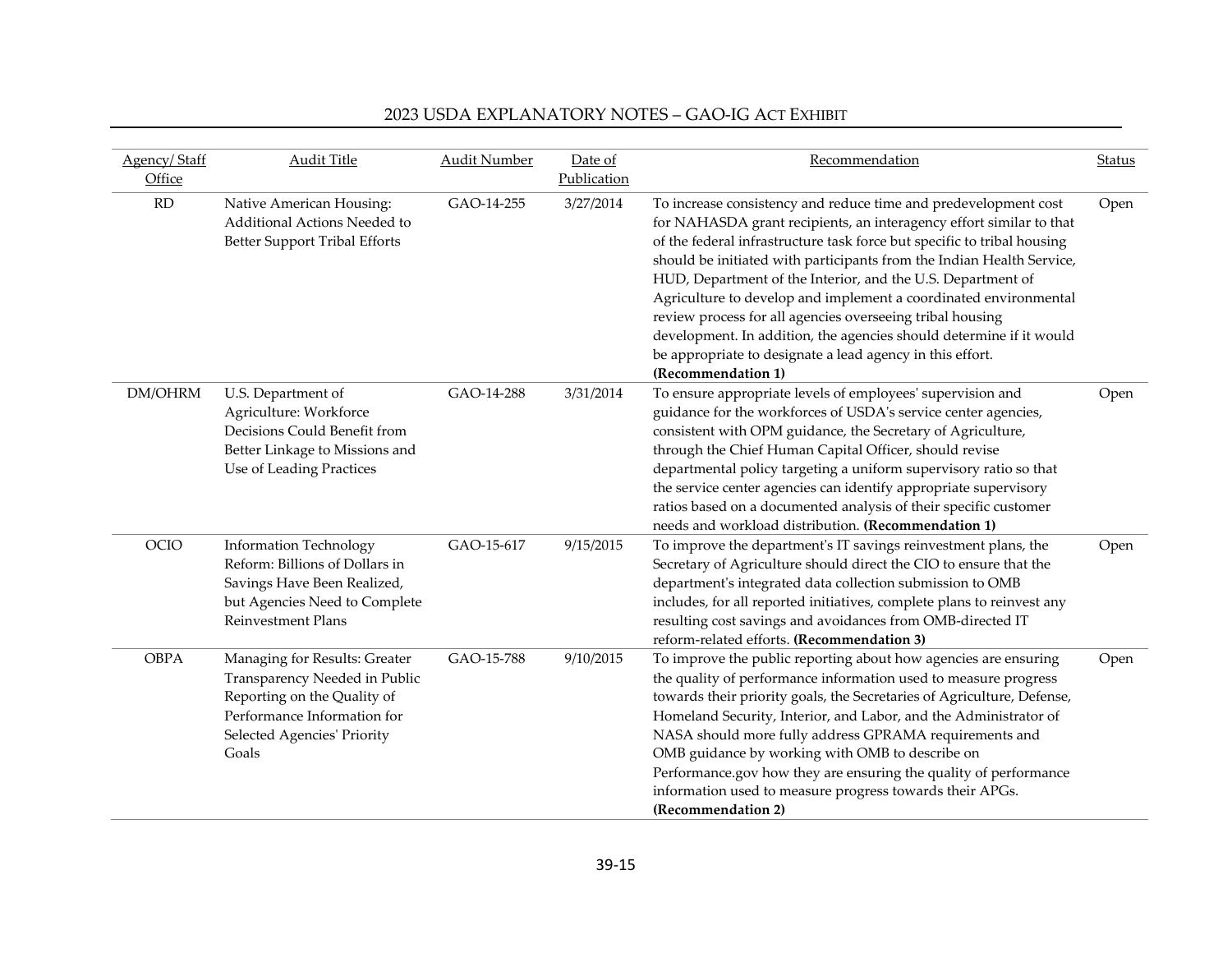| Agency/Staff<br>Office | <b>Audit Title</b>                                                                                                                                                   | <b>Audit Number</b> | Date of<br>Publication | Recommendation                                                                                                                                                                                                                                                                                                                                                                                                                                                                                                                                                                                                                                       | Status |
|------------------------|----------------------------------------------------------------------------------------------------------------------------------------------------------------------|---------------------|------------------------|------------------------------------------------------------------------------------------------------------------------------------------------------------------------------------------------------------------------------------------------------------------------------------------------------------------------------------------------------------------------------------------------------------------------------------------------------------------------------------------------------------------------------------------------------------------------------------------------------------------------------------------------------|--------|
| RD                     | Native American Housing:<br>Additional Actions Needed to<br><b>Better Support Tribal Efforts</b>                                                                     | GAO-14-255          | 3/27/2014              | To increase consistency and reduce time and predevelopment cost<br>for NAHASDA grant recipients, an interagency effort similar to that<br>of the federal infrastructure task force but specific to tribal housing<br>should be initiated with participants from the Indian Health Service,<br>HUD, Department of the Interior, and the U.S. Department of<br>Agriculture to develop and implement a coordinated environmental<br>review process for all agencies overseeing tribal housing<br>development. In addition, the agencies should determine if it would<br>be appropriate to designate a lead agency in this effort.<br>(Recommendation 1) | Open   |
| DM/OHRM                | U.S. Department of<br>Agriculture: Workforce<br>Decisions Could Benefit from<br>Better Linkage to Missions and<br>Use of Leading Practices                           | GAO-14-288          | 3/31/2014              | To ensure appropriate levels of employees' supervision and<br>guidance for the workforces of USDA's service center agencies,<br>consistent with OPM guidance, the Secretary of Agriculture,<br>through the Chief Human Capital Officer, should revise<br>departmental policy targeting a uniform supervisory ratio so that<br>the service center agencies can identify appropriate supervisory<br>ratios based on a documented analysis of their specific customer<br>needs and workload distribution. (Recommendation 1)                                                                                                                            | Open   |
| OCIO                   | <b>Information Technology</b><br>Reform: Billions of Dollars in<br>Savings Have Been Realized,<br>but Agencies Need to Complete<br>Reinvestment Plans                | GAO-15-617          | 9/15/2015              | To improve the department's IT savings reinvestment plans, the<br>Secretary of Agriculture should direct the CIO to ensure that the<br>department's integrated data collection submission to OMB<br>includes, for all reported initiatives, complete plans to reinvest any<br>resulting cost savings and avoidances from OMB-directed IT<br>reform-related efforts. (Recommendation 3)                                                                                                                                                                                                                                                               | Open   |
| <b>OBPA</b>            | Managing for Results: Greater<br>Transparency Needed in Public<br>Reporting on the Quality of<br>Performance Information for<br>Selected Agencies' Priority<br>Goals | GAO-15-788          | 9/10/2015              | To improve the public reporting about how agencies are ensuring<br>the quality of performance information used to measure progress<br>towards their priority goals, the Secretaries of Agriculture, Defense,<br>Homeland Security, Interior, and Labor, and the Administrator of<br>NASA should more fully address GPRAMA requirements and<br>OMB guidance by working with OMB to describe on<br>Performance.gov how they are ensuring the quality of performance<br>information used to measure progress towards their APGs.<br>(Recommendation 2)                                                                                                  | Open   |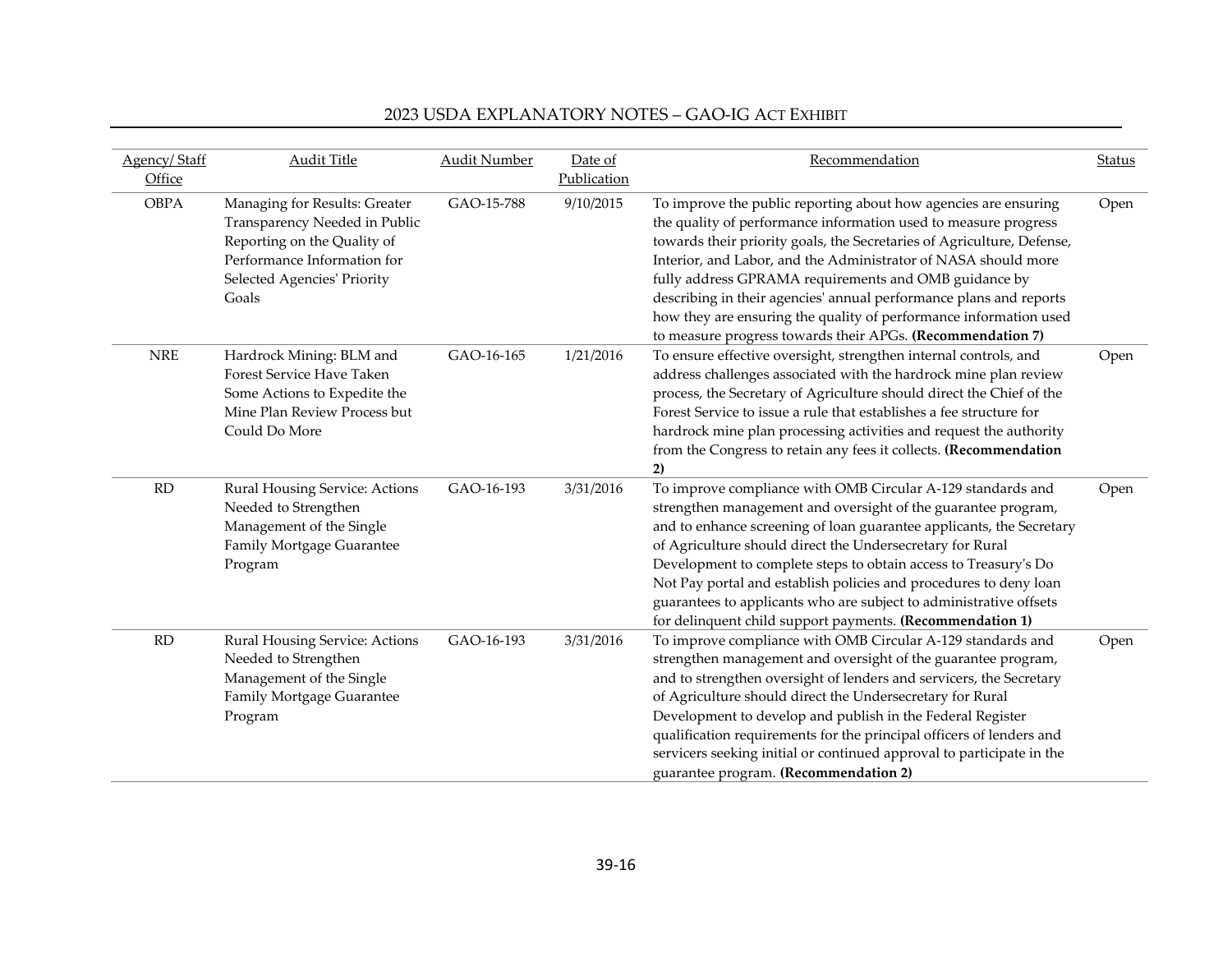| Agency/Staff<br>Office | <b>Audit Title</b>                                                                                                                                                   | <b>Audit Number</b> | Date of<br>Publication | Recommendation                                                                                                                                                                                                                                                                                                                                                                                                                                                                                                                                   | <b>Status</b> |
|------------------------|----------------------------------------------------------------------------------------------------------------------------------------------------------------------|---------------------|------------------------|--------------------------------------------------------------------------------------------------------------------------------------------------------------------------------------------------------------------------------------------------------------------------------------------------------------------------------------------------------------------------------------------------------------------------------------------------------------------------------------------------------------------------------------------------|---------------|
| <b>OBPA</b>            | Managing for Results: Greater<br>Transparency Needed in Public<br>Reporting on the Quality of<br>Performance Information for<br>Selected Agencies' Priority<br>Goals | GAO-15-788          | 9/10/2015              | To improve the public reporting about how agencies are ensuring<br>the quality of performance information used to measure progress<br>towards their priority goals, the Secretaries of Agriculture, Defense,<br>Interior, and Labor, and the Administrator of NASA should more<br>fully address GPRAMA requirements and OMB guidance by<br>describing in their agencies' annual performance plans and reports<br>how they are ensuring the quality of performance information used<br>to measure progress towards their APGs. (Recommendation 7) | Open          |
| <b>NRE</b>             | Hardrock Mining: BLM and<br>Forest Service Have Taken<br>Some Actions to Expedite the<br>Mine Plan Review Process but<br>Could Do More                               | GAO-16-165          | 1/21/2016              | To ensure effective oversight, strengthen internal controls, and<br>address challenges associated with the hardrock mine plan review<br>process, the Secretary of Agriculture should direct the Chief of the<br>Forest Service to issue a rule that establishes a fee structure for<br>hardrock mine plan processing activities and request the authority<br>from the Congress to retain any fees it collects. (Recommendation<br>2)                                                                                                             | Open          |
| RD                     | Rural Housing Service: Actions<br>Needed to Strengthen<br>Management of the Single<br>Family Mortgage Guarantee<br>Program                                           | GAO-16-193          | 3/31/2016              | To improve compliance with OMB Circular A-129 standards and<br>strengthen management and oversight of the guarantee program,<br>and to enhance screening of loan guarantee applicants, the Secretary<br>of Agriculture should direct the Undersecretary for Rural<br>Development to complete steps to obtain access to Treasury's Do<br>Not Pay portal and establish policies and procedures to deny loan<br>guarantees to applicants who are subject to administrative offsets<br>for delinquent child support payments. (Recommendation 1)     | Open          |
| $\rm RD$               | Rural Housing Service: Actions<br>Needed to Strengthen<br>Management of the Single<br>Family Mortgage Guarantee<br>Program                                           | GAO-16-193          | 3/31/2016              | To improve compliance with OMB Circular A-129 standards and<br>strengthen management and oversight of the guarantee program,<br>and to strengthen oversight of lenders and servicers, the Secretary<br>of Agriculture should direct the Undersecretary for Rural<br>Development to develop and publish in the Federal Register<br>qualification requirements for the principal officers of lenders and<br>servicers seeking initial or continued approval to participate in the<br>guarantee program. (Recommendation 2)                         | Open          |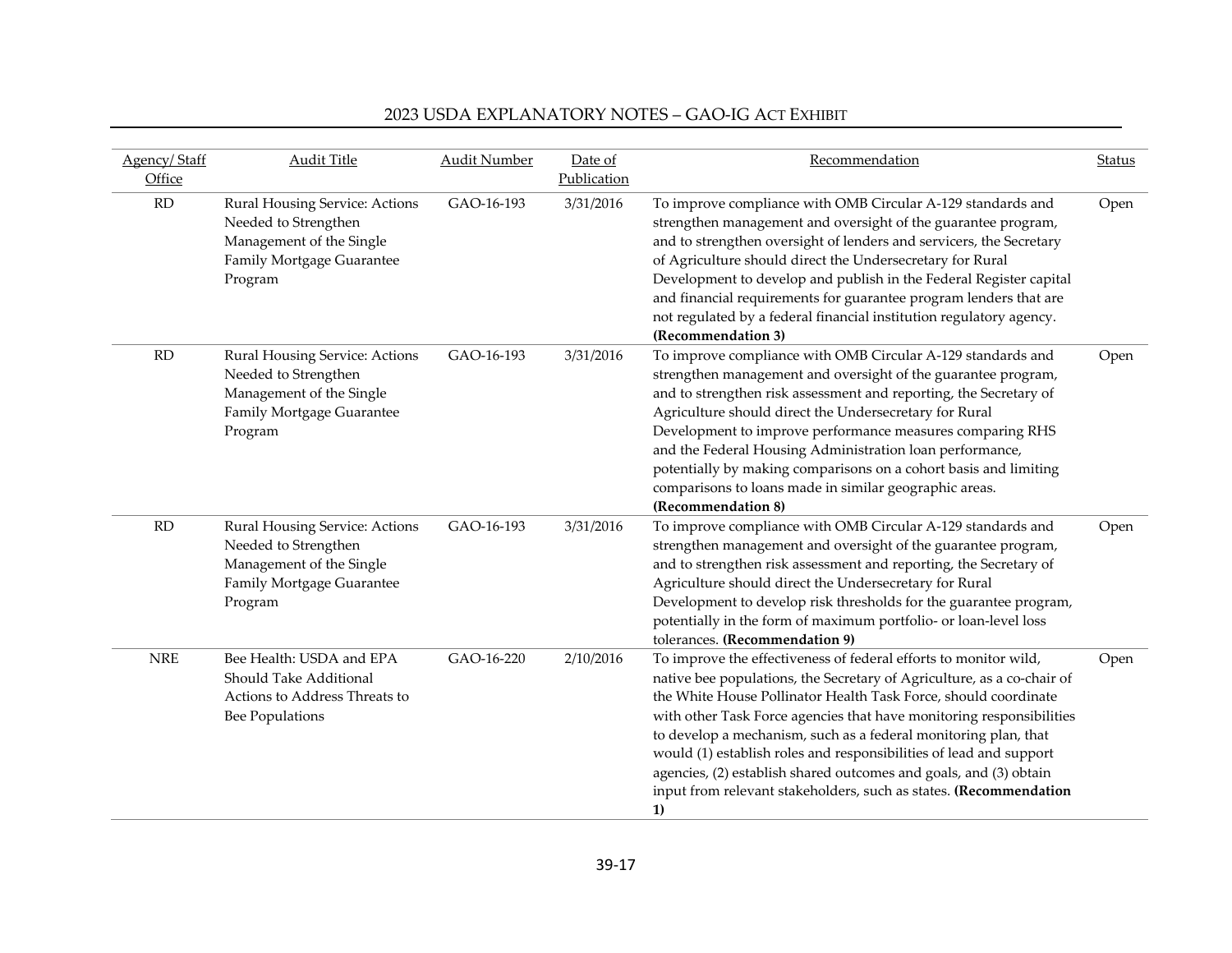| Agency/Staff<br>Office | <b>Audit Title</b>                                                                                                         | <b>Audit Number</b> | Date of<br>Publication | Recommendation                                                                                                                                                                                                                                                                                                                                                                                                                                                                                                                                                                 | Status |
|------------------------|----------------------------------------------------------------------------------------------------------------------------|---------------------|------------------------|--------------------------------------------------------------------------------------------------------------------------------------------------------------------------------------------------------------------------------------------------------------------------------------------------------------------------------------------------------------------------------------------------------------------------------------------------------------------------------------------------------------------------------------------------------------------------------|--------|
| RD                     | Rural Housing Service: Actions<br>Needed to Strengthen<br>Management of the Single<br>Family Mortgage Guarantee<br>Program | GAO-16-193          | 3/31/2016              | To improve compliance with OMB Circular A-129 standards and<br>strengthen management and oversight of the guarantee program,<br>and to strengthen oversight of lenders and servicers, the Secretary<br>of Agriculture should direct the Undersecretary for Rural<br>Development to develop and publish in the Federal Register capital<br>and financial requirements for guarantee program lenders that are<br>not regulated by a federal financial institution regulatory agency.<br>(Recommendation 3)                                                                       | Open   |
| RD                     | Rural Housing Service: Actions<br>Needed to Strengthen<br>Management of the Single<br>Family Mortgage Guarantee<br>Program | GAO-16-193          | 3/31/2016              | To improve compliance with OMB Circular A-129 standards and<br>strengthen management and oversight of the guarantee program,<br>and to strengthen risk assessment and reporting, the Secretary of<br>Agriculture should direct the Undersecretary for Rural<br>Development to improve performance measures comparing RHS<br>and the Federal Housing Administration loan performance,<br>potentially by making comparisons on a cohort basis and limiting<br>comparisons to loans made in similar geographic areas.<br>(Recommendation 8)                                       | Open   |
| RD                     | Rural Housing Service: Actions<br>Needed to Strengthen<br>Management of the Single<br>Family Mortgage Guarantee<br>Program | GAO-16-193          | 3/31/2016              | To improve compliance with OMB Circular A-129 standards and<br>strengthen management and oversight of the guarantee program,<br>and to strengthen risk assessment and reporting, the Secretary of<br>Agriculture should direct the Undersecretary for Rural<br>Development to develop risk thresholds for the guarantee program,<br>potentially in the form of maximum portfolio- or loan-level loss<br>tolerances. (Recommendation 9)                                                                                                                                         | Open   |
| <b>NRE</b>             | Bee Health: USDA and EPA<br>Should Take Additional<br>Actions to Address Threats to<br><b>Bee Populations</b>              | GAO-16-220          | 2/10/2016              | To improve the effectiveness of federal efforts to monitor wild,<br>native bee populations, the Secretary of Agriculture, as a co-chair of<br>the White House Pollinator Health Task Force, should coordinate<br>with other Task Force agencies that have monitoring responsibilities<br>to develop a mechanism, such as a federal monitoring plan, that<br>would (1) establish roles and responsibilities of lead and support<br>agencies, (2) establish shared outcomes and goals, and (3) obtain<br>input from relevant stakeholders, such as states. (Recommendation<br>1) | Open   |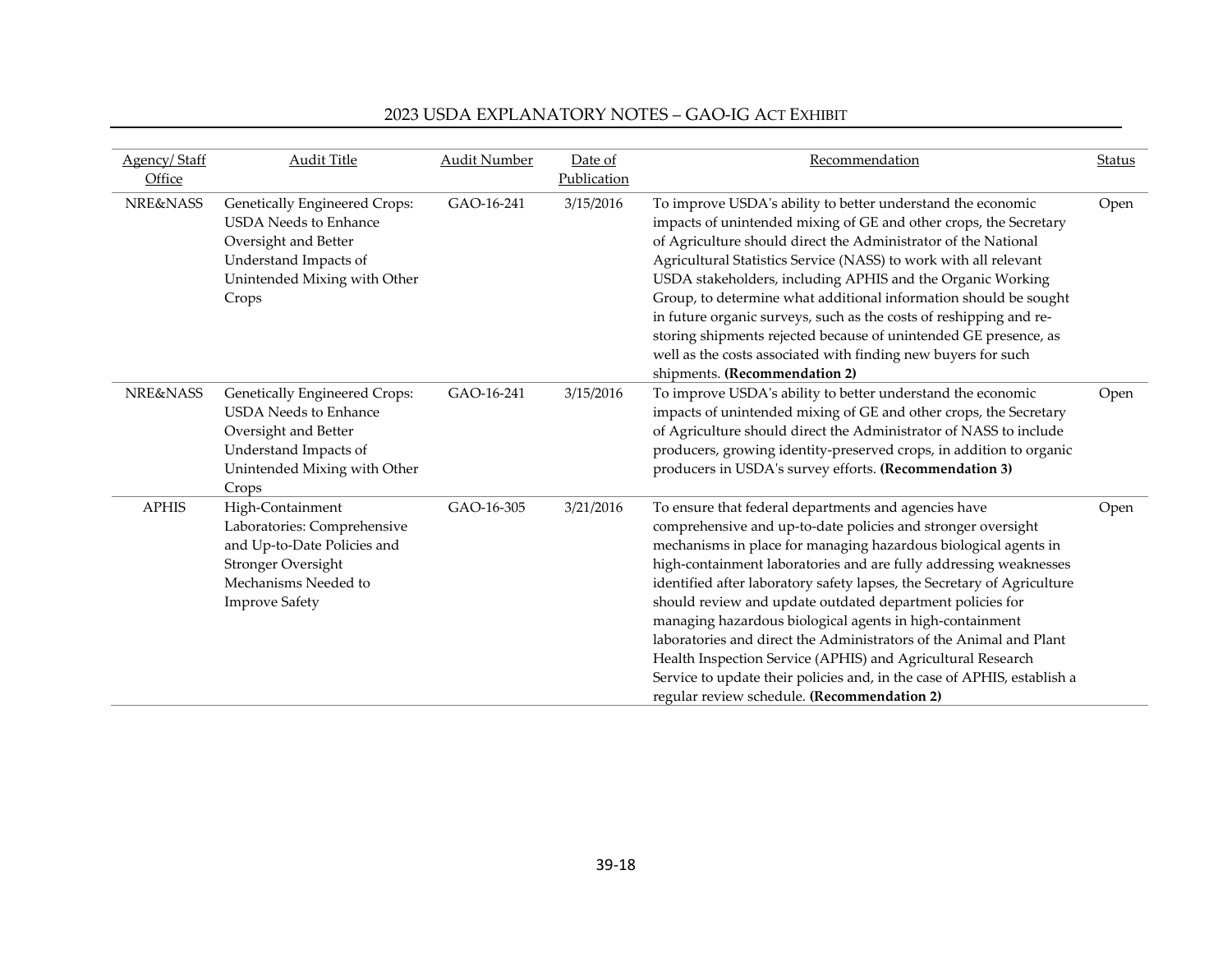| Agency/Staff<br>Office | <b>Audit Title</b>                                                                                                                                             | <b>Audit Number</b> | Date of<br>Publication | Recommendation                                                                                                                                                                                                                                                                                                                                                                                                                                                                                                                                                                                                                                                                                                                  | Status |
|------------------------|----------------------------------------------------------------------------------------------------------------------------------------------------------------|---------------------|------------------------|---------------------------------------------------------------------------------------------------------------------------------------------------------------------------------------------------------------------------------------------------------------------------------------------------------------------------------------------------------------------------------------------------------------------------------------------------------------------------------------------------------------------------------------------------------------------------------------------------------------------------------------------------------------------------------------------------------------------------------|--------|
| <b>NRE&amp;NASS</b>    | <b>Genetically Engineered Crops:</b><br><b>USDA</b> Needs to Enhance<br>Oversight and Better<br>Understand Impacts of<br>Unintended Mixing with Other<br>Crops | GAO-16-241          | 3/15/2016              | To improve USDA's ability to better understand the economic<br>impacts of unintended mixing of GE and other crops, the Secretary<br>of Agriculture should direct the Administrator of the National<br>Agricultural Statistics Service (NASS) to work with all relevant<br>USDA stakeholders, including APHIS and the Organic Working<br>Group, to determine what additional information should be sought<br>in future organic surveys, such as the costs of reshipping and re-<br>storing shipments rejected because of unintended GE presence, as<br>well as the costs associated with finding new buyers for such<br>shipments. (Recommendation 2)                                                                            | Open   |
| <b>NRE&amp;NASS</b>    | <b>Genetically Engineered Crops:</b><br><b>USDA</b> Needs to Enhance<br>Oversight and Better<br>Understand Impacts of<br>Unintended Mixing with Other<br>Crops | GAO-16-241          | 3/15/2016              | To improve USDA's ability to better understand the economic<br>impacts of unintended mixing of GE and other crops, the Secretary<br>of Agriculture should direct the Administrator of NASS to include<br>producers, growing identity-preserved crops, in addition to organic<br>producers in USDA's survey efforts. (Recommendation 3)                                                                                                                                                                                                                                                                                                                                                                                          | Open   |
| <b>APHIS</b>           | High-Containment<br>Laboratories: Comprehensive<br>and Up-to-Date Policies and<br>Stronger Oversight<br>Mechanisms Needed to<br><b>Improve Safety</b>          | GAO-16-305          | 3/21/2016              | To ensure that federal departments and agencies have<br>comprehensive and up-to-date policies and stronger oversight<br>mechanisms in place for managing hazardous biological agents in<br>high-containment laboratories and are fully addressing weaknesses<br>identified after laboratory safety lapses, the Secretary of Agriculture<br>should review and update outdated department policies for<br>managing hazardous biological agents in high-containment<br>laboratories and direct the Administrators of the Animal and Plant<br>Health Inspection Service (APHIS) and Agricultural Research<br>Service to update their policies and, in the case of APHIS, establish a<br>regular review schedule. (Recommendation 2) | Open   |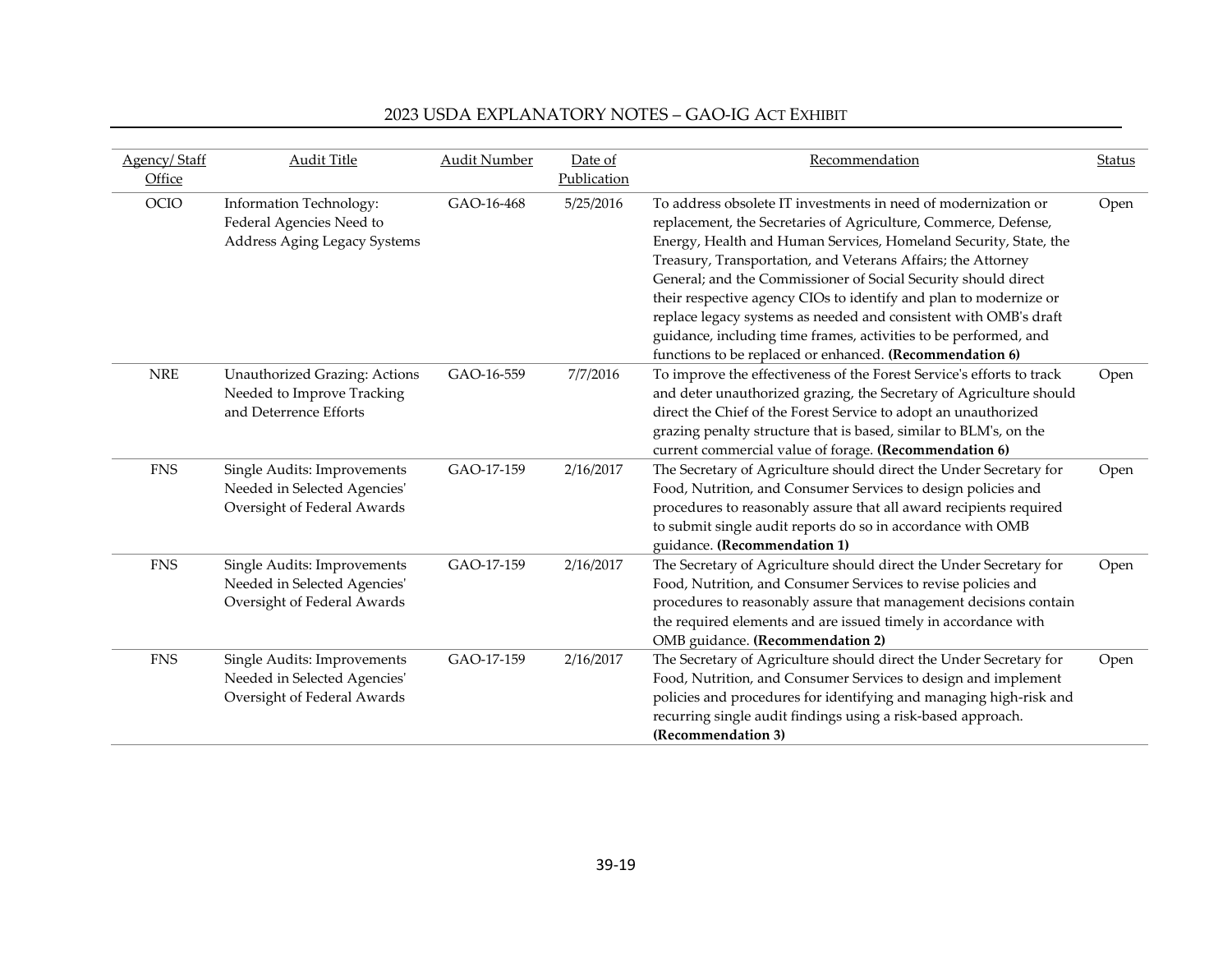| Agency/Staff | <b>Audit Title</b>            | <b>Audit Number</b> | Date of     | Recommendation                                                        | <b>Status</b> |
|--------------|-------------------------------|---------------------|-------------|-----------------------------------------------------------------------|---------------|
| Office       |                               |                     | Publication |                                                                       |               |
| OCIO         | Information Technology:       | GAO-16-468          | 5/25/2016   | To address obsolete IT investments in need of modernization or        | Open          |
|              | Federal Agencies Need to      |                     |             | replacement, the Secretaries of Agriculture, Commerce, Defense,       |               |
|              | Address Aging Legacy Systems  |                     |             | Energy, Health and Human Services, Homeland Security, State, the      |               |
|              |                               |                     |             | Treasury, Transportation, and Veterans Affairs; the Attorney          |               |
|              |                               |                     |             | General; and the Commissioner of Social Security should direct        |               |
|              |                               |                     |             | their respective agency CIOs to identify and plan to modernize or     |               |
|              |                               |                     |             | replace legacy systems as needed and consistent with OMB's draft      |               |
|              |                               |                     |             | guidance, including time frames, activities to be performed, and      |               |
|              |                               |                     |             | functions to be replaced or enhanced. (Recommendation 6)              |               |
| <b>NRE</b>   | Unauthorized Grazing: Actions | GAO-16-559          | 7/7/2016    | To improve the effectiveness of the Forest Service's efforts to track | Open          |
|              | Needed to Improve Tracking    |                     |             | and deter unauthorized grazing, the Secretary of Agriculture should   |               |
|              | and Deterrence Efforts        |                     |             | direct the Chief of the Forest Service to adopt an unauthorized       |               |
|              |                               |                     |             | grazing penalty structure that is based, similar to BLM's, on the     |               |
|              |                               |                     |             | current commercial value of forage. (Recommendation 6)                |               |
| <b>FNS</b>   | Single Audits: Improvements   | GAO-17-159          | 2/16/2017   | The Secretary of Agriculture should direct the Under Secretary for    | Open          |
|              | Needed in Selected Agencies'  |                     |             | Food, Nutrition, and Consumer Services to design policies and         |               |
|              | Oversight of Federal Awards   |                     |             | procedures to reasonably assure that all award recipients required    |               |
|              |                               |                     |             | to submit single audit reports do so in accordance with OMB           |               |
|              |                               |                     |             | guidance. (Recommendation 1)                                          |               |
| ${\rm FNS}$  | Single Audits: Improvements   | GAO-17-159          | 2/16/2017   | The Secretary of Agriculture should direct the Under Secretary for    | Open          |
|              | Needed in Selected Agencies'  |                     |             | Food, Nutrition, and Consumer Services to revise policies and         |               |
|              | Oversight of Federal Awards   |                     |             | procedures to reasonably assure that management decisions contain     |               |
|              |                               |                     |             | the required elements and are issued timely in accordance with        |               |
|              |                               |                     |             | OMB guidance. (Recommendation 2)                                      |               |
| <b>FNS</b>   | Single Audits: Improvements   | GAO-17-159          | 2/16/2017   | The Secretary of Agriculture should direct the Under Secretary for    | Open          |
|              | Needed in Selected Agencies'  |                     |             | Food, Nutrition, and Consumer Services to design and implement        |               |
|              | Oversight of Federal Awards   |                     |             | policies and procedures for identifying and managing high-risk and    |               |
|              |                               |                     |             | recurring single audit findings using a risk-based approach.          |               |
|              |                               |                     |             | (Recommendation 3)                                                    |               |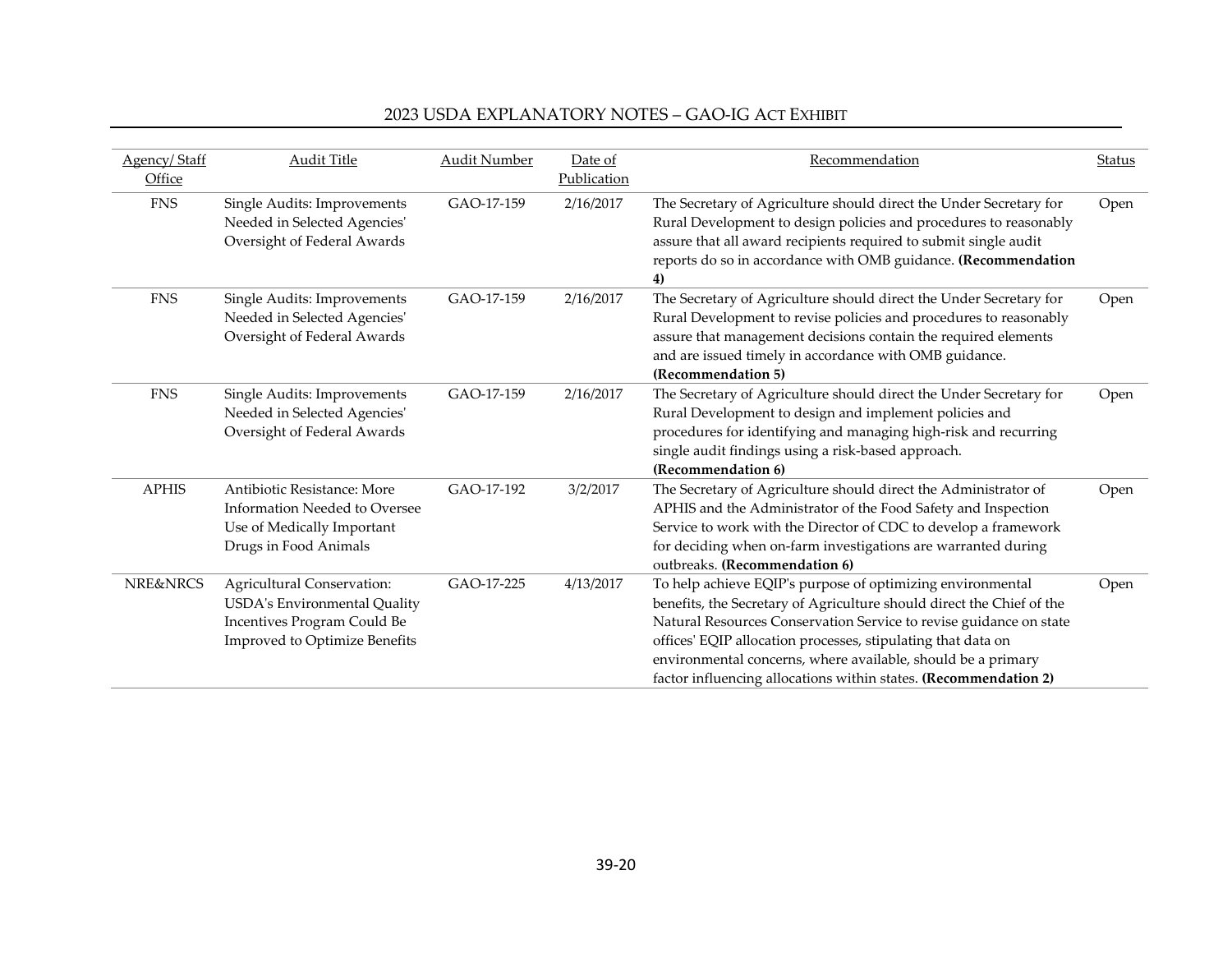| Agency/Staff<br>Office | <b>Audit Title</b>                                                                                                                       | <b>Audit Number</b> | Date of<br>Publication | Recommendation                                                                                                                                                                                                                                                                                                                                                                                                | <b>Status</b> |
|------------------------|------------------------------------------------------------------------------------------------------------------------------------------|---------------------|------------------------|---------------------------------------------------------------------------------------------------------------------------------------------------------------------------------------------------------------------------------------------------------------------------------------------------------------------------------------------------------------------------------------------------------------|---------------|
| <b>FNS</b>             | Single Audits: Improvements<br>Needed in Selected Agencies'<br>Oversight of Federal Awards                                               | GAO-17-159          | 2/16/2017              | The Secretary of Agriculture should direct the Under Secretary for<br>Rural Development to design policies and procedures to reasonably<br>assure that all award recipients required to submit single audit<br>reports do so in accordance with OMB guidance. (Recommendation<br>4)                                                                                                                           | Open          |
| <b>FNS</b>             | Single Audits: Improvements<br>Needed in Selected Agencies'<br>Oversight of Federal Awards                                               | GAO-17-159          | 2/16/2017              | The Secretary of Agriculture should direct the Under Secretary for<br>Rural Development to revise policies and procedures to reasonably<br>assure that management decisions contain the required elements<br>and are issued timely in accordance with OMB guidance.<br>(Recommendation 5)                                                                                                                     | Open          |
| <b>FNS</b>             | Single Audits: Improvements<br>Needed in Selected Agencies'<br>Oversight of Federal Awards                                               | GAO-17-159          | 2/16/2017              | The Secretary of Agriculture should direct the Under Secretary for<br>Rural Development to design and implement policies and<br>procedures for identifying and managing high-risk and recurring<br>single audit findings using a risk-based approach.<br>(Recommendation 6)                                                                                                                                   | Open          |
| <b>APHIS</b>           | Antibiotic Resistance: More<br>Information Needed to Oversee<br>Use of Medically Important<br>Drugs in Food Animals                      | GAO-17-192          | 3/2/2017               | The Secretary of Agriculture should direct the Administrator of<br>APHIS and the Administrator of the Food Safety and Inspection<br>Service to work with the Director of CDC to develop a framework<br>for deciding when on-farm investigations are warranted during<br>outbreaks. (Recommendation 6)                                                                                                         | Open          |
| <b>NRE&amp;NRCS</b>    | Agricultural Conservation:<br><b>USDA's Environmental Quality</b><br>Incentives Program Could Be<br><b>Improved to Optimize Benefits</b> | GAO-17-225          | 4/13/2017              | To help achieve EQIP's purpose of optimizing environmental<br>benefits, the Secretary of Agriculture should direct the Chief of the<br>Natural Resources Conservation Service to revise guidance on state<br>offices' EQIP allocation processes, stipulating that data on<br>environmental concerns, where available, should be a primary<br>factor influencing allocations within states. (Recommendation 2) | Open          |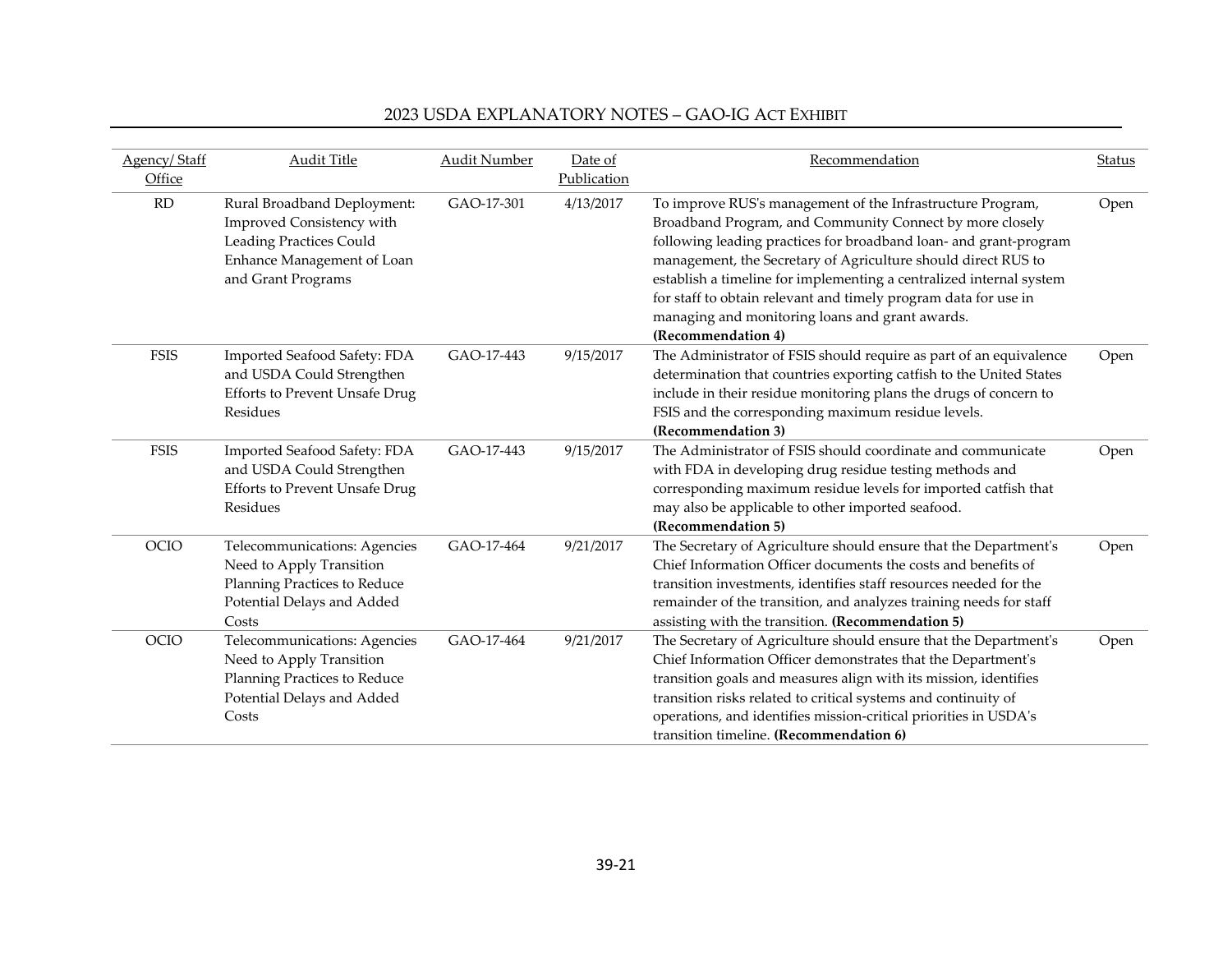| Agency/Staff | <b>Audit Title</b>                    | <b>Audit Number</b> | Date of     | Recommendation                                                      | Status |
|--------------|---------------------------------------|---------------------|-------------|---------------------------------------------------------------------|--------|
| Office       |                                       |                     | Publication |                                                                     |        |
| RD           | Rural Broadband Deployment:           | GAO-17-301          | 4/13/2017   | To improve RUS's management of the Infrastructure Program,          | Open   |
|              | Improved Consistency with             |                     |             | Broadband Program, and Community Connect by more closely            |        |
|              | <b>Leading Practices Could</b>        |                     |             | following leading practices for broadband loan- and grant-program   |        |
|              | Enhance Management of Loan            |                     |             | management, the Secretary of Agriculture should direct RUS to       |        |
|              | and Grant Programs                    |                     |             | establish a timeline for implementing a centralized internal system |        |
|              |                                       |                     |             | for staff to obtain relevant and timely program data for use in     |        |
|              |                                       |                     |             | managing and monitoring loans and grant awards.                     |        |
|              |                                       |                     |             | (Recommendation 4)                                                  |        |
| <b>FSIS</b>  | Imported Seafood Safety: FDA          | GAO-17-443          | 9/15/2017   | The Administrator of FSIS should require as part of an equivalence  | Open   |
|              | and USDA Could Strengthen             |                     |             | determination that countries exporting catfish to the United States |        |
|              | <b>Efforts to Prevent Unsafe Drug</b> |                     |             | include in their residue monitoring plans the drugs of concern to   |        |
|              | Residues                              |                     |             | FSIS and the corresponding maximum residue levels.                  |        |
|              |                                       |                     |             | (Recommendation 3)                                                  |        |
| <b>FSIS</b>  | Imported Seafood Safety: FDA          | GAO-17-443          | 9/15/2017   | The Administrator of FSIS should coordinate and communicate         | Open   |
|              | and USDA Could Strengthen             |                     |             | with FDA in developing drug residue testing methods and             |        |
|              | <b>Efforts to Prevent Unsafe Drug</b> |                     |             | corresponding maximum residue levels for imported catfish that      |        |
|              | Residues                              |                     |             | may also be applicable to other imported seafood.                   |        |
|              |                                       |                     |             | (Recommendation 5)                                                  |        |
| OCIO         | Telecommunications: Agencies          | GAO-17-464          | 9/21/2017   | The Secretary of Agriculture should ensure that the Department's    | Open   |
|              | Need to Apply Transition              |                     |             | Chief Information Officer documents the costs and benefits of       |        |
|              | Planning Practices to Reduce          |                     |             | transition investments, identifies staff resources needed for the   |        |
|              | Potential Delays and Added            |                     |             | remainder of the transition, and analyzes training needs for staff  |        |
|              | Costs                                 |                     |             | assisting with the transition. (Recommendation 5)                   |        |
| OCIO         | Telecommunications: Agencies          | GAO-17-464          | 9/21/2017   | The Secretary of Agriculture should ensure that the Department's    | Open   |
|              | Need to Apply Transition              |                     |             | Chief Information Officer demonstrates that the Department's        |        |
|              | Planning Practices to Reduce          |                     |             | transition goals and measures align with its mission, identifies    |        |
|              | Potential Delays and Added            |                     |             | transition risks related to critical systems and continuity of      |        |
|              | Costs                                 |                     |             | operations, and identifies mission-critical priorities in USDA's    |        |
|              |                                       |                     |             | transition timeline. (Recommendation 6)                             |        |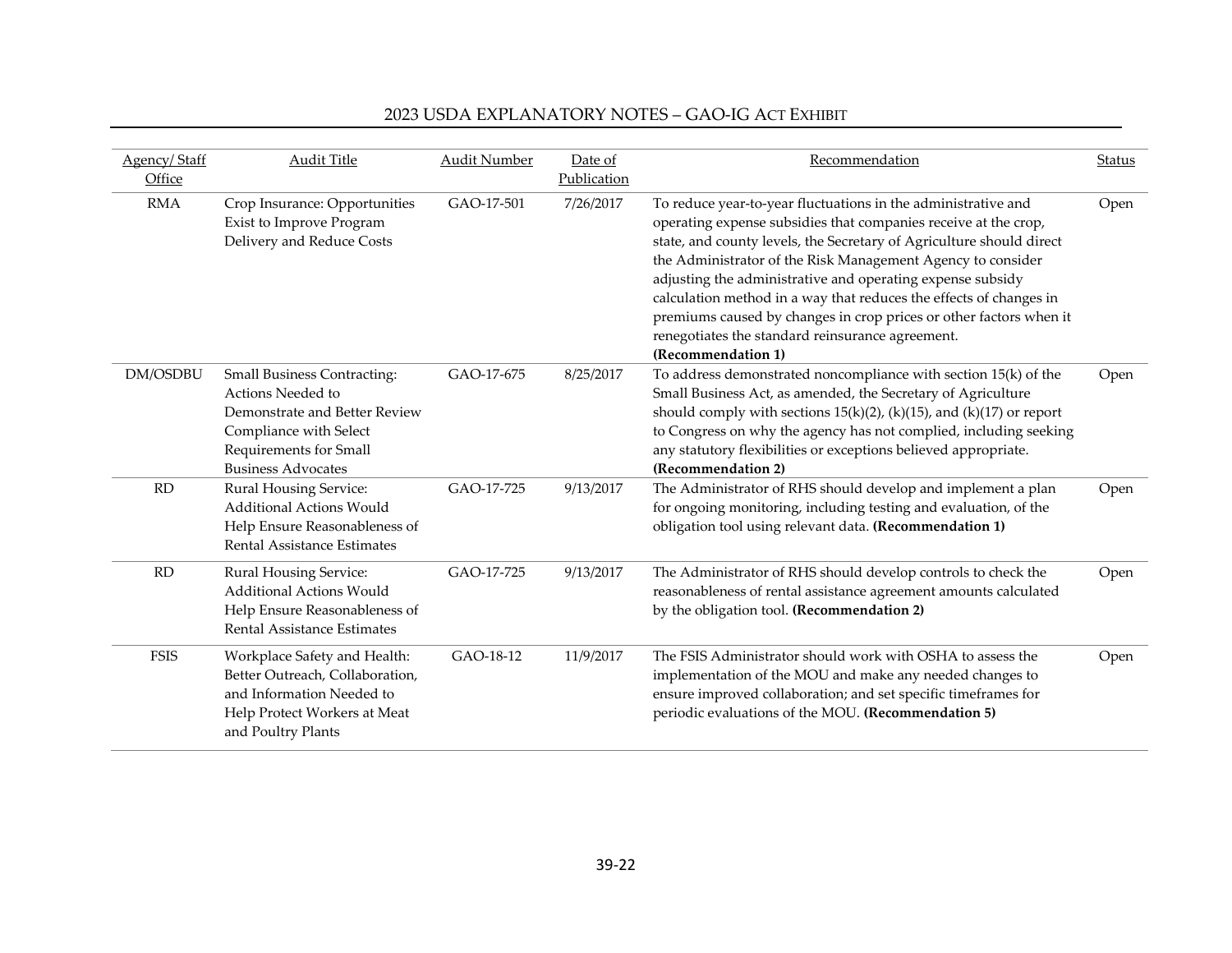| Agency/Staff<br>Office | <b>Audit Title</b>                                                                                                                                                        | <b>Audit Number</b> | Date of<br>Publication | Recommendation                                                                                                                                                                                                                                                                                                                                                                                                                                                                                                                                              | Status |
|------------------------|---------------------------------------------------------------------------------------------------------------------------------------------------------------------------|---------------------|------------------------|-------------------------------------------------------------------------------------------------------------------------------------------------------------------------------------------------------------------------------------------------------------------------------------------------------------------------------------------------------------------------------------------------------------------------------------------------------------------------------------------------------------------------------------------------------------|--------|
| <b>RMA</b>             | Crop Insurance: Opportunities<br>Exist to Improve Program<br>Delivery and Reduce Costs                                                                                    | GAO-17-501          | 7/26/2017              | To reduce year-to-year fluctuations in the administrative and<br>operating expense subsidies that companies receive at the crop,<br>state, and county levels, the Secretary of Agriculture should direct<br>the Administrator of the Risk Management Agency to consider<br>adjusting the administrative and operating expense subsidy<br>calculation method in a way that reduces the effects of changes in<br>premiums caused by changes in crop prices or other factors when it<br>renegotiates the standard reinsurance agreement.<br>(Recommendation 1) | Open   |
| DM/OSDBU               | <b>Small Business Contracting:</b><br>Actions Needed to<br>Demonstrate and Better Review<br>Compliance with Select<br>Requirements for Small<br><b>Business Advocates</b> | GAO-17-675          | 8/25/2017              | To address demonstrated noncompliance with section 15(k) of the<br>Small Business Act, as amended, the Secretary of Agriculture<br>should comply with sections $15(k)(2)$ , (k)(15), and (k)(17) or report<br>to Congress on why the agency has not complied, including seeking<br>any statutory flexibilities or exceptions believed appropriate.<br>(Recommendation 2)                                                                                                                                                                                    | Open   |
| <b>RD</b>              | Rural Housing Service:<br><b>Additional Actions Would</b><br>Help Ensure Reasonableness of<br>Rental Assistance Estimates                                                 | GAO-17-725          | 9/13/2017              | The Administrator of RHS should develop and implement a plan<br>for ongoing monitoring, including testing and evaluation, of the<br>obligation tool using relevant data. (Recommendation 1)                                                                                                                                                                                                                                                                                                                                                                 | Open   |
| RD                     | Rural Housing Service:<br><b>Additional Actions Would</b><br>Help Ensure Reasonableness of<br>Rental Assistance Estimates                                                 | GAO-17-725          | 9/13/2017              | The Administrator of RHS should develop controls to check the<br>reasonableness of rental assistance agreement amounts calculated<br>by the obligation tool. (Recommendation 2)                                                                                                                                                                                                                                                                                                                                                                             | Open   |
| <b>FSIS</b>            | Workplace Safety and Health:<br>Better Outreach, Collaboration,<br>and Information Needed to<br>Help Protect Workers at Meat<br>and Poultry Plants                        | GAO-18-12           | 11/9/2017              | The FSIS Administrator should work with OSHA to assess the<br>implementation of the MOU and make any needed changes to<br>ensure improved collaboration; and set specific timeframes for<br>periodic evaluations of the MOU. (Recommendation 5)                                                                                                                                                                                                                                                                                                             | Open   |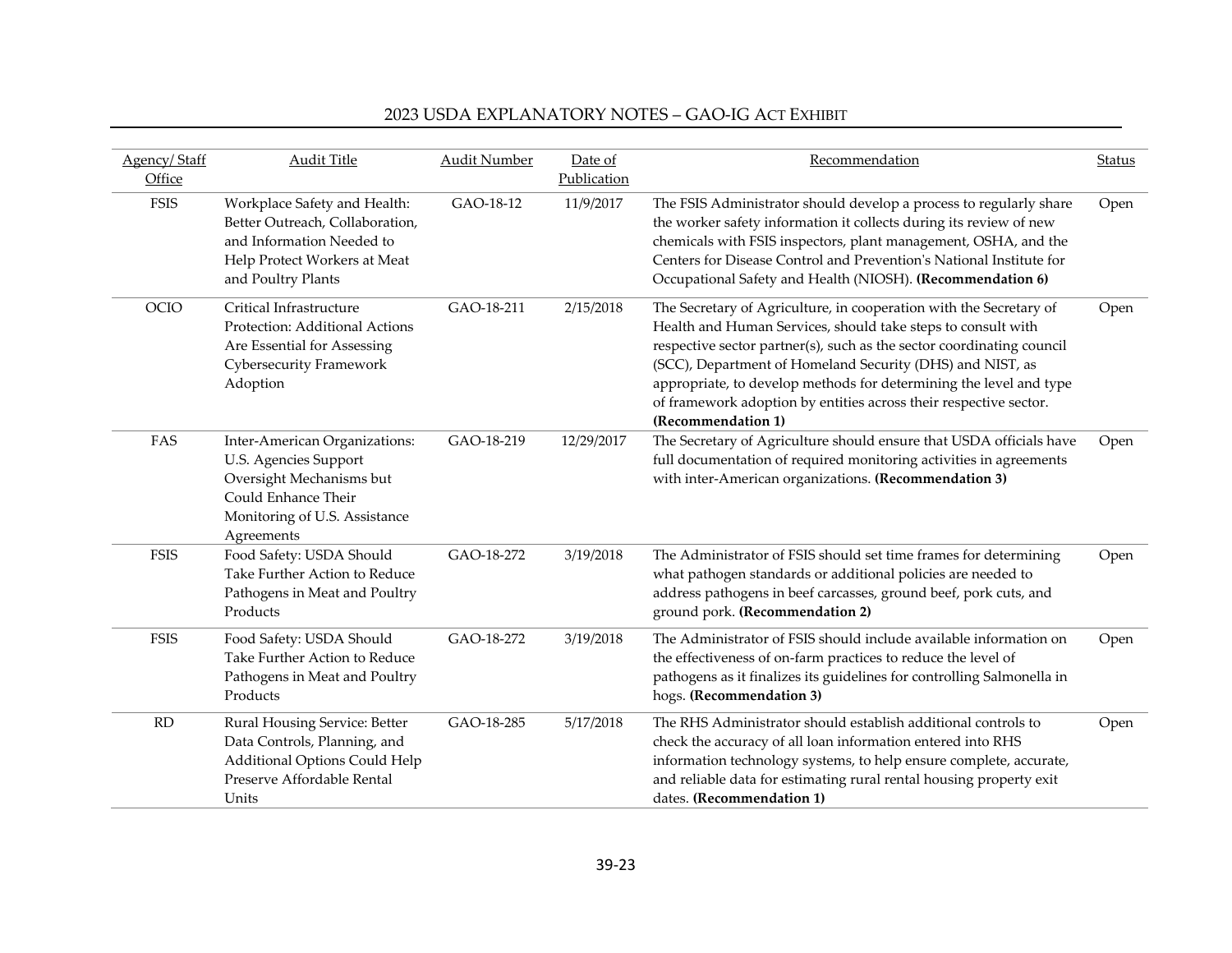| Agency/Staff          | <b>Audit Title</b>                                                                                                                                       | <b>Audit Number</b> | Date of                  | Recommendation                                                                                                                                                                                                                                                                                                                                                                                                                            | Status |
|-----------------------|----------------------------------------------------------------------------------------------------------------------------------------------------------|---------------------|--------------------------|-------------------------------------------------------------------------------------------------------------------------------------------------------------------------------------------------------------------------------------------------------------------------------------------------------------------------------------------------------------------------------------------------------------------------------------------|--------|
| Office<br><b>FSIS</b> | Workplace Safety and Health:<br>Better Outreach, Collaboration,<br>and Information Needed to<br>Help Protect Workers at Meat<br>and Poultry Plants       | GAO-18-12           | Publication<br>11/9/2017 | The FSIS Administrator should develop a process to regularly share<br>the worker safety information it collects during its review of new<br>chemicals with FSIS inspectors, plant management, OSHA, and the<br>Centers for Disease Control and Prevention's National Institute for<br>Occupational Safety and Health (NIOSH). (Recommendation 6)                                                                                          | Open   |
| OCIO                  | Critical Infrastructure<br>Protection: Additional Actions<br>Are Essential for Assessing<br>Cybersecurity Framework<br>Adoption                          | GAO-18-211          | 2/15/2018                | The Secretary of Agriculture, in cooperation with the Secretary of<br>Health and Human Services, should take steps to consult with<br>respective sector partner(s), such as the sector coordinating council<br>(SCC), Department of Homeland Security (DHS) and NIST, as<br>appropriate, to develop methods for determining the level and type<br>of framework adoption by entities across their respective sector.<br>(Recommendation 1) | Open   |
| FAS                   | Inter-American Organizations:<br>U.S. Agencies Support<br>Oversight Mechanisms but<br>Could Enhance Their<br>Monitoring of U.S. Assistance<br>Agreements | GAO-18-219          | 12/29/2017               | The Secretary of Agriculture should ensure that USDA officials have<br>full documentation of required monitoring activities in agreements<br>with inter-American organizations. (Recommendation 3)                                                                                                                                                                                                                                        | Open   |
| <b>FSIS</b>           | Food Safety: USDA Should<br>Take Further Action to Reduce<br>Pathogens in Meat and Poultry<br>Products                                                   | GAO-18-272          | 3/19/2018                | The Administrator of FSIS should set time frames for determining<br>what pathogen standards or additional policies are needed to<br>address pathogens in beef carcasses, ground beef, pork cuts, and<br>ground pork. (Recommendation 2)                                                                                                                                                                                                   | Open   |
| <b>FSIS</b>           | Food Safety: USDA Should<br>Take Further Action to Reduce<br>Pathogens in Meat and Poultry<br>Products                                                   | GAO-18-272          | 3/19/2018                | The Administrator of FSIS should include available information on<br>the effectiveness of on-farm practices to reduce the level of<br>pathogens as it finalizes its guidelines for controlling Salmonella in<br>hogs. (Recommendation 3)                                                                                                                                                                                                  | Open   |
| RD                    | Rural Housing Service: Better<br>Data Controls, Planning, and<br>Additional Options Could Help<br>Preserve Affordable Rental<br>Units                    | GAO-18-285          | 5/17/2018                | The RHS Administrator should establish additional controls to<br>check the accuracy of all loan information entered into RHS<br>information technology systems, to help ensure complete, accurate,<br>and reliable data for estimating rural rental housing property exit<br>dates. (Recommendation 1)                                                                                                                                    | Open   |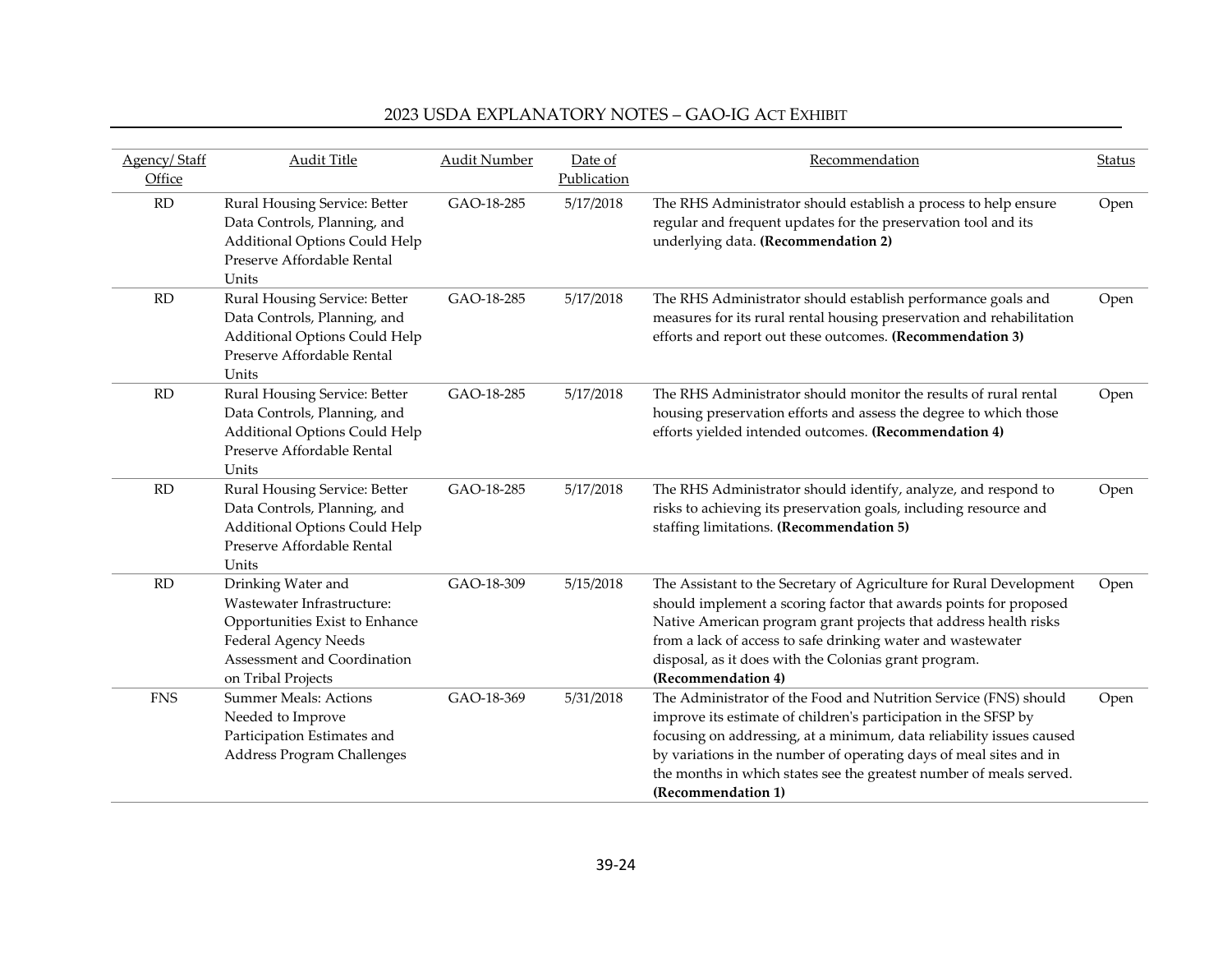| <b>Agency/Staff</b> | <b>Audit Title</b>                                                                                                                                              | <b>Audit Number</b> | Date of     | Recommendation                                                                                                                                                                                                                                                                                                                                                                 | <b>Status</b> |
|---------------------|-----------------------------------------------------------------------------------------------------------------------------------------------------------------|---------------------|-------------|--------------------------------------------------------------------------------------------------------------------------------------------------------------------------------------------------------------------------------------------------------------------------------------------------------------------------------------------------------------------------------|---------------|
| Office              |                                                                                                                                                                 |                     | Publication |                                                                                                                                                                                                                                                                                                                                                                                |               |
| RD                  | Rural Housing Service: Better<br>Data Controls, Planning, and<br>Additional Options Could Help<br>Preserve Affordable Rental<br>Units                           | GAO-18-285          | 5/17/2018   | The RHS Administrator should establish a process to help ensure<br>regular and frequent updates for the preservation tool and its<br>underlying data. (Recommendation 2)                                                                                                                                                                                                       | Open          |
| RD                  | Rural Housing Service: Better<br>Data Controls, Planning, and<br>Additional Options Could Help<br>Preserve Affordable Rental<br>Units                           | GAO-18-285          | 5/17/2018   | The RHS Administrator should establish performance goals and<br>measures for its rural rental housing preservation and rehabilitation<br>efforts and report out these outcomes. (Recommendation 3)                                                                                                                                                                             | Open          |
| RD                  | Rural Housing Service: Better<br>Data Controls, Planning, and<br>Additional Options Could Help<br>Preserve Affordable Rental<br>Units                           | GAO-18-285          | 5/17/2018   | The RHS Administrator should monitor the results of rural rental<br>housing preservation efforts and assess the degree to which those<br>efforts yielded intended outcomes. (Recommendation 4)                                                                                                                                                                                 | Open          |
| RD                  | Rural Housing Service: Better<br>Data Controls, Planning, and<br>Additional Options Could Help<br>Preserve Affordable Rental<br>Units                           | GAO-18-285          | 5/17/2018   | The RHS Administrator should identify, analyze, and respond to<br>risks to achieving its preservation goals, including resource and<br>staffing limitations. (Recommendation 5)                                                                                                                                                                                                | Open          |
| RD                  | Drinking Water and<br>Wastewater Infrastructure:<br>Opportunities Exist to Enhance<br>Federal Agency Needs<br>Assessment and Coordination<br>on Tribal Projects | GAO-18-309          | 5/15/2018   | The Assistant to the Secretary of Agriculture for Rural Development<br>should implement a scoring factor that awards points for proposed<br>Native American program grant projects that address health risks<br>from a lack of access to safe drinking water and wastewater<br>disposal, as it does with the Colonias grant program.<br>(Recommendation 4)                     | Open          |
| <b>FNS</b>          | <b>Summer Meals: Actions</b><br>Needed to Improve<br>Participation Estimates and<br>Address Program Challenges                                                  | GAO-18-369          | 5/31/2018   | The Administrator of the Food and Nutrition Service (FNS) should<br>improve its estimate of children's participation in the SFSP by<br>focusing on addressing, at a minimum, data reliability issues caused<br>by variations in the number of operating days of meal sites and in<br>the months in which states see the greatest number of meals served.<br>(Recommendation 1) | Open          |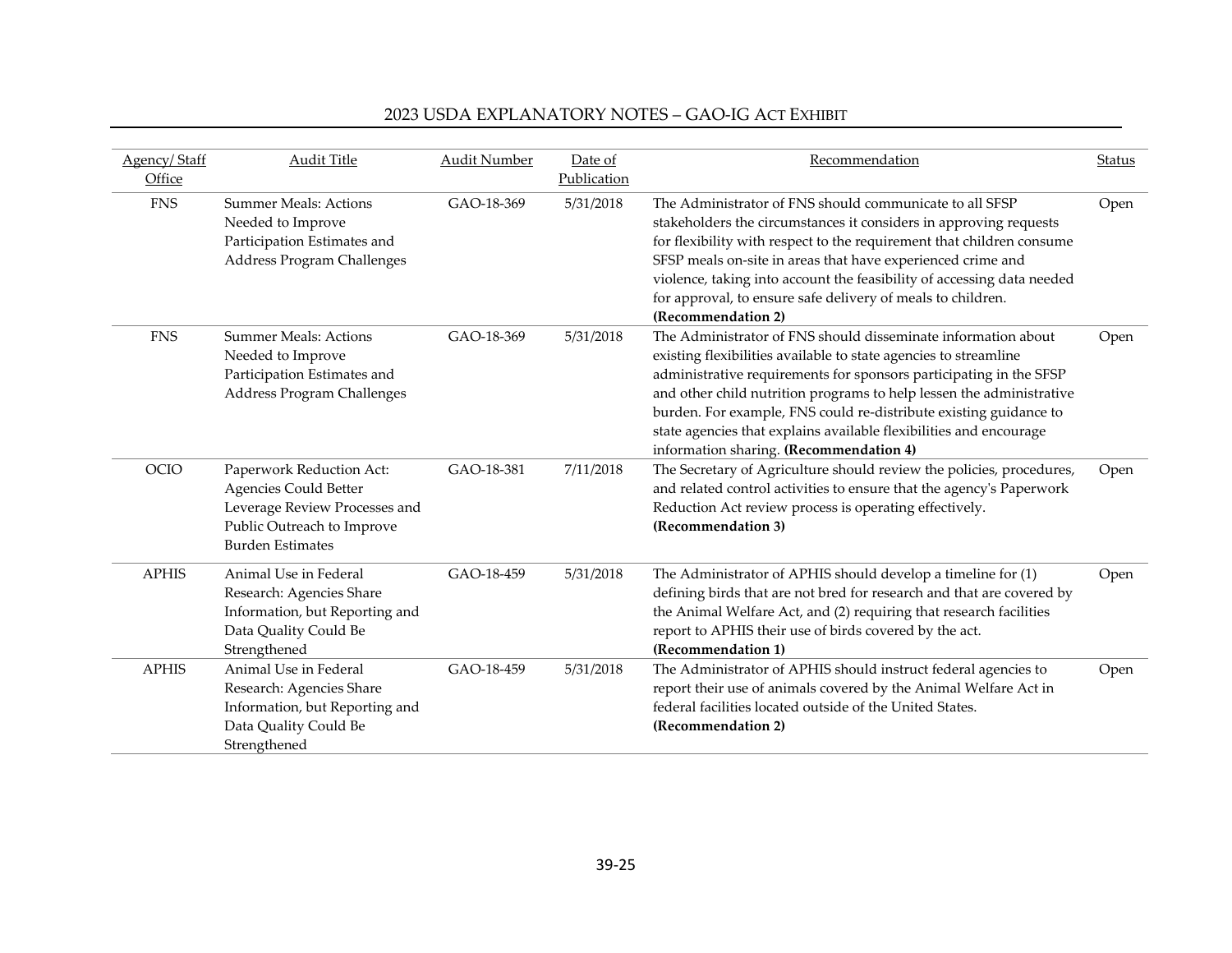| Agency/Staff | <b>Audit Title</b>                                                                                                                          | <b>Audit Number</b> | Date of     | Recommendation                                                                                                                                                                                                                                                                                                                                                                                                                                                        | Status |
|--------------|---------------------------------------------------------------------------------------------------------------------------------------------|---------------------|-------------|-----------------------------------------------------------------------------------------------------------------------------------------------------------------------------------------------------------------------------------------------------------------------------------------------------------------------------------------------------------------------------------------------------------------------------------------------------------------------|--------|
| Office       |                                                                                                                                             |                     | Publication |                                                                                                                                                                                                                                                                                                                                                                                                                                                                       |        |
| <b>FNS</b>   | <b>Summer Meals: Actions</b><br>Needed to Improve<br>Participation Estimates and<br>Address Program Challenges                              | GAO-18-369          | 5/31/2018   | The Administrator of FNS should communicate to all SFSP<br>stakeholders the circumstances it considers in approving requests<br>for flexibility with respect to the requirement that children consume<br>SFSP meals on-site in areas that have experienced crime and<br>violence, taking into account the feasibility of accessing data needed<br>for approval, to ensure safe delivery of meals to children.<br>(Recommendation 2)                                   | Open   |
| <b>FNS</b>   | <b>Summer Meals: Actions</b><br>Needed to Improve<br>Participation Estimates and<br>Address Program Challenges                              | GAO-18-369          | 5/31/2018   | The Administrator of FNS should disseminate information about<br>existing flexibilities available to state agencies to streamline<br>administrative requirements for sponsors participating in the SFSP<br>and other child nutrition programs to help lessen the administrative<br>burden. For example, FNS could re-distribute existing guidance to<br>state agencies that explains available flexibilities and encourage<br>information sharing. (Recommendation 4) | Open   |
| OCIO         | Paperwork Reduction Act:<br>Agencies Could Better<br>Leverage Review Processes and<br>Public Outreach to Improve<br><b>Burden Estimates</b> | GAO-18-381          | 7/11/2018   | The Secretary of Agriculture should review the policies, procedures,<br>and related control activities to ensure that the agency's Paperwork<br>Reduction Act review process is operating effectively.<br>(Recommendation 3)                                                                                                                                                                                                                                          | Open   |
| <b>APHIS</b> | Animal Use in Federal<br>Research: Agencies Share<br>Information, but Reporting and<br>Data Quality Could Be<br>Strengthened                | GAO-18-459          | 5/31/2018   | The Administrator of APHIS should develop a timeline for (1)<br>defining birds that are not bred for research and that are covered by<br>the Animal Welfare Act, and (2) requiring that research facilities<br>report to APHIS their use of birds covered by the act.<br>(Recommendation 1)                                                                                                                                                                           | Open   |
| <b>APHIS</b> | Animal Use in Federal<br>Research: Agencies Share<br>Information, but Reporting and<br>Data Quality Could Be<br>Strengthened                | GAO-18-459          | 5/31/2018   | The Administrator of APHIS should instruct federal agencies to<br>report their use of animals covered by the Animal Welfare Act in<br>federal facilities located outside of the United States.<br>(Recommendation 2)                                                                                                                                                                                                                                                  | Open   |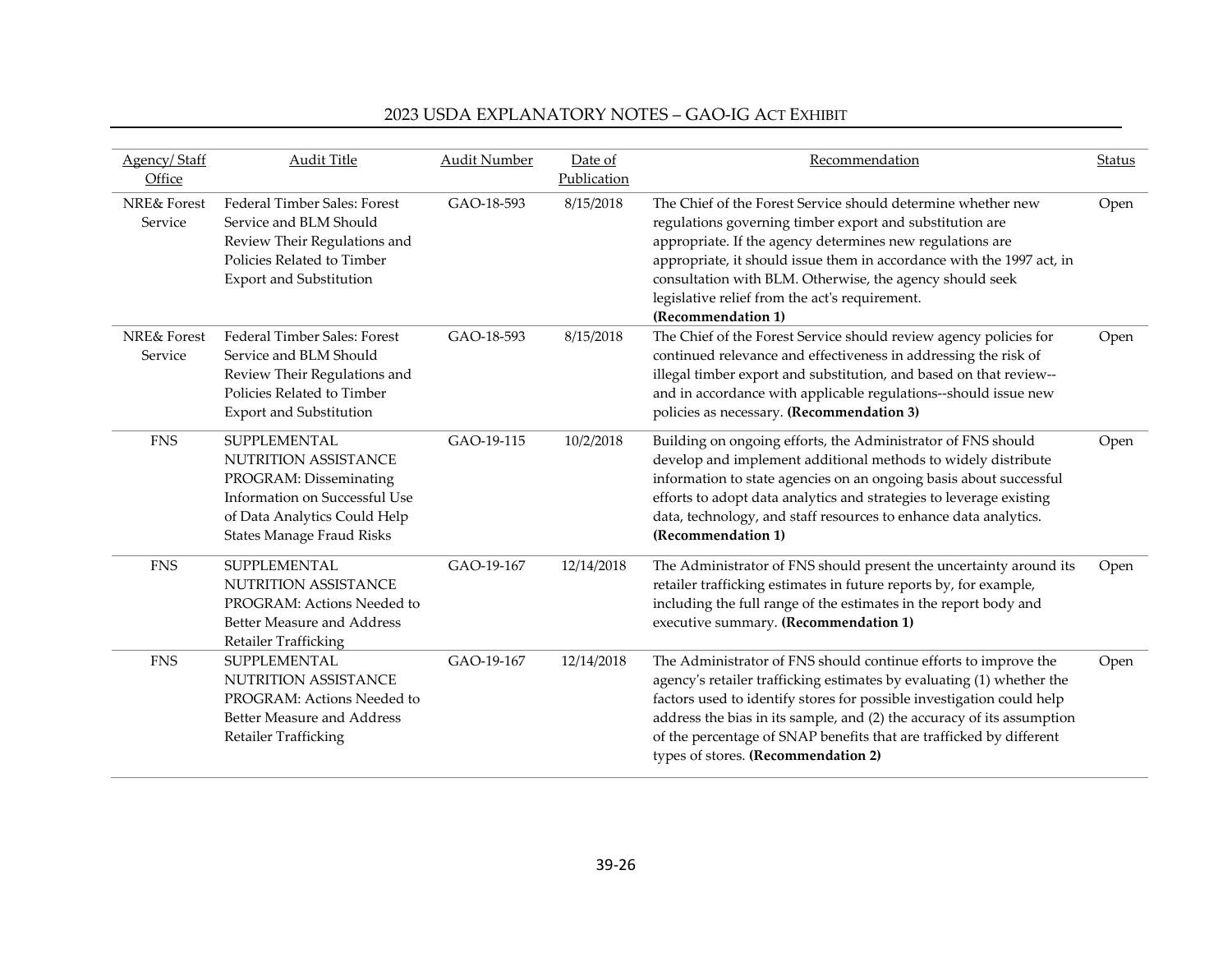| Agency/Staff<br>Office            | <b>Audit Title</b>                                                                                                                                                         | Audit Number | Date of<br>Publication | Recommendation                                                                                                                                                                                                                                                                                                                                                                                            | <b>Status</b> |
|-----------------------------------|----------------------------------------------------------------------------------------------------------------------------------------------------------------------------|--------------|------------------------|-----------------------------------------------------------------------------------------------------------------------------------------------------------------------------------------------------------------------------------------------------------------------------------------------------------------------------------------------------------------------------------------------------------|---------------|
| <b>NRE&amp; Forest</b><br>Service | Federal Timber Sales: Forest<br>Service and BLM Should<br>Review Their Regulations and<br>Policies Related to Timber<br><b>Export and Substitution</b>                     | GAO-18-593   | 8/15/2018              | The Chief of the Forest Service should determine whether new<br>regulations governing timber export and substitution are<br>appropriate. If the agency determines new regulations are<br>appropriate, it should issue them in accordance with the 1997 act, in<br>consultation with BLM. Otherwise, the agency should seek<br>legislative relief from the act's requirement.<br>(Recommendation 1)        | Open          |
| <b>NRE&amp; Forest</b><br>Service | Federal Timber Sales: Forest<br>Service and BLM Should<br>Review Their Regulations and<br>Policies Related to Timber<br><b>Export and Substitution</b>                     | GAO-18-593   | 8/15/2018              | The Chief of the Forest Service should review agency policies for<br>continued relevance and effectiveness in addressing the risk of<br>illegal timber export and substitution, and based on that review--<br>and in accordance with applicable regulations--should issue new<br>policies as necessary. (Recommendation 3)                                                                                | Open          |
| <b>FNS</b>                        | SUPPLEMENTAL<br><b>NUTRITION ASSISTANCE</b><br>PROGRAM: Disseminating<br>Information on Successful Use<br>of Data Analytics Could Help<br><b>States Manage Fraud Risks</b> | GAO-19-115   | 10/2/2018              | Building on ongoing efforts, the Administrator of FNS should<br>develop and implement additional methods to widely distribute<br>information to state agencies on an ongoing basis about successful<br>efforts to adopt data analytics and strategies to leverage existing<br>data, technology, and staff resources to enhance data analytics.<br>(Recommendation 1)                                      | Open          |
| <b>FNS</b>                        | SUPPLEMENTAL<br>NUTRITION ASSISTANCE<br>PROGRAM: Actions Needed to<br>Better Measure and Address<br>Retailer Trafficking                                                   | GAO-19-167   | 12/14/2018             | The Administrator of FNS should present the uncertainty around its<br>retailer trafficking estimates in future reports by, for example,<br>including the full range of the estimates in the report body and<br>executive summary. (Recommendation 1)                                                                                                                                                      | Open          |
| <b>FNS</b>                        | SUPPLEMENTAL<br><b>NUTRITION ASSISTANCE</b><br>PROGRAM: Actions Needed to<br>Better Measure and Address<br>Retailer Trafficking                                            | GAO-19-167   | 12/14/2018             | The Administrator of FNS should continue efforts to improve the<br>agency's retailer trafficking estimates by evaluating (1) whether the<br>factors used to identify stores for possible investigation could help<br>address the bias in its sample, and (2) the accuracy of its assumption<br>of the percentage of SNAP benefits that are trafficked by different<br>types of stores. (Recommendation 2) | Open          |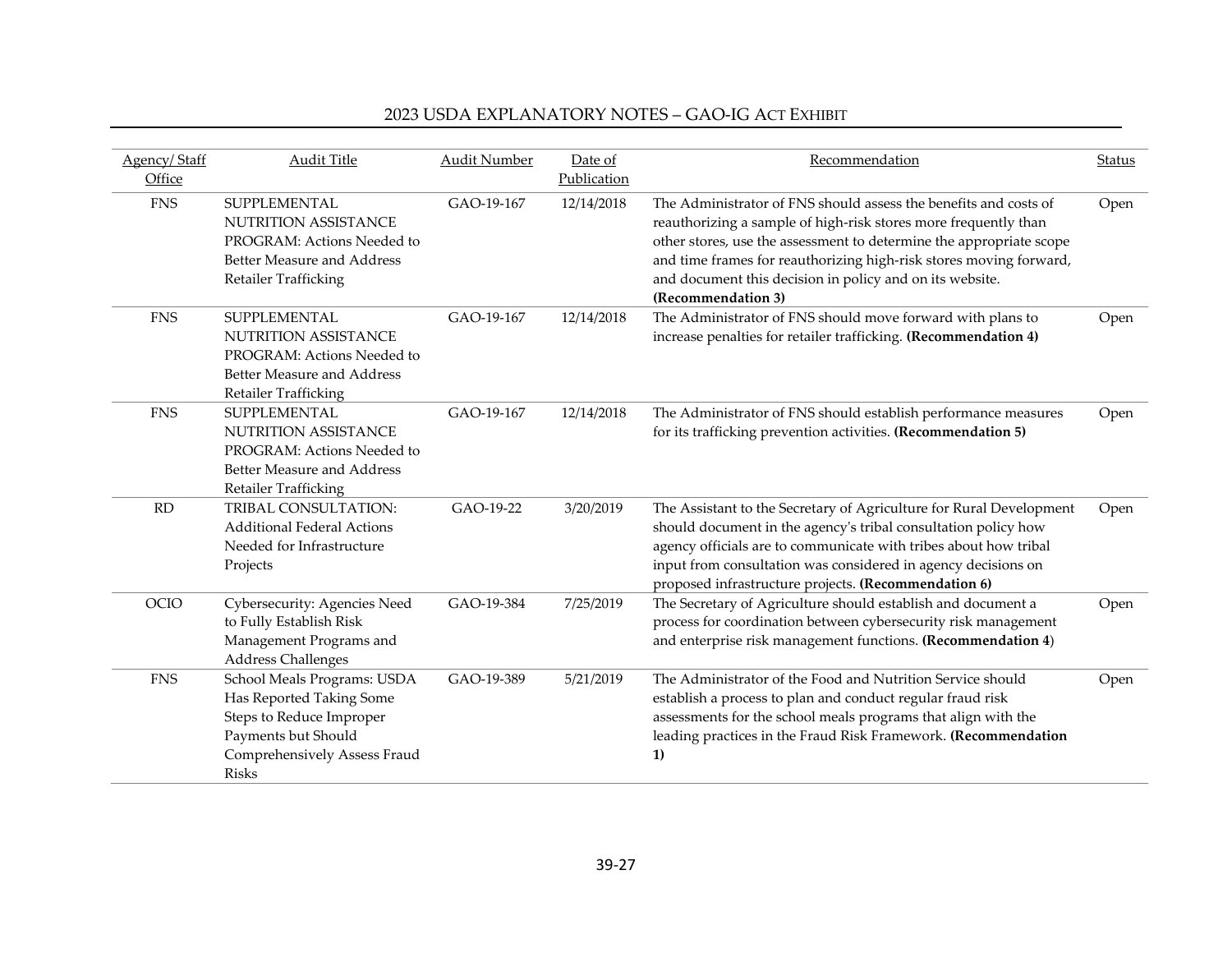| Agency/Staff<br>Office | <b>Audit Title</b>                                                                                                                                  | <b>Audit Number</b> | Date of<br>Publication | Recommendation                                                                                                                                                                                                                                                                                                                                                     | <b>Status</b> |
|------------------------|-----------------------------------------------------------------------------------------------------------------------------------------------------|---------------------|------------------------|--------------------------------------------------------------------------------------------------------------------------------------------------------------------------------------------------------------------------------------------------------------------------------------------------------------------------------------------------------------------|---------------|
| <b>FNS</b>             | SUPPLEMENTAL<br>NUTRITION ASSISTANCE<br>PROGRAM: Actions Needed to<br><b>Better Measure and Address</b><br>Retailer Trafficking                     | GAO-19-167          | 12/14/2018             | The Administrator of FNS should assess the benefits and costs of<br>reauthorizing a sample of high-risk stores more frequently than<br>other stores, use the assessment to determine the appropriate scope<br>and time frames for reauthorizing high-risk stores moving forward,<br>and document this decision in policy and on its website.<br>(Recommendation 3) | Open          |
| <b>FNS</b>             | SUPPLEMENTAL<br><b>NUTRITION ASSISTANCE</b><br>PROGRAM: Actions Needed to<br><b>Better Measure and Address</b><br>Retailer Trafficking              | GAO-19-167          | 12/14/2018             | The Administrator of FNS should move forward with plans to<br>increase penalties for retailer trafficking. (Recommendation 4)                                                                                                                                                                                                                                      | Open          |
| <b>FNS</b>             | SUPPLEMENTAL<br><b>NUTRITION ASSISTANCE</b><br>PROGRAM: Actions Needed to<br>Better Measure and Address<br>Retailer Trafficking                     | GAO-19-167          | 12/14/2018             | The Administrator of FNS should establish performance measures<br>for its trafficking prevention activities. (Recommendation 5)                                                                                                                                                                                                                                    | Open          |
| RD                     | TRIBAL CONSULTATION:<br><b>Additional Federal Actions</b><br>Needed for Infrastructure<br>Projects                                                  | GAO-19-22           | 3/20/2019              | The Assistant to the Secretary of Agriculture for Rural Development<br>should document in the agency's tribal consultation policy how<br>agency officials are to communicate with tribes about how tribal<br>input from consultation was considered in agency decisions on<br>proposed infrastructure projects. (Recommendation 6)                                 | Open          |
| OCIO                   | Cybersecurity: Agencies Need<br>to Fully Establish Risk<br>Management Programs and<br>Address Challenges                                            | GAO-19-384          | 7/25/2019              | The Secretary of Agriculture should establish and document a<br>process for coordination between cybersecurity risk management<br>and enterprise risk management functions. (Recommendation 4)                                                                                                                                                                     | Open          |
| <b>FNS</b>             | School Meals Programs: USDA<br>Has Reported Taking Some<br>Steps to Reduce Improper<br>Payments but Should<br>Comprehensively Assess Fraud<br>Risks | GAO-19-389          | 5/21/2019              | The Administrator of the Food and Nutrition Service should<br>establish a process to plan and conduct regular fraud risk<br>assessments for the school meals programs that align with the<br>leading practices in the Fraud Risk Framework. (Recommendation<br>1)                                                                                                  | Open          |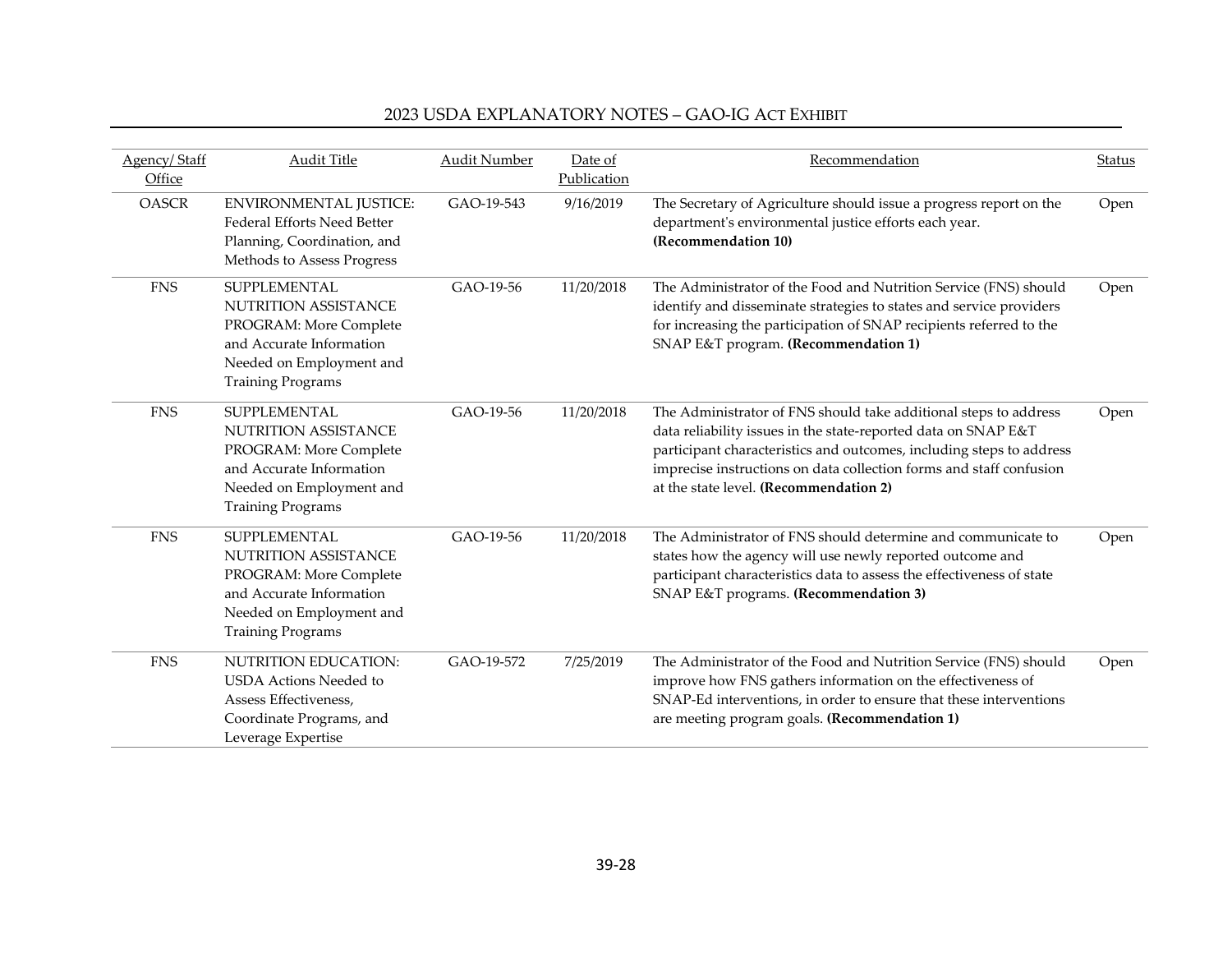| Agency/Staff<br>Office | <b>Audit Title</b>                                                                                                                                        | <b>Audit Number</b> | Date of<br>Publication | Recommendation                                                                                                                                                                                                                                                                                                              | Status |
|------------------------|-----------------------------------------------------------------------------------------------------------------------------------------------------------|---------------------|------------------------|-----------------------------------------------------------------------------------------------------------------------------------------------------------------------------------------------------------------------------------------------------------------------------------------------------------------------------|--------|
| <b>OASCR</b>           | <b>ENVIRONMENTAL JUSTICE:</b><br><b>Federal Efforts Need Better</b><br>Planning, Coordination, and<br>Methods to Assess Progress                          | GAO-19-543          | 9/16/2019              | The Secretary of Agriculture should issue a progress report on the<br>department's environmental justice efforts each year.<br>(Recommendation 10)                                                                                                                                                                          | Open   |
| <b>FNS</b>             | SUPPLEMENTAL<br><b>NUTRITION ASSISTANCE</b><br>PROGRAM: More Complete<br>and Accurate Information<br>Needed on Employment and<br><b>Training Programs</b> | GAO-19-56           | 11/20/2018             | The Administrator of the Food and Nutrition Service (FNS) should<br>identify and disseminate strategies to states and service providers<br>for increasing the participation of SNAP recipients referred to the<br>SNAP E&T program. (Recommendation 1)                                                                      | Open   |
| <b>FNS</b>             | SUPPLEMENTAL<br><b>NUTRITION ASSISTANCE</b><br>PROGRAM: More Complete<br>and Accurate Information<br>Needed on Employment and<br><b>Training Programs</b> | GAO-19-56           | 11/20/2018             | The Administrator of FNS should take additional steps to address<br>data reliability issues in the state-reported data on SNAP E&T<br>participant characteristics and outcomes, including steps to address<br>imprecise instructions on data collection forms and staff confusion<br>at the state level. (Recommendation 2) | Open   |
| <b>FNS</b>             | <b>SUPPLEMENTAL</b><br>NUTRITION ASSISTANCE<br>PROGRAM: More Complete<br>and Accurate Information<br>Needed on Employment and<br><b>Training Programs</b> | GAO-19-56           | 11/20/2018             | The Administrator of FNS should determine and communicate to<br>states how the agency will use newly reported outcome and<br>participant characteristics data to assess the effectiveness of state<br>SNAP E&T programs. (Recommendation 3)                                                                                 | Open   |
| <b>FNS</b>             | NUTRITION EDUCATION:<br><b>USDA</b> Actions Needed to<br>Assess Effectiveness.<br>Coordinate Programs, and<br>Leverage Expertise                          | GAO-19-572          | 7/25/2019              | The Administrator of the Food and Nutrition Service (FNS) should<br>improve how FNS gathers information on the effectiveness of<br>SNAP-Ed interventions, in order to ensure that these interventions<br>are meeting program goals. (Recommendation 1)                                                                      | Open   |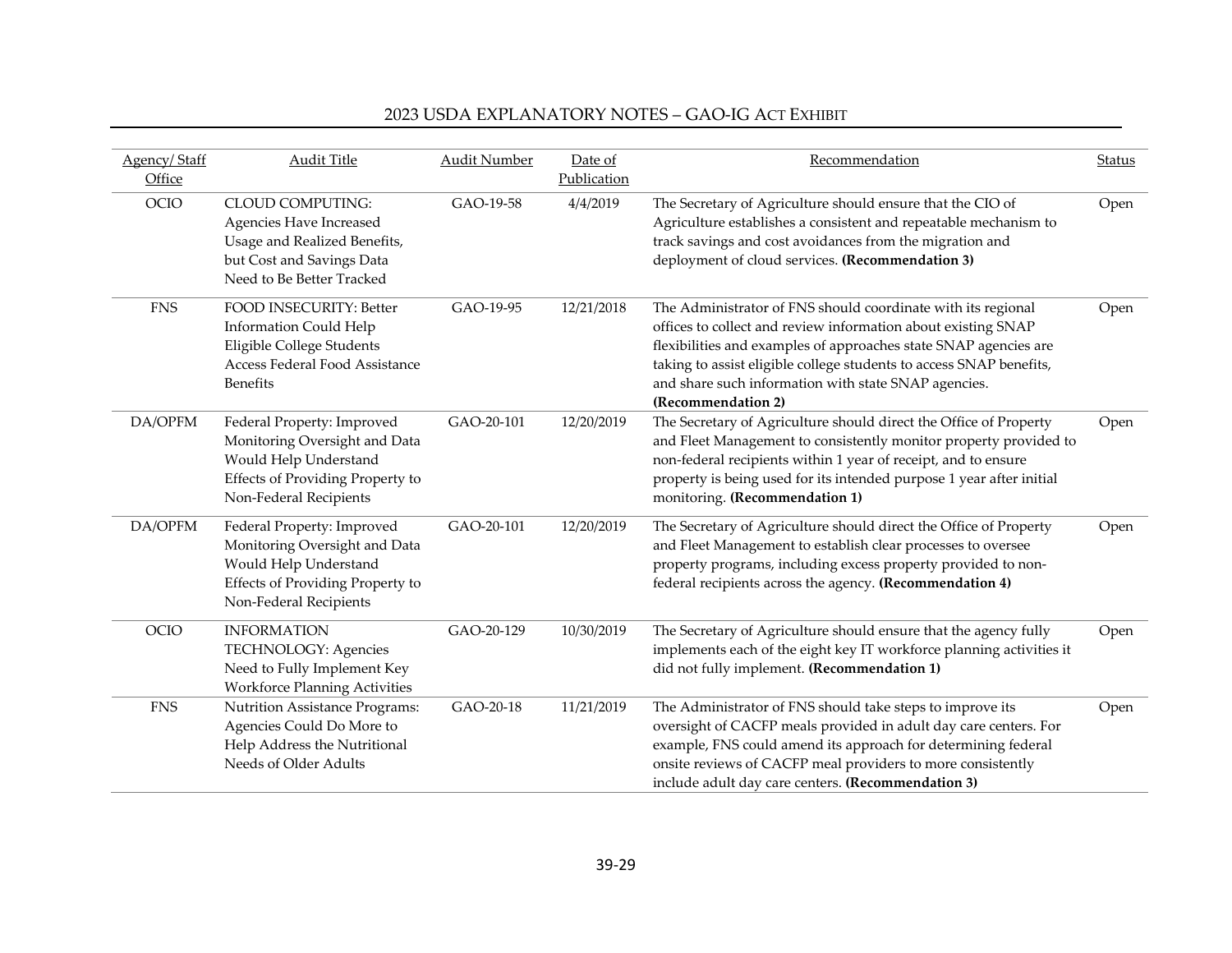| Agency/Staff<br>Office | <b>Audit Title</b>                                                                                                                                 | <b>Audit Number</b> | Date of<br>Publication | Recommendation                                                                                                                                                                                                                                                                                                                                         | <b>Status</b> |
|------------------------|----------------------------------------------------------------------------------------------------------------------------------------------------|---------------------|------------------------|--------------------------------------------------------------------------------------------------------------------------------------------------------------------------------------------------------------------------------------------------------------------------------------------------------------------------------------------------------|---------------|
| <b>OCIO</b>            | <b>CLOUD COMPUTING:</b><br>Agencies Have Increased<br>Usage and Realized Benefits,<br>but Cost and Savings Data<br>Need to Be Better Tracked       | GAO-19-58           | 4/4/2019               | The Secretary of Agriculture should ensure that the CIO of<br>Agriculture establishes a consistent and repeatable mechanism to<br>track savings and cost avoidances from the migration and<br>deployment of cloud services. (Recommendation 3)                                                                                                         | Open          |
| ${\rm FNS}$            | <b>FOOD INSECURITY: Better</b><br><b>Information Could Help</b><br>Eligible College Students<br>Access Federal Food Assistance<br><b>Benefits</b>  | GAO-19-95           | 12/21/2018             | The Administrator of FNS should coordinate with its regional<br>offices to collect and review information about existing SNAP<br>flexibilities and examples of approaches state SNAP agencies are<br>taking to assist eligible college students to access SNAP benefits,<br>and share such information with state SNAP agencies.<br>(Recommendation 2) | Open          |
| DA/OPFM                | Federal Property: Improved<br>Monitoring Oversight and Data<br>Would Help Understand<br>Effects of Providing Property to<br>Non-Federal Recipients | GAO-20-101          | 12/20/2019             | The Secretary of Agriculture should direct the Office of Property<br>and Fleet Management to consistently monitor property provided to<br>non-federal recipients within 1 year of receipt, and to ensure<br>property is being used for its intended purpose 1 year after initial<br>monitoring. (Recommendation 1)                                     | Open          |
| DA/OPFM                | Federal Property: Improved<br>Monitoring Oversight and Data<br>Would Help Understand<br>Effects of Providing Property to<br>Non-Federal Recipients | GAO-20-101          | 12/20/2019             | The Secretary of Agriculture should direct the Office of Property<br>and Fleet Management to establish clear processes to oversee<br>property programs, including excess property provided to non-<br>federal recipients across the agency. (Recommendation 4)                                                                                         | Open          |
| OCIO                   | <b>INFORMATION</b><br>TECHNOLOGY: Agencies<br>Need to Fully Implement Key<br><b>Workforce Planning Activities</b>                                  | GAO-20-129          | 10/30/2019             | The Secretary of Agriculture should ensure that the agency fully<br>implements each of the eight key IT workforce planning activities it<br>did not fully implement. (Recommendation 1)                                                                                                                                                                | Open          |
| <b>FNS</b>             | Nutrition Assistance Programs:<br>Agencies Could Do More to<br>Help Address the Nutritional<br>Needs of Older Adults                               | GAO-20-18           | 11/21/2019             | The Administrator of FNS should take steps to improve its<br>oversight of CACFP meals provided in adult day care centers. For<br>example, FNS could amend its approach for determining federal<br>onsite reviews of CACFP meal providers to more consistently<br>include adult day care centers. (Recommendation 3)                                    | Open          |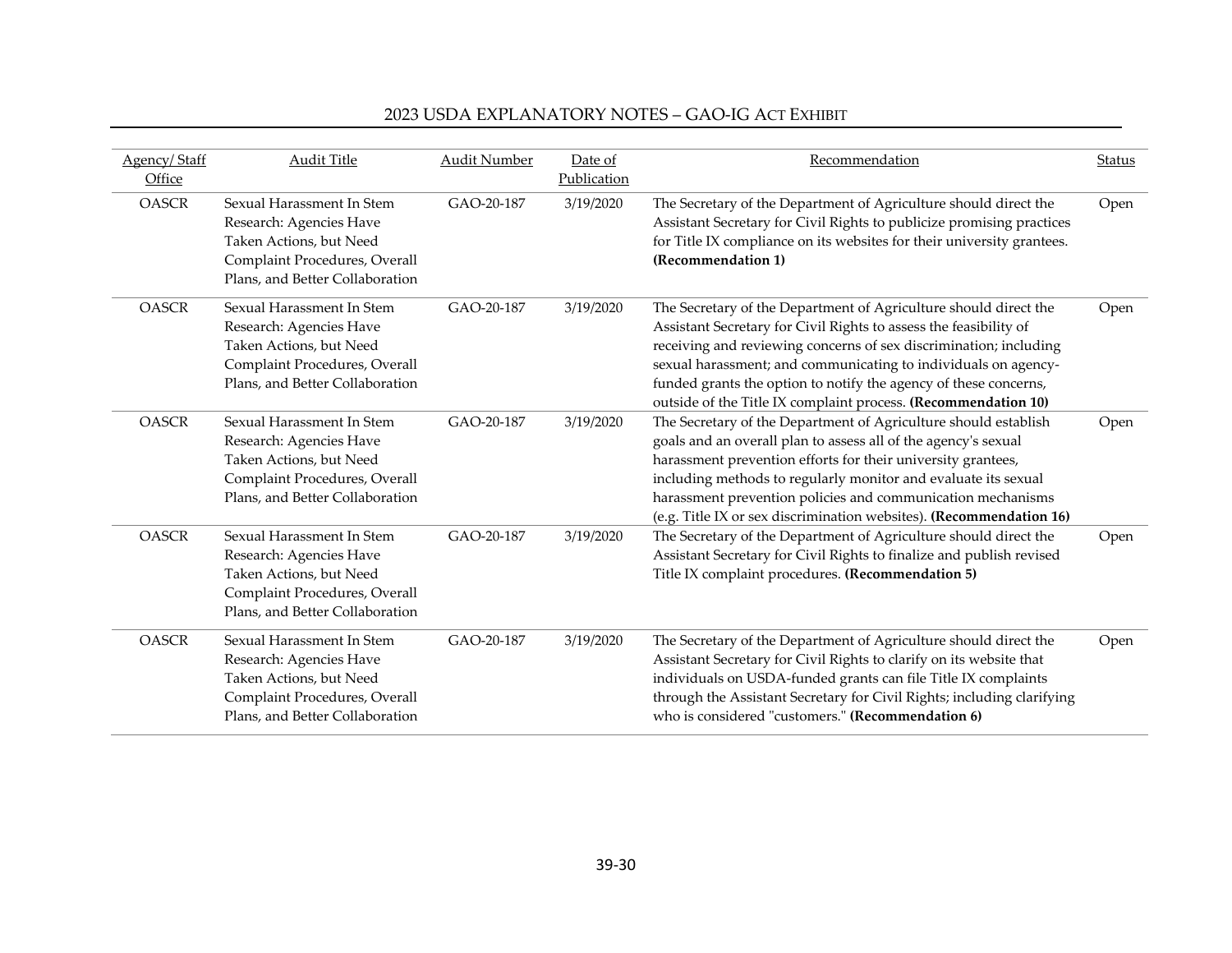| Agency/Staff<br>Office | <b>Audit Title</b>                                                                                                                                  | <b>Audit Number</b> | Date of<br>Publication | Recommendation                                                                                                                                                                                                                                                                                                                                                                                                     | <b>Status</b> |
|------------------------|-----------------------------------------------------------------------------------------------------------------------------------------------------|---------------------|------------------------|--------------------------------------------------------------------------------------------------------------------------------------------------------------------------------------------------------------------------------------------------------------------------------------------------------------------------------------------------------------------------------------------------------------------|---------------|
| <b>OASCR</b>           | Sexual Harassment In Stem<br>Research: Agencies Have<br>Taken Actions, but Need<br>Complaint Procedures, Overall<br>Plans, and Better Collaboration | GAO-20-187          | 3/19/2020              | The Secretary of the Department of Agriculture should direct the<br>Assistant Secretary for Civil Rights to publicize promising practices<br>for Title IX compliance on its websites for their university grantees.<br>(Recommendation 1)                                                                                                                                                                          | Open          |
| <b>OASCR</b>           | Sexual Harassment In Stem<br>Research: Agencies Have<br>Taken Actions, but Need<br>Complaint Procedures, Overall<br>Plans, and Better Collaboration | GAO-20-187          | 3/19/2020              | The Secretary of the Department of Agriculture should direct the<br>Assistant Secretary for Civil Rights to assess the feasibility of<br>receiving and reviewing concerns of sex discrimination; including<br>sexual harassment; and communicating to individuals on agency-<br>funded grants the option to notify the agency of these concerns,<br>outside of the Title IX complaint process. (Recommendation 10) | Open          |
| <b>OASCR</b>           | Sexual Harassment In Stem<br>Research: Agencies Have<br>Taken Actions, but Need<br>Complaint Procedures, Overall<br>Plans, and Better Collaboration | GAO-20-187          | 3/19/2020              | The Secretary of the Department of Agriculture should establish<br>goals and an overall plan to assess all of the agency's sexual<br>harassment prevention efforts for their university grantees,<br>including methods to regularly monitor and evaluate its sexual<br>harassment prevention policies and communication mechanisms<br>(e.g. Title IX or sex discrimination websites). (Recommendation 16)          | Open          |
| <b>OASCR</b>           | Sexual Harassment In Stem<br>Research: Agencies Have<br>Taken Actions, but Need<br>Complaint Procedures, Overall<br>Plans, and Better Collaboration | GAO-20-187          | 3/19/2020              | The Secretary of the Department of Agriculture should direct the<br>Assistant Secretary for Civil Rights to finalize and publish revised<br>Title IX complaint procedures. (Recommendation 5)                                                                                                                                                                                                                      | Open          |
| <b>OASCR</b>           | Sexual Harassment In Stem<br>Research: Agencies Have<br>Taken Actions, but Need<br>Complaint Procedures, Overall<br>Plans, and Better Collaboration | GAO-20-187          | 3/19/2020              | The Secretary of the Department of Agriculture should direct the<br>Assistant Secretary for Civil Rights to clarify on its website that<br>individuals on USDA-funded grants can file Title IX complaints<br>through the Assistant Secretary for Civil Rights; including clarifying<br>who is considered "customers." (Recommendation 6)                                                                           | Open          |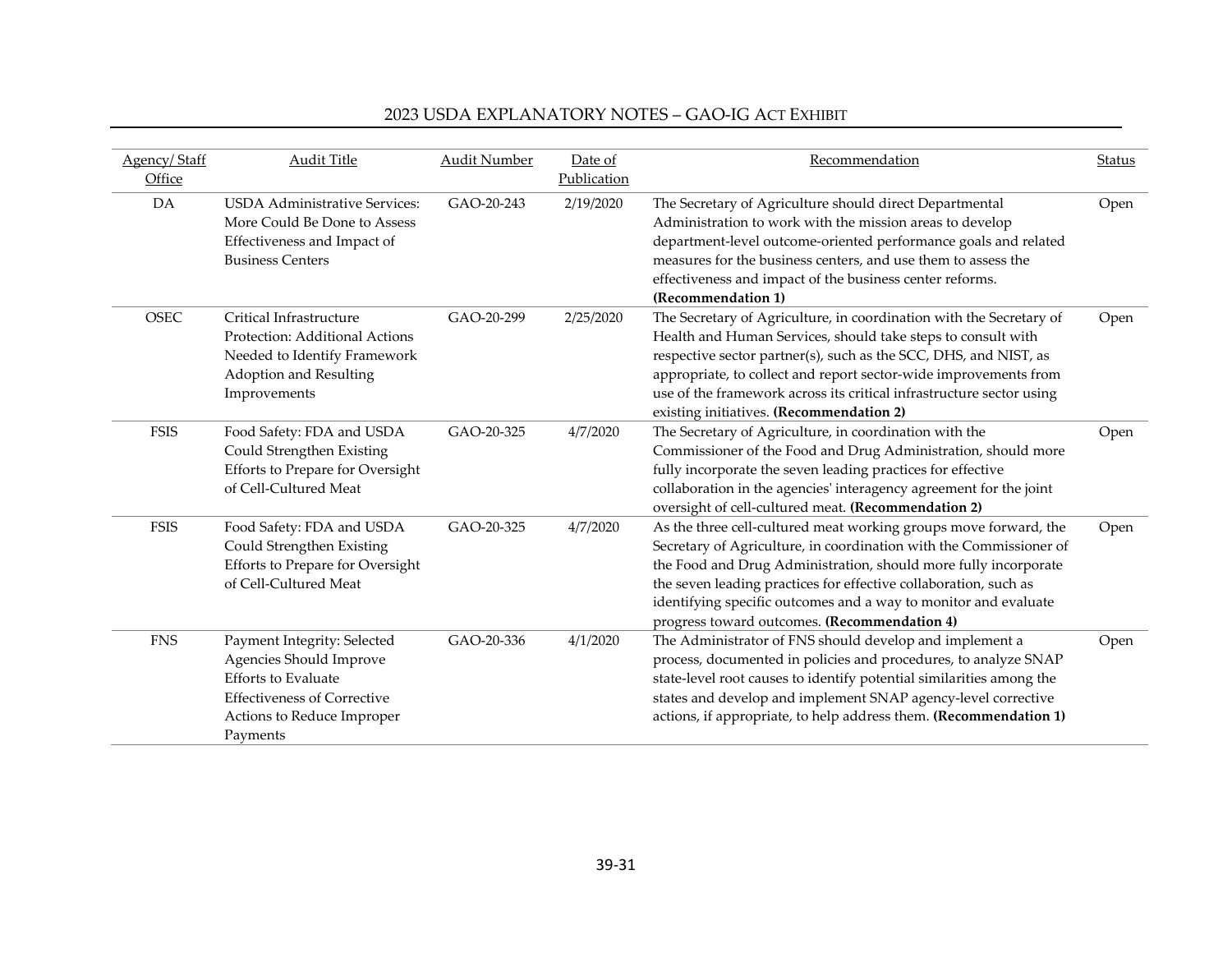| Agency/Staff | <b>Audit Title</b>                                                                                                                                                   | <b>Audit Number</b> | Date of     | Recommendation                                                                                                                                                                                                                                                                                                                                                                                   | Status |
|--------------|----------------------------------------------------------------------------------------------------------------------------------------------------------------------|---------------------|-------------|--------------------------------------------------------------------------------------------------------------------------------------------------------------------------------------------------------------------------------------------------------------------------------------------------------------------------------------------------------------------------------------------------|--------|
| Office       |                                                                                                                                                                      |                     | Publication |                                                                                                                                                                                                                                                                                                                                                                                                  |        |
| DA           | <b>USDA Administrative Services:</b><br>More Could Be Done to Assess<br>Effectiveness and Impact of<br><b>Business Centers</b>                                       | GAO-20-243          | 2/19/2020   | The Secretary of Agriculture should direct Departmental<br>Administration to work with the mission areas to develop<br>department-level outcome-oriented performance goals and related<br>measures for the business centers, and use them to assess the<br>effectiveness and impact of the business center reforms.<br>(Recommendation 1)                                                        | Open   |
| <b>OSEC</b>  | Critical Infrastructure<br>Protection: Additional Actions<br>Needed to Identify Framework<br>Adoption and Resulting<br>Improvements                                  | GAO-20-299          | 2/25/2020   | The Secretary of Agriculture, in coordination with the Secretary of<br>Health and Human Services, should take steps to consult with<br>respective sector partner(s), such as the SCC, DHS, and NIST, as<br>appropriate, to collect and report sector-wide improvements from<br>use of the framework across its critical infrastructure sector using<br>existing initiatives. (Recommendation 2)  | Open   |
| <b>FSIS</b>  | Food Safety: FDA and USDA<br>Could Strengthen Existing<br>Efforts to Prepare for Oversight<br>of Cell-Cultured Meat                                                  | GAO-20-325          | 4/7/2020    | The Secretary of Agriculture, in coordination with the<br>Commissioner of the Food and Drug Administration, should more<br>fully incorporate the seven leading practices for effective<br>collaboration in the agencies' interagency agreement for the joint<br>oversight of cell-cultured meat. (Recommendation 2)                                                                              | Open   |
| <b>FSIS</b>  | Food Safety: FDA and USDA<br>Could Strengthen Existing<br>Efforts to Prepare for Oversight<br>of Cell-Cultured Meat                                                  | GAO-20-325          | 4/7/2020    | As the three cell-cultured meat working groups move forward, the<br>Secretary of Agriculture, in coordination with the Commissioner of<br>the Food and Drug Administration, should more fully incorporate<br>the seven leading practices for effective collaboration, such as<br>identifying specific outcomes and a way to monitor and evaluate<br>progress toward outcomes. (Recommendation 4) | Open   |
| <b>FNS</b>   | Payment Integrity: Selected<br>Agencies Should Improve<br><b>Efforts to Evaluate</b><br><b>Effectiveness of Corrective</b><br>Actions to Reduce Improper<br>Payments | GAO-20-336          | 4/1/2020    | The Administrator of FNS should develop and implement a<br>process, documented in policies and procedures, to analyze SNAP<br>state-level root causes to identify potential similarities among the<br>states and develop and implement SNAP agency-level corrective<br>actions, if appropriate, to help address them. (Recommendation 1)                                                         | Open   |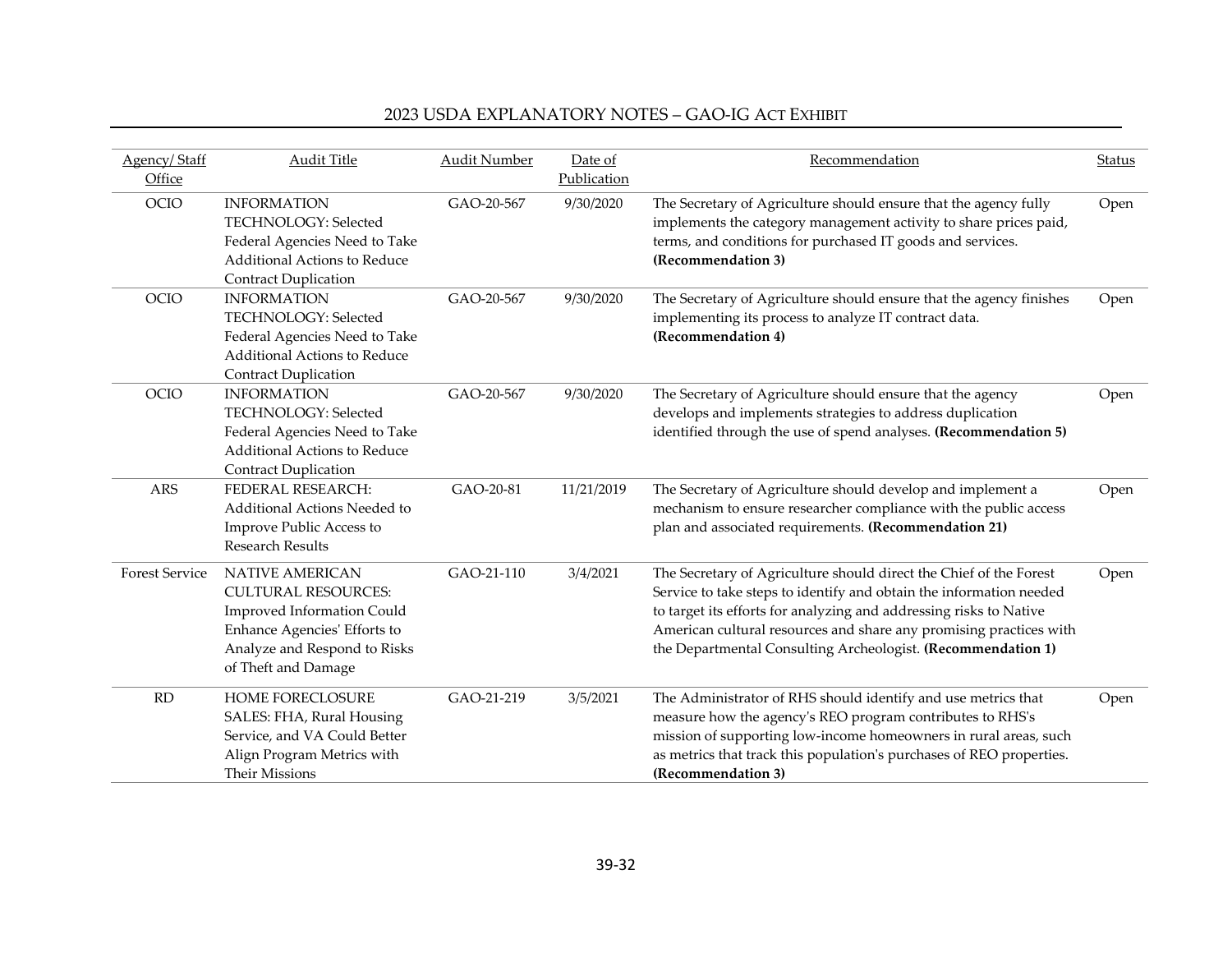| Agency/Staff<br>Office | Audit Title                                                                                                                                                                      | Audit Number | Date of<br>Publication | Recommendation                                                                                                                                                                                                                                                                                                                                        | <b>Status</b> |
|------------------------|----------------------------------------------------------------------------------------------------------------------------------------------------------------------------------|--------------|------------------------|-------------------------------------------------------------------------------------------------------------------------------------------------------------------------------------------------------------------------------------------------------------------------------------------------------------------------------------------------------|---------------|
| OCIO                   | <b>INFORMATION</b><br>TECHNOLOGY: Selected<br>Federal Agencies Need to Take<br><b>Additional Actions to Reduce</b><br><b>Contract Duplication</b>                                | GAO-20-567   | 9/30/2020              | The Secretary of Agriculture should ensure that the agency fully<br>implements the category management activity to share prices paid,<br>terms, and conditions for purchased IT goods and services.<br>(Recommendation 3)                                                                                                                             | Open          |
| OCIO                   | <b>INFORMATION</b><br>TECHNOLOGY: Selected<br>Federal Agencies Need to Take<br>Additional Actions to Reduce<br><b>Contract Duplication</b>                                       | GAO-20-567   | 9/30/2020              | The Secretary of Agriculture should ensure that the agency finishes<br>implementing its process to analyze IT contract data.<br>(Recommendation 4)                                                                                                                                                                                                    | Open          |
| <b>OCIO</b>            | <b>INFORMATION</b><br>TECHNOLOGY: Selected<br>Federal Agencies Need to Take<br><b>Additional Actions to Reduce</b><br><b>Contract Duplication</b>                                | GAO-20-567   | 9/30/2020              | The Secretary of Agriculture should ensure that the agency<br>develops and implements strategies to address duplication<br>identified through the use of spend analyses. (Recommendation 5)                                                                                                                                                           | Open          |
| <b>ARS</b>             | FEDERAL RESEARCH:<br>Additional Actions Needed to<br>Improve Public Access to<br><b>Research Results</b>                                                                         | GAO-20-81    | 11/21/2019             | The Secretary of Agriculture should develop and implement a<br>mechanism to ensure researcher compliance with the public access<br>plan and associated requirements. (Recommendation 21)                                                                                                                                                              | Open          |
| <b>Forest Service</b>  | <b>NATIVE AMERICAN</b><br><b>CULTURAL RESOURCES:</b><br><b>Improved Information Could</b><br>Enhance Agencies' Efforts to<br>Analyze and Respond to Risks<br>of Theft and Damage | GAO-21-110   | 3/4/2021               | The Secretary of Agriculture should direct the Chief of the Forest<br>Service to take steps to identify and obtain the information needed<br>to target its efforts for analyzing and addressing risks to Native<br>American cultural resources and share any promising practices with<br>the Departmental Consulting Archeologist. (Recommendation 1) | Open          |
| RD                     | <b>HOME FORECLOSURE</b><br>SALES: FHA, Rural Housing<br>Service, and VA Could Better<br>Align Program Metrics with<br><b>Their Missions</b>                                      | GAO-21-219   | 3/5/2021               | The Administrator of RHS should identify and use metrics that<br>measure how the agency's REO program contributes to RHS's<br>mission of supporting low-income homeowners in rural areas, such<br>as metrics that track this population's purchases of REO properties.<br>(Recommendation 3)                                                          | Open          |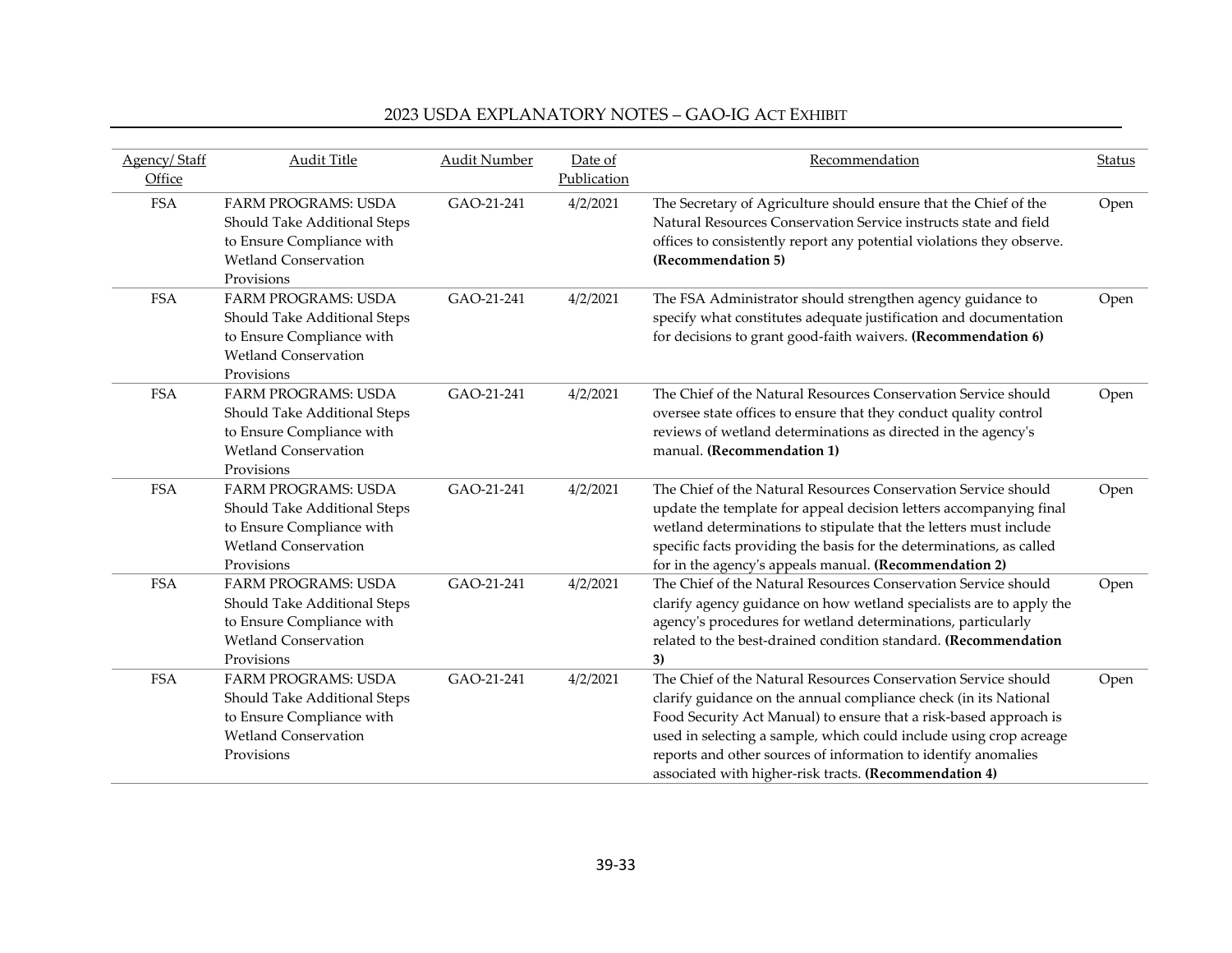| Agency/Staff<br>Office | Audit Title                                                                                                                          | <b>Audit Number</b> | Date of<br>Publication | Recommendation                                                                                                                                                                                                                                                                                                                                                                                            | <b>Status</b> |
|------------------------|--------------------------------------------------------------------------------------------------------------------------------------|---------------------|------------------------|-----------------------------------------------------------------------------------------------------------------------------------------------------------------------------------------------------------------------------------------------------------------------------------------------------------------------------------------------------------------------------------------------------------|---------------|
| <b>FSA</b>             | <b>FARM PROGRAMS: USDA</b><br>Should Take Additional Steps<br>to Ensure Compliance with<br><b>Wetland Conservation</b><br>Provisions | GAO-21-241          | 4/2/2021               | The Secretary of Agriculture should ensure that the Chief of the<br>Natural Resources Conservation Service instructs state and field<br>offices to consistently report any potential violations they observe.<br>(Recommendation 5)                                                                                                                                                                       | Open          |
| <b>FSA</b>             | <b>FARM PROGRAMS: USDA</b><br>Should Take Additional Steps<br>to Ensure Compliance with<br><b>Wetland Conservation</b><br>Provisions | GAO-21-241          | 4/2/2021               | The FSA Administrator should strengthen agency guidance to<br>specify what constitutes adequate justification and documentation<br>for decisions to grant good-faith waivers. (Recommendation 6)                                                                                                                                                                                                          | Open          |
| <b>FSA</b>             | <b>FARM PROGRAMS: USDA</b><br>Should Take Additional Steps<br>to Ensure Compliance with<br><b>Wetland Conservation</b><br>Provisions | GAO-21-241          | 4/2/2021               | The Chief of the Natural Resources Conservation Service should<br>oversee state offices to ensure that they conduct quality control<br>reviews of wetland determinations as directed in the agency's<br>manual. (Recommendation 1)                                                                                                                                                                        | Open          |
| <b>FSA</b>             | <b>FARM PROGRAMS: USDA</b><br>Should Take Additional Steps<br>to Ensure Compliance with<br><b>Wetland Conservation</b><br>Provisions | GAO-21-241          | 4/2/2021               | The Chief of the Natural Resources Conservation Service should<br>update the template for appeal decision letters accompanying final<br>wetland determinations to stipulate that the letters must include<br>specific facts providing the basis for the determinations, as called<br>for in the agency's appeals manual. (Recommendation 2)                                                               | Open          |
| <b>FSA</b>             | <b>FARM PROGRAMS: USDA</b><br>Should Take Additional Steps<br>to Ensure Compliance with<br><b>Wetland Conservation</b><br>Provisions | GAO-21-241          | 4/2/2021               | The Chief of the Natural Resources Conservation Service should<br>clarify agency guidance on how wetland specialists are to apply the<br>agency's procedures for wetland determinations, particularly<br>related to the best-drained condition standard. (Recommendation<br>3)                                                                                                                            | Open          |
| <b>FSA</b>             | <b>FARM PROGRAMS: USDA</b><br>Should Take Additional Steps<br>to Ensure Compliance with<br><b>Wetland Conservation</b><br>Provisions | GAO-21-241          | 4/2/2021               | The Chief of the Natural Resources Conservation Service should<br>clarify guidance on the annual compliance check (in its National<br>Food Security Act Manual) to ensure that a risk-based approach is<br>used in selecting a sample, which could include using crop acreage<br>reports and other sources of information to identify anomalies<br>associated with higher-risk tracts. (Recommendation 4) | Open          |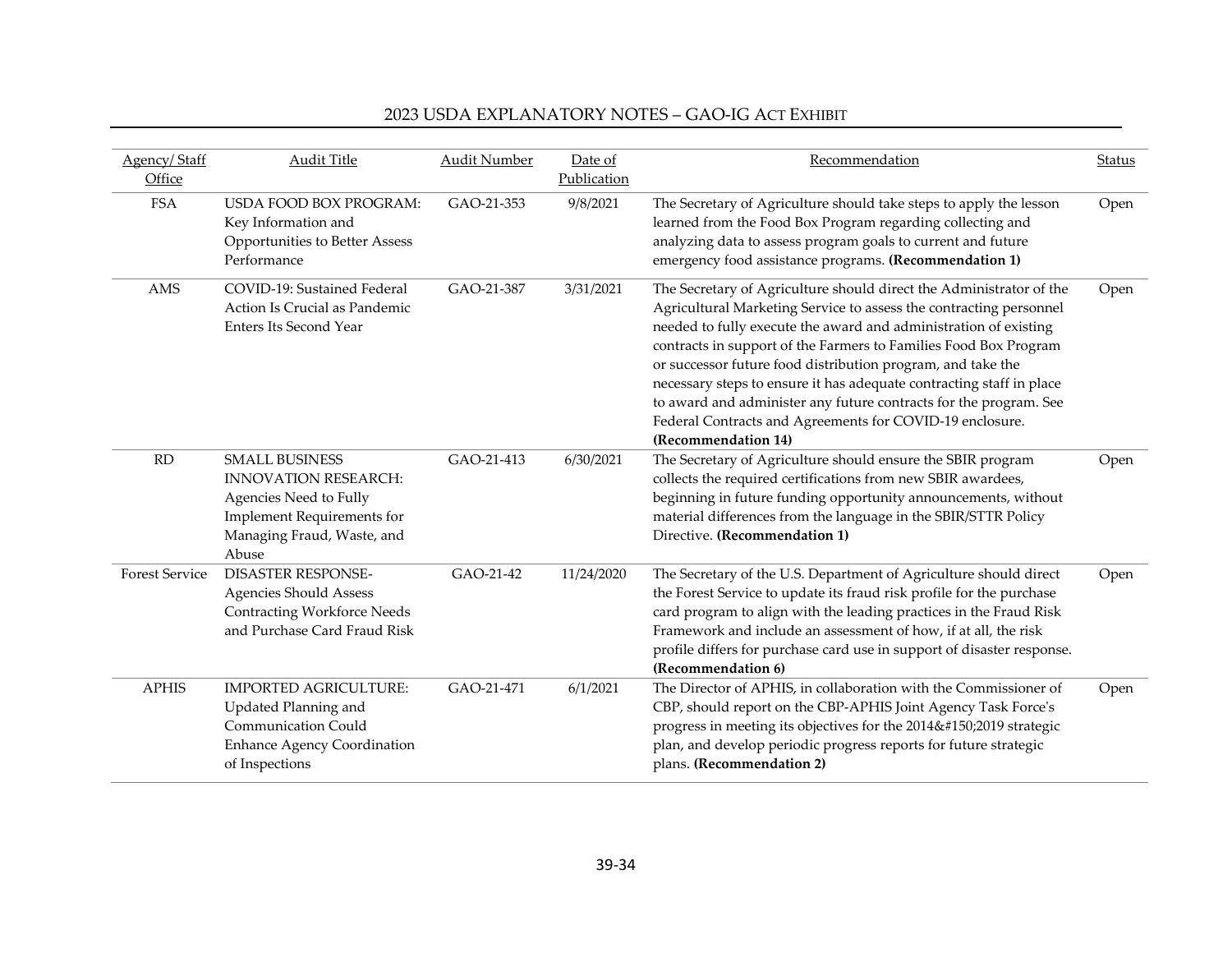| Agency/Staff<br>Office | <b>Audit Title</b>                                                                                                                                         | <b>Audit Number</b> | Date of<br>Publication | Recommendation                                                                                                                                                                                                                                                                                                                                                                                                                                                                                                                                                                   | Status |
|------------------------|------------------------------------------------------------------------------------------------------------------------------------------------------------|---------------------|------------------------|----------------------------------------------------------------------------------------------------------------------------------------------------------------------------------------------------------------------------------------------------------------------------------------------------------------------------------------------------------------------------------------------------------------------------------------------------------------------------------------------------------------------------------------------------------------------------------|--------|
| <b>FSA</b>             | <b>USDA FOOD BOX PROGRAM:</b><br>Key Information and<br>Opportunities to Better Assess<br>Performance                                                      | GAO-21-353          | 9/8/2021               | The Secretary of Agriculture should take steps to apply the lesson<br>learned from the Food Box Program regarding collecting and<br>analyzing data to assess program goals to current and future<br>emergency food assistance programs. (Recommendation 1)                                                                                                                                                                                                                                                                                                                       | Open   |
| AMS                    | COVID-19: Sustained Federal<br>Action Is Crucial as Pandemic<br><b>Enters Its Second Year</b>                                                              | GAO-21-387          | 3/31/2021              | The Secretary of Agriculture should direct the Administrator of the<br>Agricultural Marketing Service to assess the contracting personnel<br>needed to fully execute the award and administration of existing<br>contracts in support of the Farmers to Families Food Box Program<br>or successor future food distribution program, and take the<br>necessary steps to ensure it has adequate contracting staff in place<br>to award and administer any future contracts for the program. See<br>Federal Contracts and Agreements for COVID-19 enclosure.<br>(Recommendation 14) | Open   |
| <b>RD</b>              | <b>SMALL BUSINESS</b><br><b>INNOVATION RESEARCH:</b><br>Agencies Need to Fully<br><b>Implement Requirements for</b><br>Managing Fraud, Waste, and<br>Abuse | GAO-21-413          | 6/30/2021              | The Secretary of Agriculture should ensure the SBIR program<br>collects the required certifications from new SBIR awardees,<br>beginning in future funding opportunity announcements, without<br>material differences from the language in the SBIR/STTR Policy<br>Directive. (Recommendation 1)                                                                                                                                                                                                                                                                                 | Open   |
| <b>Forest Service</b>  | <b>DISASTER RESPONSE-</b><br><b>Agencies Should Assess</b><br><b>Contracting Workforce Needs</b><br>and Purchase Card Fraud Risk                           | GAO-21-42           | 11/24/2020             | The Secretary of the U.S. Department of Agriculture should direct<br>the Forest Service to update its fraud risk profile for the purchase<br>card program to align with the leading practices in the Fraud Risk<br>Framework and include an assessment of how, if at all, the risk<br>profile differs for purchase card use in support of disaster response.<br>(Recommendation 6)                                                                                                                                                                                               | Open   |
| <b>APHIS</b>           | <b>IMPORTED AGRICULTURE:</b><br>Updated Planning and<br><b>Communication Could</b><br><b>Enhance Agency Coordination</b><br>of Inspections                 | GAO-21-471          | 6/1/2021               | The Director of APHIS, in collaboration with the Commissioner of<br>CBP, should report on the CBP-APHIS Joint Agency Task Force's<br>progress in meeting its objectives for the 2014–2019 strategic<br>plan, and develop periodic progress reports for future strategic<br>plans. (Recommendation 2)                                                                                                                                                                                                                                                                             | Open   |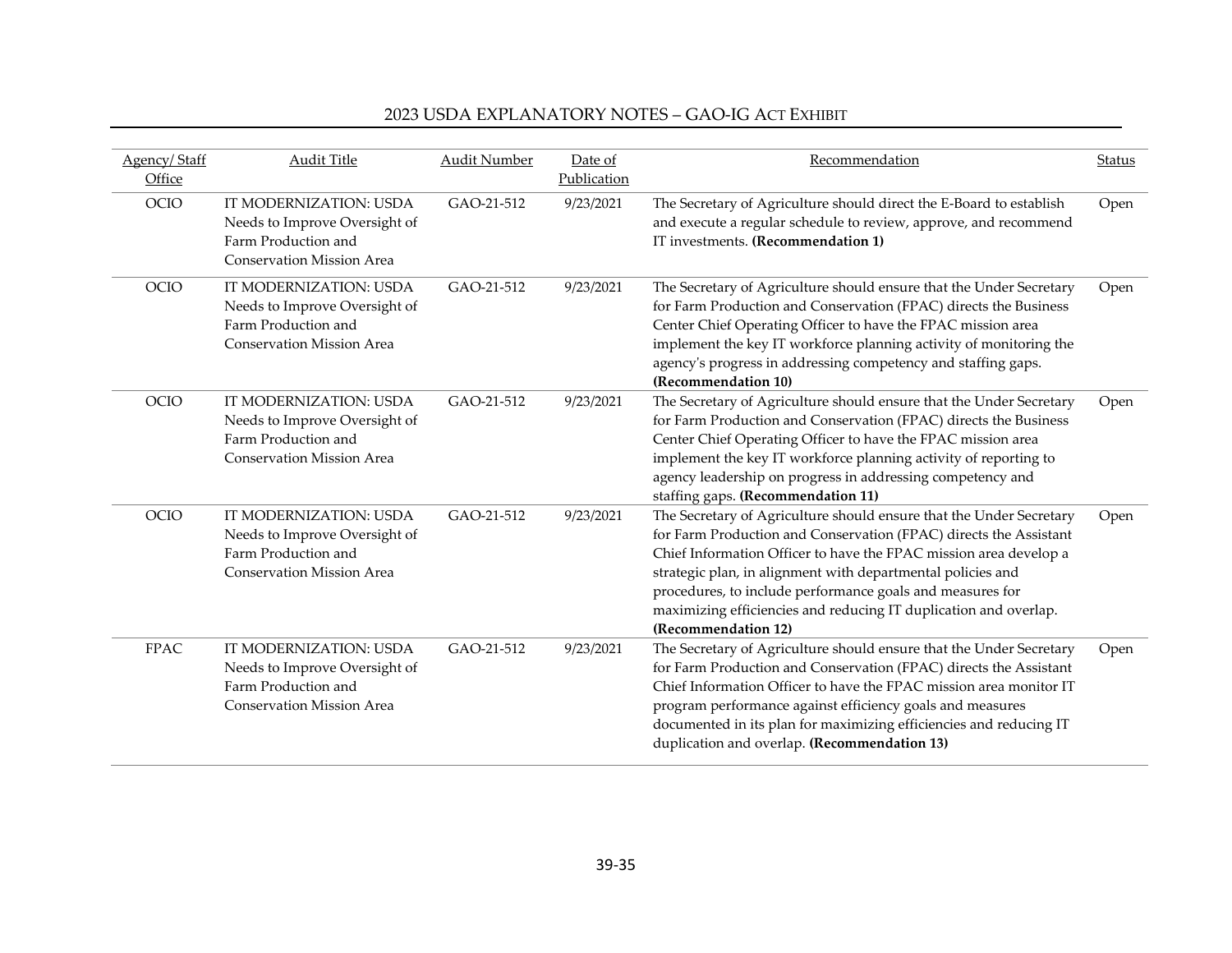| Agency/Staff<br>Office | <b>Audit Title</b>                                                                                                 | <b>Audit Number</b> | Date of<br>Publication | Recommendation                                                                                                                                                                                                                                                                                                                                                                                                                       | <b>Status</b> |
|------------------------|--------------------------------------------------------------------------------------------------------------------|---------------------|------------------------|--------------------------------------------------------------------------------------------------------------------------------------------------------------------------------------------------------------------------------------------------------------------------------------------------------------------------------------------------------------------------------------------------------------------------------------|---------------|
| <b>OCIO</b>            | IT MODERNIZATION: USDA<br>Needs to Improve Oversight of<br>Farm Production and<br><b>Conservation Mission Area</b> | GAO-21-512          | 9/23/2021              | The Secretary of Agriculture should direct the E-Board to establish<br>and execute a regular schedule to review, approve, and recommend<br>IT investments. (Recommendation 1)                                                                                                                                                                                                                                                        | Open          |
| <b>OCIO</b>            | IT MODERNIZATION: USDA<br>Needs to Improve Oversight of<br>Farm Production and<br><b>Conservation Mission Area</b> | GAO-21-512          | 9/23/2021              | The Secretary of Agriculture should ensure that the Under Secretary<br>for Farm Production and Conservation (FPAC) directs the Business<br>Center Chief Operating Officer to have the FPAC mission area<br>implement the key IT workforce planning activity of monitoring the<br>agency's progress in addressing competency and staffing gaps.<br>(Recommendation 10)                                                                | Open          |
| <b>OCIO</b>            | IT MODERNIZATION: USDA<br>Needs to Improve Oversight of<br>Farm Production and<br><b>Conservation Mission Area</b> | GAO-21-512          | 9/23/2021              | The Secretary of Agriculture should ensure that the Under Secretary<br>for Farm Production and Conservation (FPAC) directs the Business<br>Center Chief Operating Officer to have the FPAC mission area<br>implement the key IT workforce planning activity of reporting to<br>agency leadership on progress in addressing competency and<br>staffing gaps. (Recommendation 11)                                                      | Open          |
| <b>OCIO</b>            | IT MODERNIZATION: USDA<br>Needs to Improve Oversight of<br>Farm Production and<br><b>Conservation Mission Area</b> | GAO-21-512          | 9/23/2021              | The Secretary of Agriculture should ensure that the Under Secretary<br>for Farm Production and Conservation (FPAC) directs the Assistant<br>Chief Information Officer to have the FPAC mission area develop a<br>strategic plan, in alignment with departmental policies and<br>procedures, to include performance goals and measures for<br>maximizing efficiencies and reducing IT duplication and overlap.<br>(Recommendation 12) | Open          |
| <b>FPAC</b>            | IT MODERNIZATION: USDA<br>Needs to Improve Oversight of<br>Farm Production and<br><b>Conservation Mission Area</b> | GAO-21-512          | 9/23/2021              | The Secretary of Agriculture should ensure that the Under Secretary<br>for Farm Production and Conservation (FPAC) directs the Assistant<br>Chief Information Officer to have the FPAC mission area monitor IT<br>program performance against efficiency goals and measures<br>documented in its plan for maximizing efficiencies and reducing IT<br>duplication and overlap. (Recommendation 13)                                    | Open          |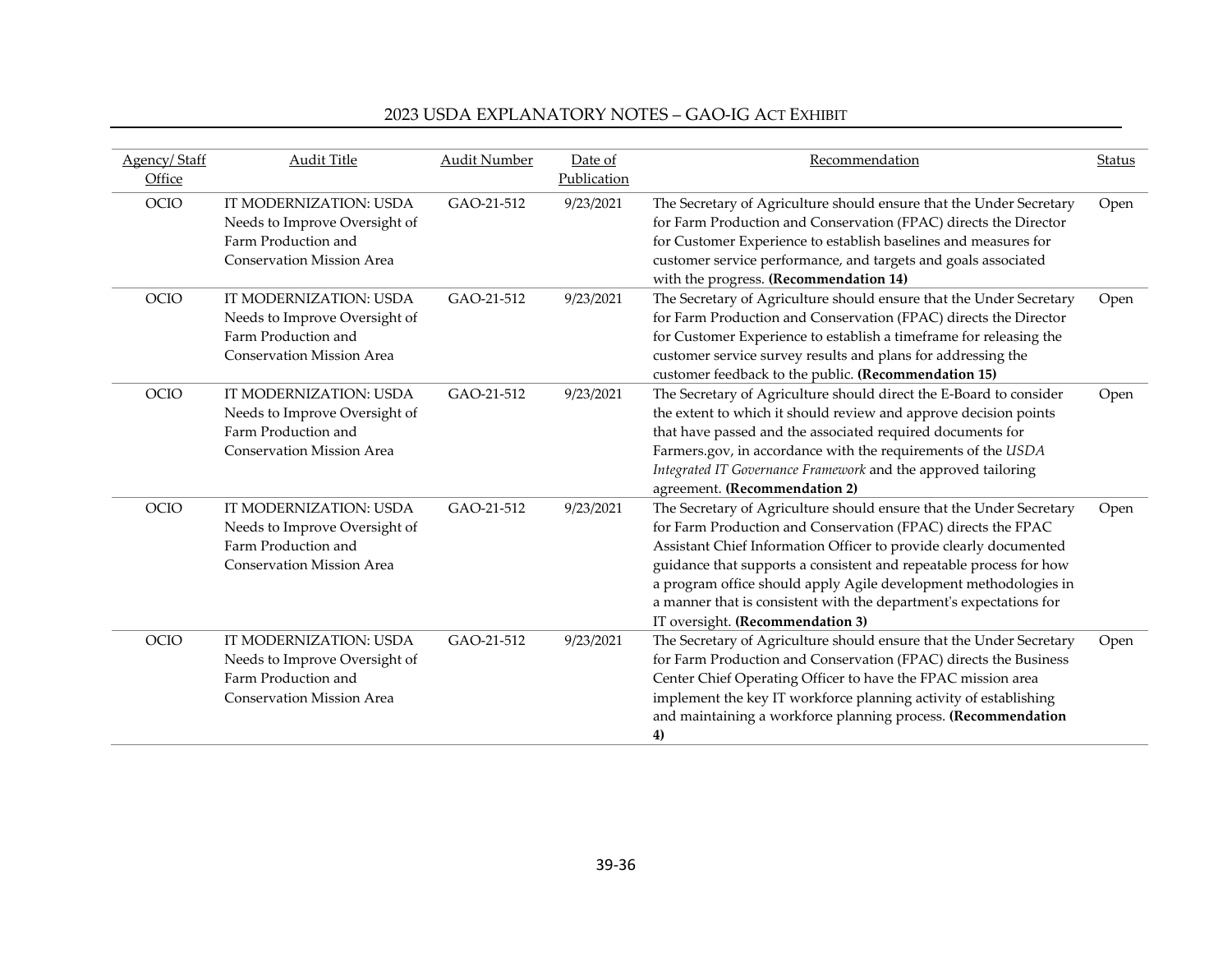| Agency/Staff<br>Office | <b>Audit Title</b>                                                                                                 | Audit Number | Date of<br>Publication | Recommendation                                                                                                                                                                                                                                                                                                                                                                                                                                               | <b>Status</b> |
|------------------------|--------------------------------------------------------------------------------------------------------------------|--------------|------------------------|--------------------------------------------------------------------------------------------------------------------------------------------------------------------------------------------------------------------------------------------------------------------------------------------------------------------------------------------------------------------------------------------------------------------------------------------------------------|---------------|
| OCIO                   | IT MODERNIZATION: USDA<br>Needs to Improve Oversight of<br>Farm Production and<br><b>Conservation Mission Area</b> | GAO-21-512   | 9/23/2021              | The Secretary of Agriculture should ensure that the Under Secretary<br>for Farm Production and Conservation (FPAC) directs the Director<br>for Customer Experience to establish baselines and measures for<br>customer service performance, and targets and goals associated<br>with the progress. (Recommendation 14)                                                                                                                                       | Open          |
| <b>OCIO</b>            | IT MODERNIZATION: USDA<br>Needs to Improve Oversight of<br>Farm Production and<br><b>Conservation Mission Area</b> | GAO-21-512   | 9/23/2021              | The Secretary of Agriculture should ensure that the Under Secretary<br>for Farm Production and Conservation (FPAC) directs the Director<br>for Customer Experience to establish a timeframe for releasing the<br>customer service survey results and plans for addressing the<br>customer feedback to the public. (Recommendation 15)                                                                                                                        | Open          |
| <b>OCIO</b>            | IT MODERNIZATION: USDA<br>Needs to Improve Oversight of<br>Farm Production and<br><b>Conservation Mission Area</b> | GAO-21-512   | 9/23/2021              | The Secretary of Agriculture should direct the E-Board to consider<br>the extent to which it should review and approve decision points<br>that have passed and the associated required documents for<br>Farmers.gov, in accordance with the requirements of the USDA<br>Integrated IT Governance Framework and the approved tailoring<br>agreement. (Recommendation 2)                                                                                       | Open          |
| <b>OCIO</b>            | IT MODERNIZATION: USDA<br>Needs to Improve Oversight of<br>Farm Production and<br><b>Conservation Mission Area</b> | GAO-21-512   | 9/23/2021              | The Secretary of Agriculture should ensure that the Under Secretary<br>for Farm Production and Conservation (FPAC) directs the FPAC<br>Assistant Chief Information Officer to provide clearly documented<br>guidance that supports a consistent and repeatable process for how<br>a program office should apply Agile development methodologies in<br>a manner that is consistent with the department's expectations for<br>IT oversight. (Recommendation 3) | Open          |
| <b>OCIO</b>            | IT MODERNIZATION: USDA<br>Needs to Improve Oversight of<br>Farm Production and<br><b>Conservation Mission Area</b> | GAO-21-512   | 9/23/2021              | The Secretary of Agriculture should ensure that the Under Secretary<br>for Farm Production and Conservation (FPAC) directs the Business<br>Center Chief Operating Officer to have the FPAC mission area<br>implement the key IT workforce planning activity of establishing<br>and maintaining a workforce planning process. (Recommendation<br>4)                                                                                                           | Open          |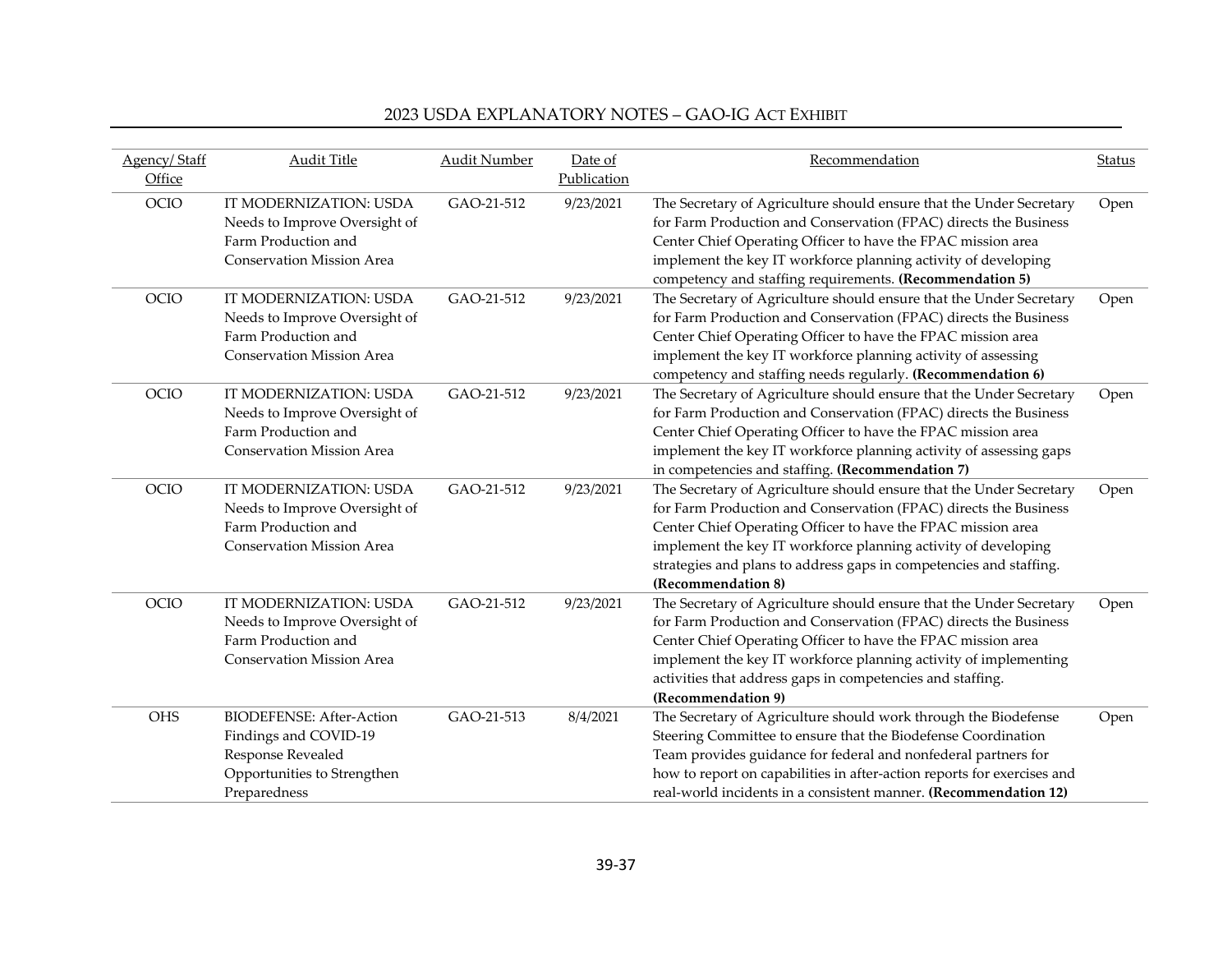| Agency/Staff | <b>Audit Title</b>               | <b>Audit Number</b> | Date of     | Recommendation                                                          | <b>Status</b> |
|--------------|----------------------------------|---------------------|-------------|-------------------------------------------------------------------------|---------------|
| Office       |                                  |                     | Publication |                                                                         |               |
| OCIO         | IT MODERNIZATION: USDA           | GAO-21-512          | 9/23/2021   | The Secretary of Agriculture should ensure that the Under Secretary     | Open          |
|              | Needs to Improve Oversight of    |                     |             | for Farm Production and Conservation (FPAC) directs the Business        |               |
|              | Farm Production and              |                     |             | Center Chief Operating Officer to have the FPAC mission area            |               |
|              | <b>Conservation Mission Area</b> |                     |             | implement the key IT workforce planning activity of developing          |               |
|              |                                  |                     |             | competency and staffing requirements. (Recommendation 5)                |               |
| <b>OCIO</b>  | IT MODERNIZATION: USDA           | GAO-21-512          | 9/23/2021   | The Secretary of Agriculture should ensure that the Under Secretary     | Open          |
|              | Needs to Improve Oversight of    |                     |             | for Farm Production and Conservation (FPAC) directs the Business        |               |
|              | Farm Production and              |                     |             | Center Chief Operating Officer to have the FPAC mission area            |               |
|              | <b>Conservation Mission Area</b> |                     |             | implement the key IT workforce planning activity of assessing           |               |
|              |                                  |                     |             | competency and staffing needs regularly. (Recommendation 6)             |               |
| <b>OCIO</b>  | IT MODERNIZATION: USDA           | GAO-21-512          | 9/23/2021   | The Secretary of Agriculture should ensure that the Under Secretary     | Open          |
|              | Needs to Improve Oversight of    |                     |             | for Farm Production and Conservation (FPAC) directs the Business        |               |
|              | Farm Production and              |                     |             | Center Chief Operating Officer to have the FPAC mission area            |               |
|              | Conservation Mission Area        |                     |             | implement the key IT workforce planning activity of assessing gaps      |               |
|              |                                  |                     |             | in competencies and staffing. (Recommendation 7)                        |               |
| <b>OCIO</b>  | IT MODERNIZATION: USDA           | GAO-21-512          | 9/23/2021   | The Secretary of Agriculture should ensure that the Under Secretary     | Open          |
|              | Needs to Improve Oversight of    |                     |             | for Farm Production and Conservation (FPAC) directs the Business        |               |
|              | Farm Production and              |                     |             | Center Chief Operating Officer to have the FPAC mission area            |               |
|              | <b>Conservation Mission Area</b> |                     |             | implement the key IT workforce planning activity of developing          |               |
|              |                                  |                     |             | strategies and plans to address gaps in competencies and staffing.      |               |
|              |                                  |                     |             | (Recommendation 8)                                                      |               |
| OCIO         | IT MODERNIZATION: USDA           | GAO-21-512          | 9/23/2021   | The Secretary of Agriculture should ensure that the Under Secretary     | Open          |
|              | Needs to Improve Oversight of    |                     |             | for Farm Production and Conservation (FPAC) directs the Business        |               |
|              | Farm Production and              |                     |             | Center Chief Operating Officer to have the FPAC mission area            |               |
|              | <b>Conservation Mission Area</b> |                     |             | implement the key IT workforce planning activity of implementing        |               |
|              |                                  |                     |             | activities that address gaps in competencies and staffing.              |               |
|              |                                  |                     |             | (Recommendation 9)                                                      |               |
| <b>OHS</b>   | <b>BIODEFENSE: After-Action</b>  | GAO-21-513          | 8/4/2021    | The Secretary of Agriculture should work through the Biodefense         | Open          |
|              | Findings and COVID-19            |                     |             | Steering Committee to ensure that the Biodefense Coordination           |               |
|              | Response Revealed                |                     |             | Team provides guidance for federal and nonfederal partners for          |               |
|              | Opportunities to Strengthen      |                     |             | how to report on capabilities in after-action reports for exercises and |               |
|              | Preparedness                     |                     |             | real-world incidents in a consistent manner. (Recommendation 12)        |               |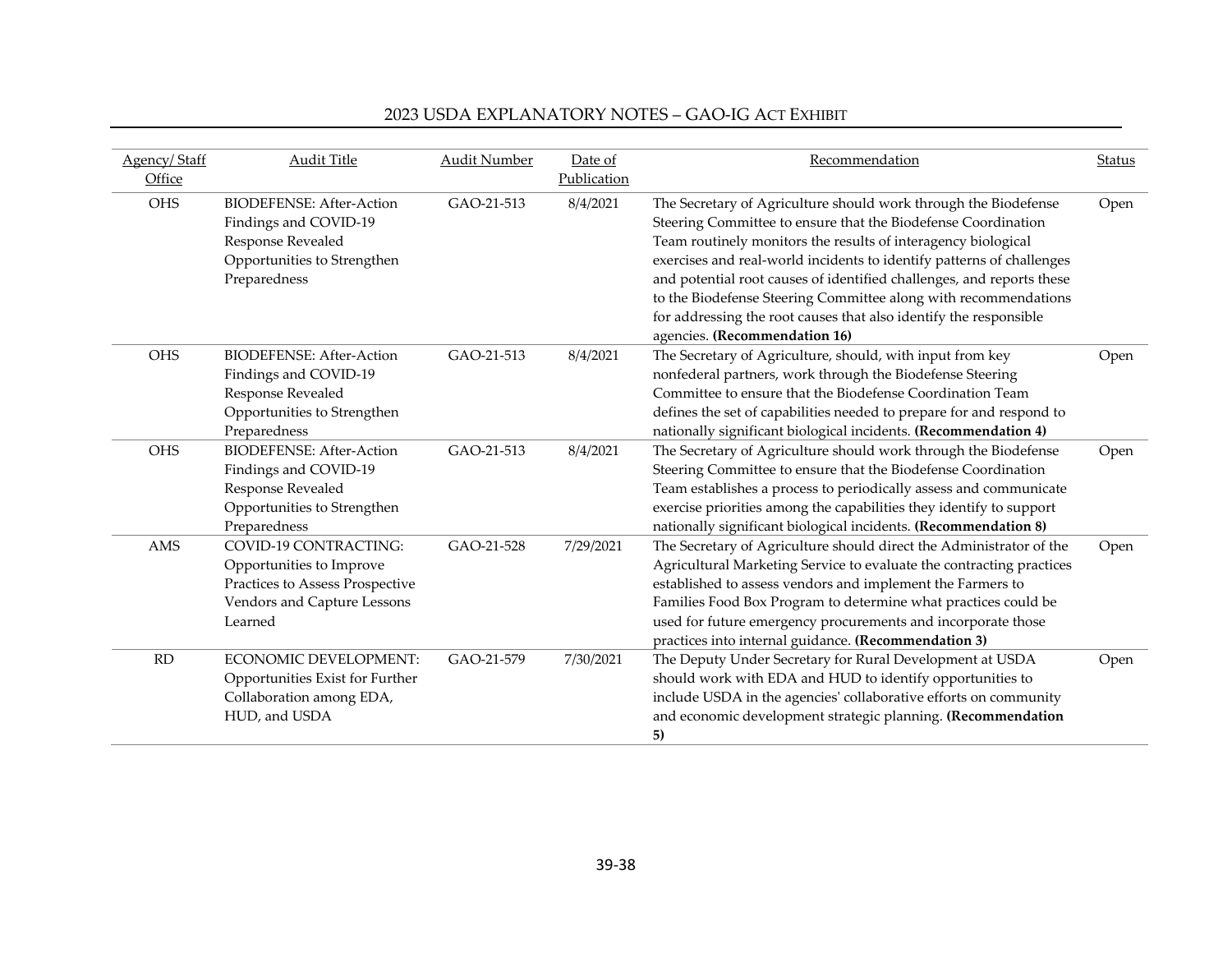| Agency/Staff | <b>Audit Title</b>              | <b>Audit Number</b> | Date of     | Recommendation                                                        | <b>Status</b> |
|--------------|---------------------------------|---------------------|-------------|-----------------------------------------------------------------------|---------------|
| Office       |                                 |                     | Publication |                                                                       |               |
| <b>OHS</b>   | <b>BIODEFENSE: After-Action</b> | GAO-21-513          | 8/4/2021    | The Secretary of Agriculture should work through the Biodefense       | Open          |
|              | Findings and COVID-19           |                     |             | Steering Committee to ensure that the Biodefense Coordination         |               |
|              | Response Revealed               |                     |             | Team routinely monitors the results of interagency biological         |               |
|              | Opportunities to Strengthen     |                     |             | exercises and real-world incidents to identify patterns of challenges |               |
|              | Preparedness                    |                     |             | and potential root causes of identified challenges, and reports these |               |
|              |                                 |                     |             | to the Biodefense Steering Committee along with recommendations       |               |
|              |                                 |                     |             | for addressing the root causes that also identify the responsible     |               |
|              |                                 |                     |             | agencies. (Recommendation 16)                                         |               |
| <b>OHS</b>   | <b>BIODEFENSE: After-Action</b> | GAO-21-513          | 8/4/2021    | The Secretary of Agriculture, should, with input from key             | Open          |
|              | Findings and COVID-19           |                     |             | nonfederal partners, work through the Biodefense Steering             |               |
|              | Response Revealed               |                     |             | Committee to ensure that the Biodefense Coordination Team             |               |
|              | Opportunities to Strengthen     |                     |             | defines the set of capabilities needed to prepare for and respond to  |               |
|              | Preparedness                    |                     |             | nationally significant biological incidents. (Recommendation 4)       |               |
| <b>OHS</b>   | <b>BIODEFENSE: After-Action</b> | GAO-21-513          | 8/4/2021    | The Secretary of Agriculture should work through the Biodefense       | Open          |
|              | Findings and COVID-19           |                     |             | Steering Committee to ensure that the Biodefense Coordination         |               |
|              | Response Revealed               |                     |             | Team establishes a process to periodically assess and communicate     |               |
|              | Opportunities to Strengthen     |                     |             | exercise priorities among the capabilities they identify to support   |               |
|              | Preparedness                    |                     |             | nationally significant biological incidents. (Recommendation 8)       |               |
| <b>AMS</b>   | <b>COVID-19 CONTRACTING:</b>    | GAO-21-528          | 7/29/2021   | The Secretary of Agriculture should direct the Administrator of the   | Open          |
|              | Opportunities to Improve        |                     |             | Agricultural Marketing Service to evaluate the contracting practices  |               |
|              | Practices to Assess Prospective |                     |             | established to assess vendors and implement the Farmers to            |               |
|              | Vendors and Capture Lessons     |                     |             | Families Food Box Program to determine what practices could be        |               |
|              | Learned                         |                     |             | used for future emergency procurements and incorporate those          |               |
|              |                                 |                     |             | practices into internal guidance. (Recommendation 3)                  |               |
| <b>RD</b>    | <b>ECONOMIC DEVELOPMENT:</b>    | GAO-21-579          | 7/30/2021   | The Deputy Under Secretary for Rural Development at USDA              | Open          |
|              | Opportunities Exist for Further |                     |             | should work with EDA and HUD to identify opportunities to             |               |
|              | Collaboration among EDA,        |                     |             | include USDA in the agencies' collaborative efforts on community      |               |
|              | HUD, and USDA                   |                     |             | and economic development strategic planning. (Recommendation          |               |
|              |                                 |                     |             | 5)                                                                    |               |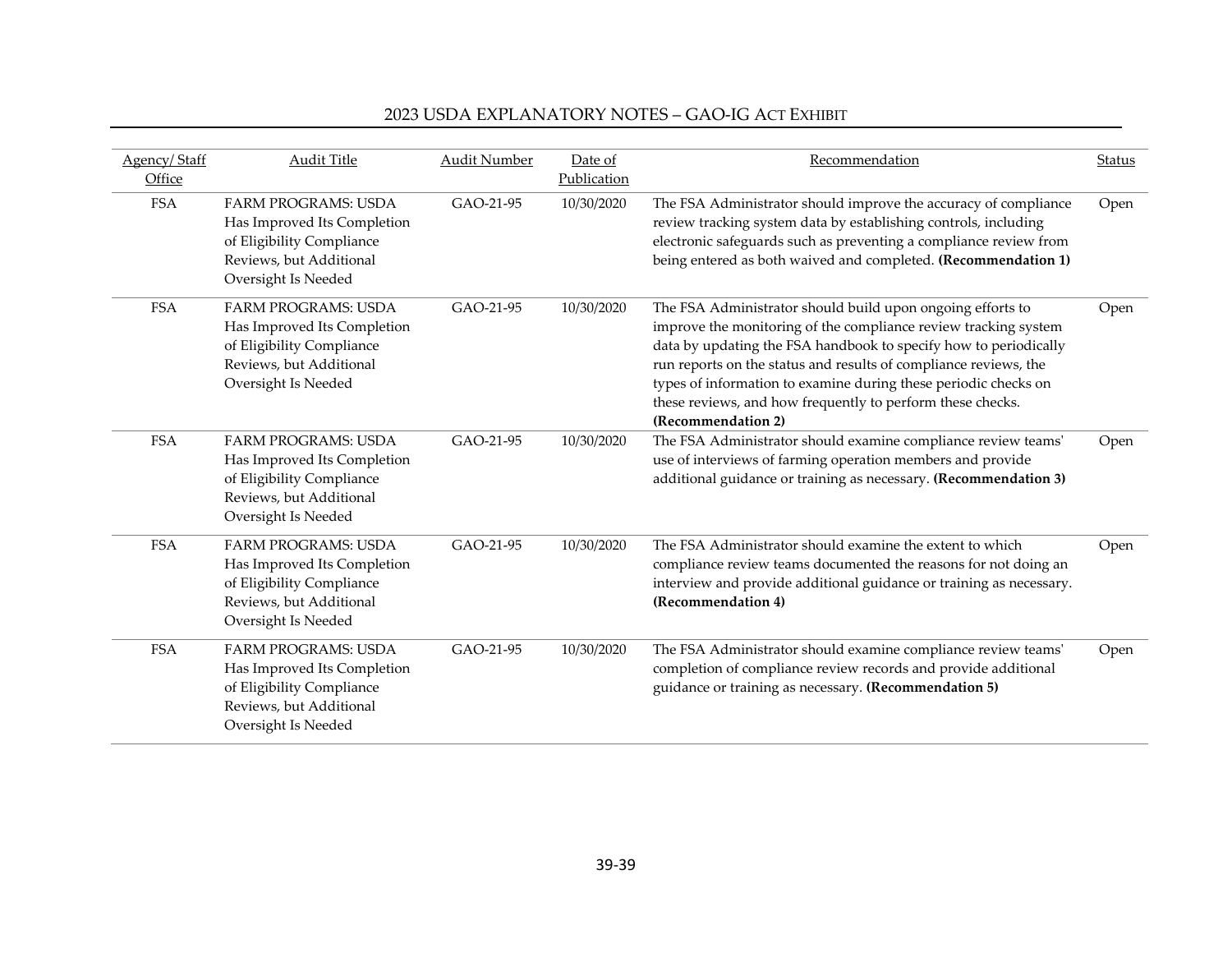|  |  | 2023 USDA EXPLANATORY NOTES - GAO-IG ACT EXHIBIT |
|--|--|--------------------------------------------------|
|--|--|--------------------------------------------------|

| Agency/Staff<br>Office | Audit Title                                                                                                                              | <b>Audit Number</b> | Date of<br>Publication | Recommendation                                                                                                                                                                                                                                                                                                                                                                                                               | <b>Status</b> |
|------------------------|------------------------------------------------------------------------------------------------------------------------------------------|---------------------|------------------------|------------------------------------------------------------------------------------------------------------------------------------------------------------------------------------------------------------------------------------------------------------------------------------------------------------------------------------------------------------------------------------------------------------------------------|---------------|
| <b>FSA</b>             | <b>FARM PROGRAMS: USDA</b><br>Has Improved Its Completion<br>of Eligibility Compliance<br>Reviews, but Additional<br>Oversight Is Needed | GAO-21-95           | 10/30/2020             | The FSA Administrator should improve the accuracy of compliance<br>review tracking system data by establishing controls, including<br>electronic safeguards such as preventing a compliance review from<br>being entered as both waived and completed. (Recommendation 1)                                                                                                                                                    | Open          |
| <b>FSA</b>             | <b>FARM PROGRAMS: USDA</b><br>Has Improved Its Completion<br>of Eligibility Compliance<br>Reviews, but Additional<br>Oversight Is Needed | GAO-21-95           | 10/30/2020             | The FSA Administrator should build upon ongoing efforts to<br>improve the monitoring of the compliance review tracking system<br>data by updating the FSA handbook to specify how to periodically<br>run reports on the status and results of compliance reviews, the<br>types of information to examine during these periodic checks on<br>these reviews, and how frequently to perform these checks.<br>(Recommendation 2) | Open          |
| <b>FSA</b>             | <b>FARM PROGRAMS: USDA</b><br>Has Improved Its Completion<br>of Eligibility Compliance<br>Reviews, but Additional<br>Oversight Is Needed | GAO-21-95           | 10/30/2020             | The FSA Administrator should examine compliance review teams'<br>use of interviews of farming operation members and provide<br>additional guidance or training as necessary. (Recommendation 3)                                                                                                                                                                                                                              | Open          |
| <b>FSA</b>             | <b>FARM PROGRAMS: USDA</b><br>Has Improved Its Completion<br>of Eligibility Compliance<br>Reviews, but Additional<br>Oversight Is Needed | GAO-21-95           | 10/30/2020             | The FSA Administrator should examine the extent to which<br>compliance review teams documented the reasons for not doing an<br>interview and provide additional guidance or training as necessary.<br>(Recommendation 4)                                                                                                                                                                                                     | Open          |
| <b>FSA</b>             | <b>FARM PROGRAMS: USDA</b><br>Has Improved Its Completion<br>of Eligibility Compliance<br>Reviews, but Additional<br>Oversight Is Needed | GAO-21-95           | 10/30/2020             | The FSA Administrator should examine compliance review teams'<br>completion of compliance review records and provide additional<br>guidance or training as necessary. (Recommendation 5)                                                                                                                                                                                                                                     | Open          |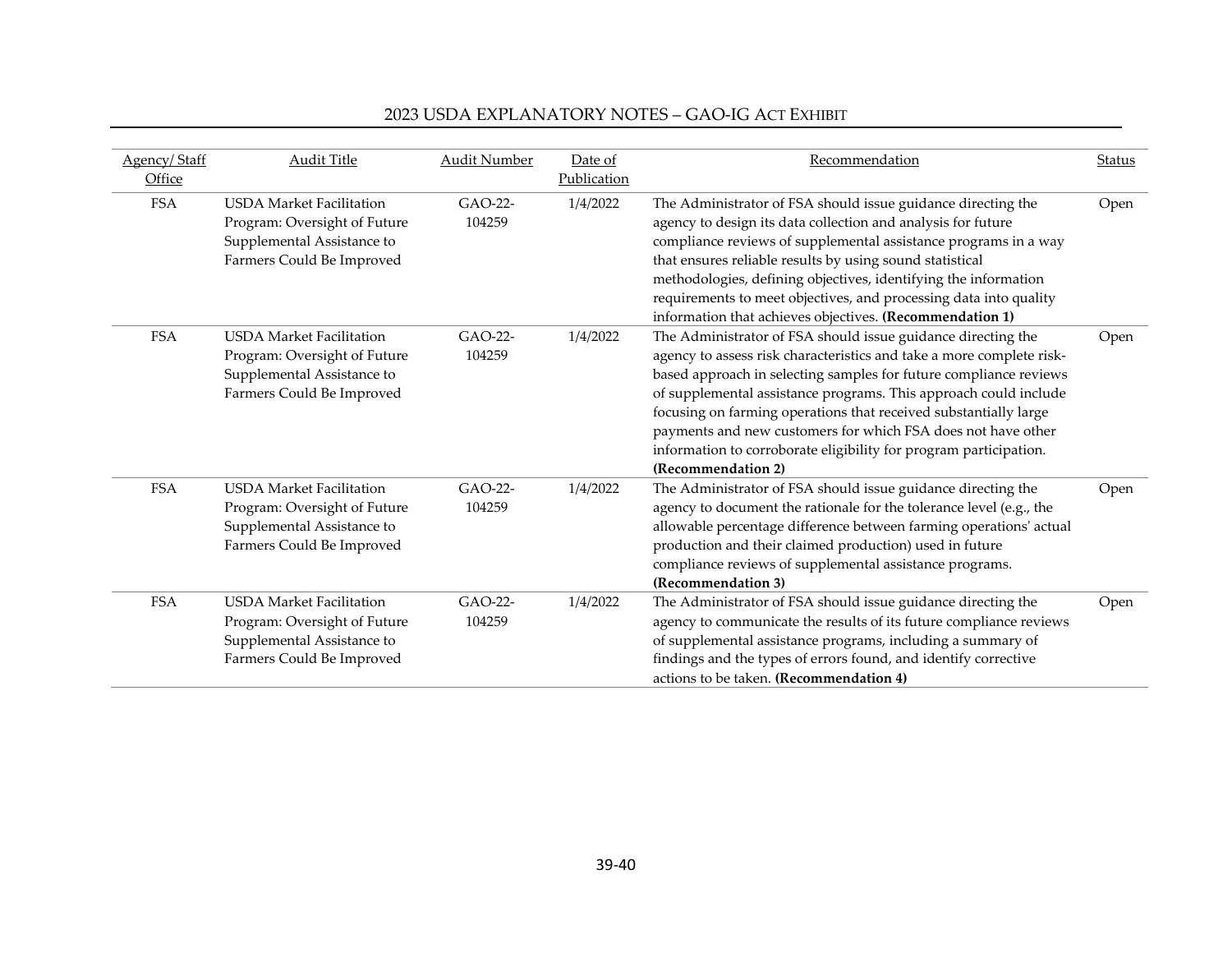| Agency/Staff | <b>Audit Title</b>              | <b>Audit Number</b> | Date of     | Recommendation                                                       | Status |
|--------------|---------------------------------|---------------------|-------------|----------------------------------------------------------------------|--------|
| Office       |                                 |                     | Publication |                                                                      |        |
| <b>FSA</b>   | <b>USDA Market Facilitation</b> | GAO-22-             | 1/4/2022    | The Administrator of FSA should issue guidance directing the         | Open   |
|              | Program: Oversight of Future    | 104259              |             | agency to design its data collection and analysis for future         |        |
|              | Supplemental Assistance to      |                     |             | compliance reviews of supplemental assistance programs in a way      |        |
|              | Farmers Could Be Improved       |                     |             | that ensures reliable results by using sound statistical             |        |
|              |                                 |                     |             | methodologies, defining objectives, identifying the information      |        |
|              |                                 |                     |             | requirements to meet objectives, and processing data into quality    |        |
|              |                                 |                     |             | information that achieves objectives. (Recommendation 1)             |        |
| <b>FSA</b>   | <b>USDA Market Facilitation</b> | GAO-22-             | 1/4/2022    | The Administrator of FSA should issue guidance directing the         | Open   |
|              | Program: Oversight of Future    | 104259              |             | agency to assess risk characteristics and take a more complete risk- |        |
|              | Supplemental Assistance to      |                     |             | based approach in selecting samples for future compliance reviews    |        |
|              | Farmers Could Be Improved       |                     |             | of supplemental assistance programs. This approach could include     |        |
|              |                                 |                     |             | focusing on farming operations that received substantially large     |        |
|              |                                 |                     |             | payments and new customers for which FSA does not have other         |        |
|              |                                 |                     |             | information to corroborate eligibility for program participation.    |        |
|              |                                 |                     |             | (Recommendation 2)                                                   |        |
| <b>FSA</b>   | <b>USDA</b> Market Facilitation | GAO-22-             | 1/4/2022    | The Administrator of FSA should issue guidance directing the         | Open   |
|              | Program: Oversight of Future    | 104259              |             | agency to document the rationale for the tolerance level (e.g., the  |        |
|              | Supplemental Assistance to      |                     |             | allowable percentage difference between farming operations' actual   |        |
|              | Farmers Could Be Improved       |                     |             | production and their claimed production) used in future              |        |
|              |                                 |                     |             | compliance reviews of supplemental assistance programs.              |        |
|              |                                 |                     |             | (Recommendation 3)                                                   |        |
| <b>FSA</b>   | <b>USDA Market Facilitation</b> | GAO-22-             | 1/4/2022    | The Administrator of FSA should issue guidance directing the         | Open   |
|              | Program: Oversight of Future    | 104259              |             | agency to communicate the results of its future compliance reviews   |        |
|              | Supplemental Assistance to      |                     |             | of supplemental assistance programs, including a summary of          |        |
|              | Farmers Could Be Improved       |                     |             | findings and the types of errors found, and identify corrective      |        |
|              |                                 |                     |             | actions to be taken. (Recommendation 4)                              |        |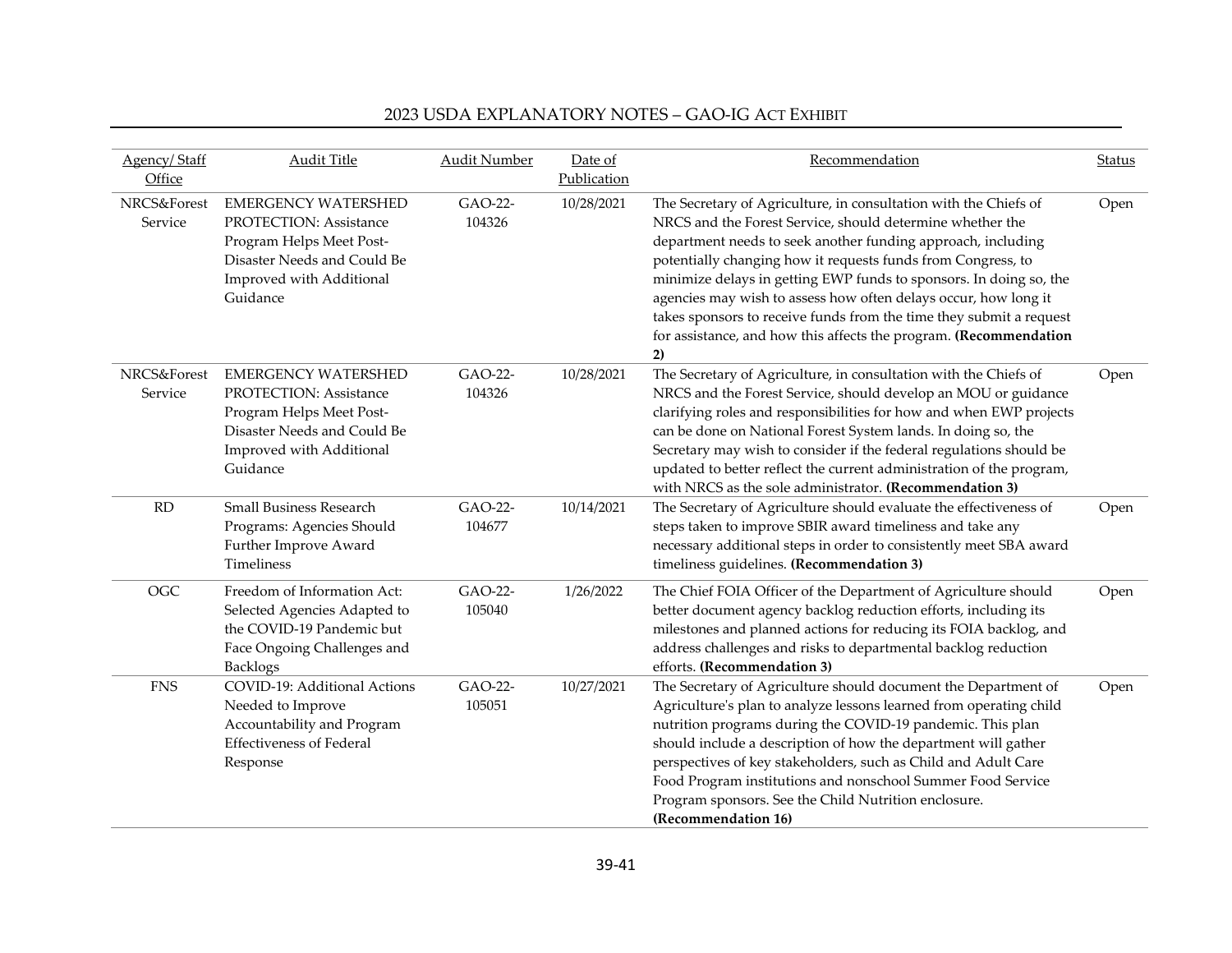| <b>Agency/Staff</b><br>Office | <b>Audit Title</b>                                                                                                                                             | <b>Audit Number</b> | Date of<br>Publication | Recommendation                                                                                                                                                                                                                                                                                                                                                                                                                                                                                                                                           | Status |
|-------------------------------|----------------------------------------------------------------------------------------------------------------------------------------------------------------|---------------------|------------------------|----------------------------------------------------------------------------------------------------------------------------------------------------------------------------------------------------------------------------------------------------------------------------------------------------------------------------------------------------------------------------------------------------------------------------------------------------------------------------------------------------------------------------------------------------------|--------|
| NRCS&Forest<br>Service        | <b>EMERGENCY WATERSHED</b><br>PROTECTION: Assistance<br>Program Helps Meet Post-<br>Disaster Needs and Could Be<br>Improved with Additional<br>Guidance        | GAO-22-<br>104326   | 10/28/2021             | The Secretary of Agriculture, in consultation with the Chiefs of<br>NRCS and the Forest Service, should determine whether the<br>department needs to seek another funding approach, including<br>potentially changing how it requests funds from Congress, to<br>minimize delays in getting EWP funds to sponsors. In doing so, the<br>agencies may wish to assess how often delays occur, how long it<br>takes sponsors to receive funds from the time they submit a request<br>for assistance, and how this affects the program. (Recommendation<br>2) | Open   |
| NRCS&Forest<br>Service        | <b>EMERGENCY WATERSHED</b><br><b>PROTECTION: Assistance</b><br>Program Helps Meet Post-<br>Disaster Needs and Could Be<br>Improved with Additional<br>Guidance | GAO-22-<br>104326   | 10/28/2021             | The Secretary of Agriculture, in consultation with the Chiefs of<br>NRCS and the Forest Service, should develop an MOU or guidance<br>clarifying roles and responsibilities for how and when EWP projects<br>can be done on National Forest System lands. In doing so, the<br>Secretary may wish to consider if the federal regulations should be<br>updated to better reflect the current administration of the program,<br>with NRCS as the sole administrator. (Recommendation 3)                                                                     | Open   |
| RD                            | <b>Small Business Research</b><br>Programs: Agencies Should<br>Further Improve Award<br>Timeliness                                                             | GAO-22-<br>104677   | 10/14/2021             | The Secretary of Agriculture should evaluate the effectiveness of<br>steps taken to improve SBIR award timeliness and take any<br>necessary additional steps in order to consistently meet SBA award<br>timeliness guidelines. (Recommendation 3)                                                                                                                                                                                                                                                                                                        | Open   |
| <b>OGC</b>                    | Freedom of Information Act:<br>Selected Agencies Adapted to<br>the COVID-19 Pandemic but<br>Face Ongoing Challenges and<br><b>Backlogs</b>                     | GAO-22-<br>105040   | 1/26/2022              | The Chief FOIA Officer of the Department of Agriculture should<br>better document agency backlog reduction efforts, including its<br>milestones and planned actions for reducing its FOIA backlog, and<br>address challenges and risks to departmental backlog reduction<br>efforts. (Recommendation 3)                                                                                                                                                                                                                                                  | Open   |
| <b>FNS</b>                    | <b>COVID-19: Additional Actions</b><br>Needed to Improve<br>Accountability and Program<br><b>Effectiveness of Federal</b><br>Response                          | GAO-22-<br>105051   | 10/27/2021             | The Secretary of Agriculture should document the Department of<br>Agriculture's plan to analyze lessons learned from operating child<br>nutrition programs during the COVID-19 pandemic. This plan<br>should include a description of how the department will gather<br>perspectives of key stakeholders, such as Child and Adult Care<br>Food Program institutions and nonschool Summer Food Service<br>Program sponsors. See the Child Nutrition enclosure.<br>(Recommendation 16)                                                                     | Open   |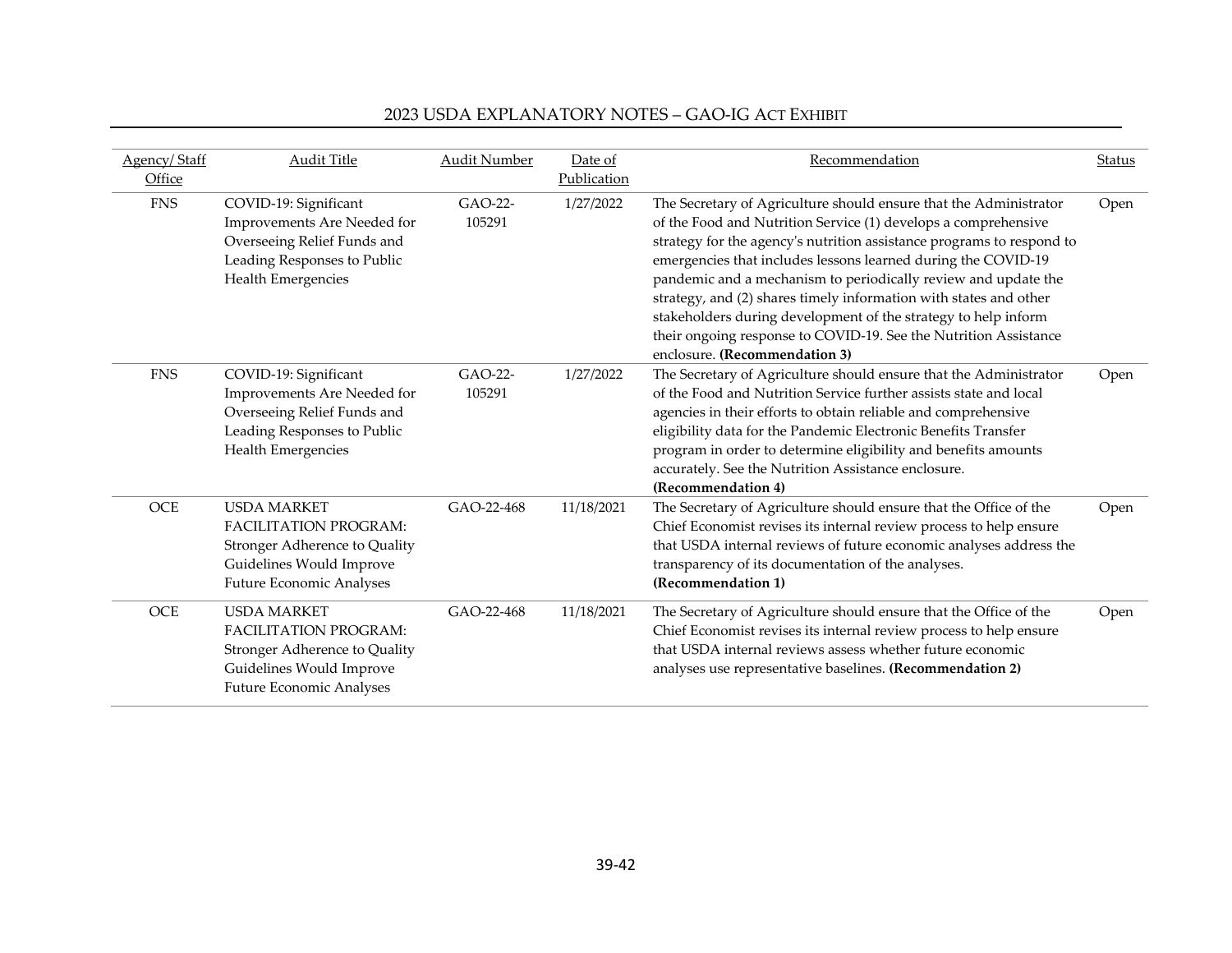| Agency/Staff | <b>Audit Title</b>                                                                                                                                 | <b>Audit Number</b> | Date of     | Recommendation                                                                                                                                                                                                                                                                                                                                                                                                                                                                                                                                                                              | <b>Status</b> |
|--------------|----------------------------------------------------------------------------------------------------------------------------------------------------|---------------------|-------------|---------------------------------------------------------------------------------------------------------------------------------------------------------------------------------------------------------------------------------------------------------------------------------------------------------------------------------------------------------------------------------------------------------------------------------------------------------------------------------------------------------------------------------------------------------------------------------------------|---------------|
| Office       |                                                                                                                                                    |                     | Publication |                                                                                                                                                                                                                                                                                                                                                                                                                                                                                                                                                                                             |               |
| <b>FNS</b>   | COVID-19: Significant<br>Improvements Are Needed for<br>Overseeing Relief Funds and<br>Leading Responses to Public<br>Health Emergencies           | GAO-22-<br>105291   | 1/27/2022   | The Secretary of Agriculture should ensure that the Administrator<br>of the Food and Nutrition Service (1) develops a comprehensive<br>strategy for the agency's nutrition assistance programs to respond to<br>emergencies that includes lessons learned during the COVID-19<br>pandemic and a mechanism to periodically review and update the<br>strategy, and (2) shares timely information with states and other<br>stakeholders during development of the strategy to help inform<br>their ongoing response to COVID-19. See the Nutrition Assistance<br>enclosure. (Recommendation 3) | Open          |
| <b>FNS</b>   | COVID-19: Significant<br>Improvements Are Needed for<br>Overseeing Relief Funds and<br>Leading Responses to Public<br>Health Emergencies           | GAO-22-<br>105291   | 1/27/2022   | The Secretary of Agriculture should ensure that the Administrator<br>of the Food and Nutrition Service further assists state and local<br>agencies in their efforts to obtain reliable and comprehensive<br>eligibility data for the Pandemic Electronic Benefits Transfer<br>program in order to determine eligibility and benefits amounts<br>accurately. See the Nutrition Assistance enclosure.<br>(Recommendation 4)                                                                                                                                                                   | Open          |
| <b>OCE</b>   | <b>USDA MARKET</b><br><b>FACILITATION PROGRAM:</b><br>Stronger Adherence to Quality<br>Guidelines Would Improve<br><b>Future Economic Analyses</b> | GAO-22-468          | 11/18/2021  | The Secretary of Agriculture should ensure that the Office of the<br>Chief Economist revises its internal review process to help ensure<br>that USDA internal reviews of future economic analyses address the<br>transparency of its documentation of the analyses.<br>(Recommendation 1)                                                                                                                                                                                                                                                                                                   | Open          |
| OCE          | <b>USDA MARKET</b><br><b>FACILITATION PROGRAM:</b><br>Stronger Adherence to Quality<br>Guidelines Would Improve<br><b>Future Economic Analyses</b> | GAO-22-468          | 11/18/2021  | The Secretary of Agriculture should ensure that the Office of the<br>Chief Economist revises its internal review process to help ensure<br>that USDA internal reviews assess whether future economic<br>analyses use representative baselines. (Recommendation 2)                                                                                                                                                                                                                                                                                                                           | Open          |